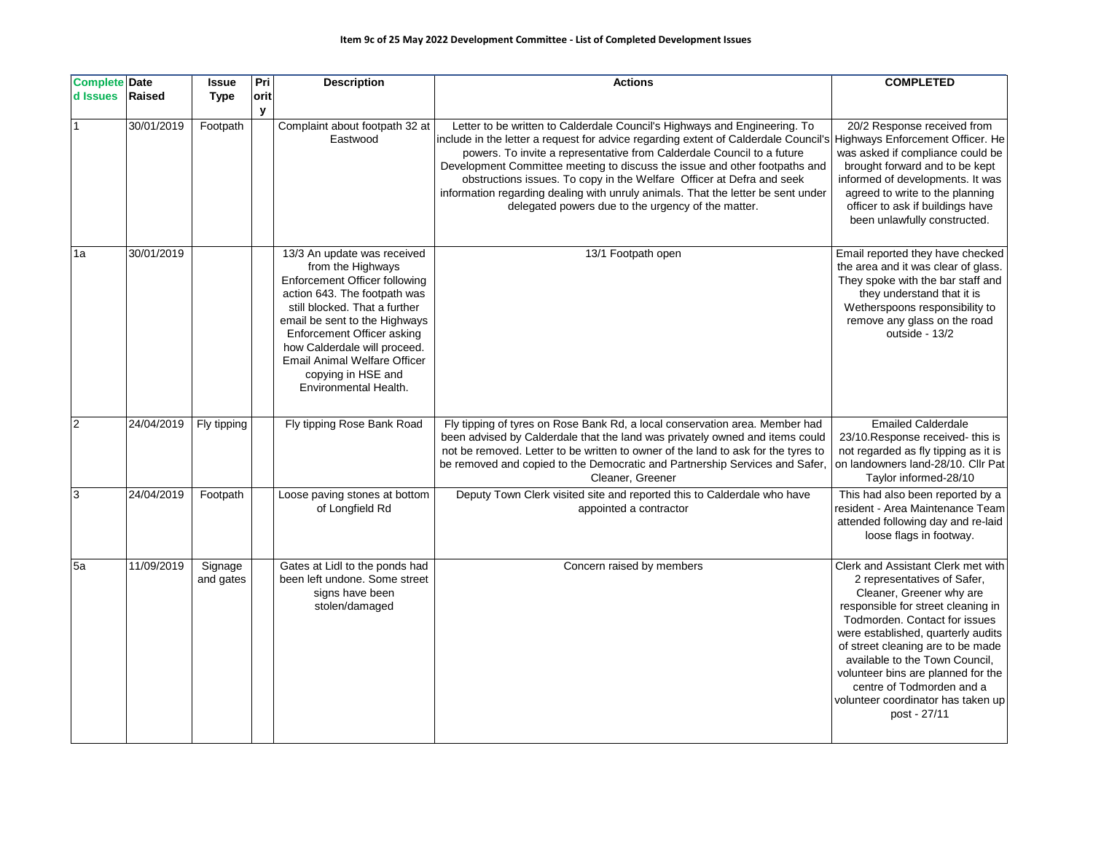## **Item 9c of 25 May 2022 Development Committee - List of Completed Development Issues**

| <b>Complete Date</b><br>d Issues | <b>Raised</b> | <b>Issue</b><br><b>Type</b> | Pri<br>orit | <b>Description</b>                                                                                                                                                                                                                                                                                                                             | <b>Actions</b>                                                                                                                                                                                                                                                                                                                                                                                                                                                                                                                                                               | <b>COMPLETED</b>                                                                                                                                                                                                                                                                                                                                                                                           |
|----------------------------------|---------------|-----------------------------|-------------|------------------------------------------------------------------------------------------------------------------------------------------------------------------------------------------------------------------------------------------------------------------------------------------------------------------------------------------------|------------------------------------------------------------------------------------------------------------------------------------------------------------------------------------------------------------------------------------------------------------------------------------------------------------------------------------------------------------------------------------------------------------------------------------------------------------------------------------------------------------------------------------------------------------------------------|------------------------------------------------------------------------------------------------------------------------------------------------------------------------------------------------------------------------------------------------------------------------------------------------------------------------------------------------------------------------------------------------------------|
|                                  | 30/01/2019    | Footpath                    | У           | Complaint about footpath 32 at<br>Eastwood                                                                                                                                                                                                                                                                                                     | Letter to be written to Calderdale Council's Highways and Engineering. To<br>include in the letter a request for advice regarding extent of Calderdale Council's Highways Enforcement Officer. He<br>powers. To invite a representative from Calderdale Council to a future<br>Development Committee meeting to discuss the issue and other footpaths and<br>obstructions issues. To copy in the Welfare Officer at Defra and seek<br>information regarding dealing with unruly animals. That the letter be sent under<br>delegated powers due to the urgency of the matter. | 20/2 Response received from<br>was asked if compliance could be<br>brought forward and to be kept<br>informed of developments. It was<br>agreed to write to the planning<br>officer to ask if buildings have<br>been unlawfully constructed.                                                                                                                                                               |
| 1a                               | 30/01/2019    |                             |             | 13/3 An update was received<br>from the Highways<br><b>Enforcement Officer following</b><br>action 643. The footpath was<br>still blocked. That a further<br>email be sent to the Highways<br>Enforcement Officer asking<br>how Calderdale will proceed.<br><b>Email Animal Welfare Officer</b><br>copying in HSE and<br>Environmental Health. | 13/1 Footpath open                                                                                                                                                                                                                                                                                                                                                                                                                                                                                                                                                           | Email reported they have checked<br>the area and it was clear of glass.<br>They spoke with the bar staff and<br>they understand that it is<br>Wetherspoons responsibility to<br>remove any glass on the road<br>outside - 13/2                                                                                                                                                                             |
| $\overline{c}$                   | 24/04/2019    | Fly tipping                 |             | Fly tipping Rose Bank Road                                                                                                                                                                                                                                                                                                                     | Fly tipping of tyres on Rose Bank Rd, a local conservation area. Member had<br>been advised by Calderdale that the land was privately owned and items could<br>not be removed. Letter to be written to owner of the land to ask for the tyres to<br>be removed and copied to the Democratic and Partnership Services and Safer,<br>Cleaner, Greener                                                                                                                                                                                                                          | <b>Emailed Calderdale</b><br>23/10. Response received-this is<br>not regarded as fly tipping as it is<br>on landowners land-28/10. Cllr Pat<br>Taylor informed-28/10                                                                                                                                                                                                                                       |
| 3                                | 24/04/2019    | Footpath                    |             | Loose paving stones at bottom<br>of Longfield Rd                                                                                                                                                                                                                                                                                               | Deputy Town Clerk visited site and reported this to Calderdale who have<br>appointed a contractor                                                                                                                                                                                                                                                                                                                                                                                                                                                                            | This had also been reported by a<br>resident - Area Maintenance Team<br>attended following day and re-laid<br>loose flags in footway.                                                                                                                                                                                                                                                                      |
| 5a                               | 11/09/2019    | Signage<br>and gates        |             | Gates at Lidl to the ponds had<br>been left undone. Some street<br>signs have been<br>stolen/damaged                                                                                                                                                                                                                                           | Concern raised by members                                                                                                                                                                                                                                                                                                                                                                                                                                                                                                                                                    | Clerk and Assistant Clerk met with<br>2 representatives of Safer,<br>Cleaner, Greener why are<br>responsible for street cleaning in<br>Todmorden. Contact for issues<br>were established, quarterly audits<br>of street cleaning are to be made<br>available to the Town Council,<br>volunteer bins are planned for the<br>centre of Todmorden and a<br>volunteer coordinator has taken up<br>post - 27/11 |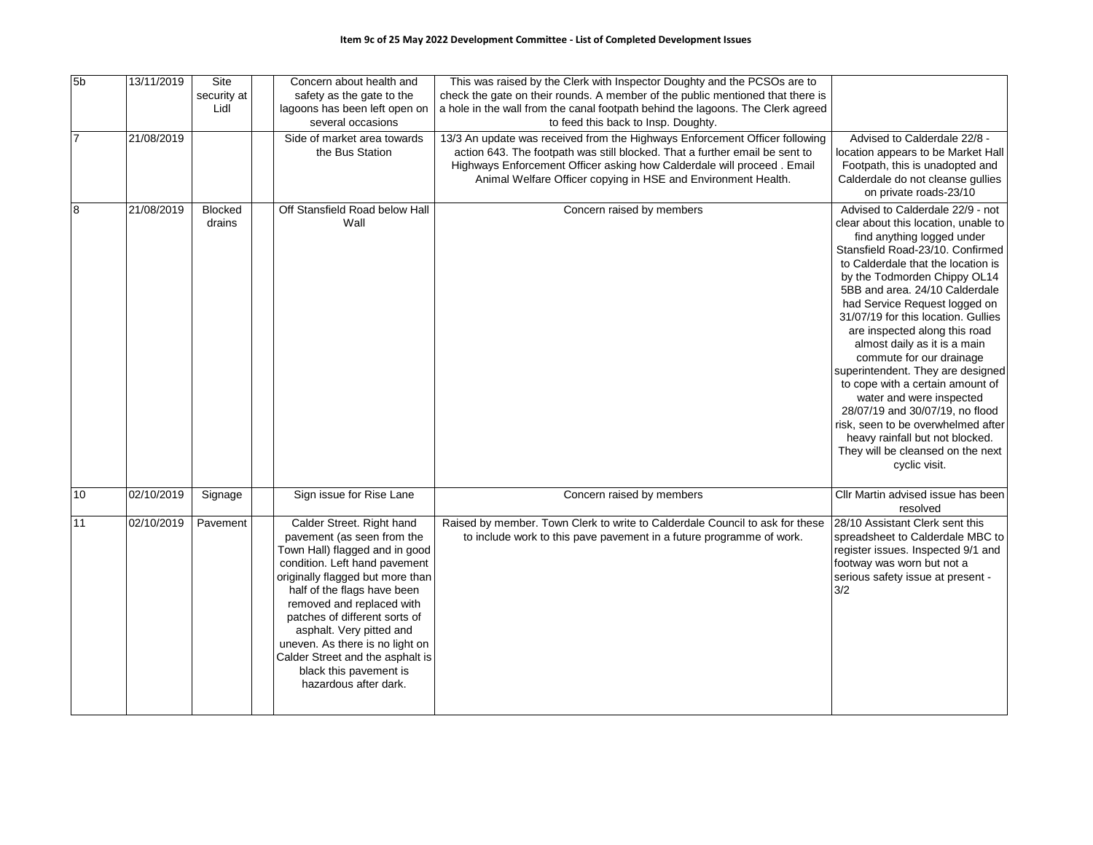| 5 <sub>b</sub> | 13/11/2019 | Site<br>security at<br>Lidl | Concern about health and<br>safety as the gate to the<br>lagoons has been left open on<br>several occasions                                                                                                                                                                                                                                                                                                       | This was raised by the Clerk with Inspector Doughty and the PCSOs are to<br>check the gate on their rounds. A member of the public mentioned that there is<br>a hole in the wall from the canal footpath behind the lagoons. The Clerk agreed<br>to feed this back to Insp. Doughty.                  |                                                                                                                                                                                                                                                                                                                                                                                                                                                                                                                                                                                                                                                                                                |
|----------------|------------|-----------------------------|-------------------------------------------------------------------------------------------------------------------------------------------------------------------------------------------------------------------------------------------------------------------------------------------------------------------------------------------------------------------------------------------------------------------|-------------------------------------------------------------------------------------------------------------------------------------------------------------------------------------------------------------------------------------------------------------------------------------------------------|------------------------------------------------------------------------------------------------------------------------------------------------------------------------------------------------------------------------------------------------------------------------------------------------------------------------------------------------------------------------------------------------------------------------------------------------------------------------------------------------------------------------------------------------------------------------------------------------------------------------------------------------------------------------------------------------|
| $\overline{7}$ | 21/08/2019 |                             | Side of market area towards<br>the Bus Station                                                                                                                                                                                                                                                                                                                                                                    | 13/3 An update was received from the Highways Enforcement Officer following<br>action 643. The footpath was still blocked. That a further email be sent to<br>Highways Enforcement Officer asking how Calderdale will proceed. Email<br>Animal Welfare Officer copying in HSE and Environment Health. | Advised to Calderdale 22/8 -<br>location appears to be Market Hall<br>Footpath, this is unadopted and<br>Calderdale do not cleanse gullies<br>on private roads-23/10                                                                                                                                                                                                                                                                                                                                                                                                                                                                                                                           |
| 8              | 21/08/2019 | <b>Blocked</b><br>drains    | Off Stansfield Road below Hall<br>Wall                                                                                                                                                                                                                                                                                                                                                                            | Concern raised by members                                                                                                                                                                                                                                                                             | Advised to Calderdale 22/9 - not<br>clear about this location, unable to<br>find anything logged under<br>Stansfield Road-23/10. Confirmed<br>to Calderdale that the location is<br>by the Todmorden Chippy OL14<br>5BB and area. 24/10 Calderdale<br>had Service Request logged on<br>31/07/19 for this location. Gullies<br>are inspected along this road<br>almost daily as it is a main<br>commute for our drainage<br>superintendent. They are designed<br>to cope with a certain amount of<br>water and were inspected<br>28/07/19 and 30/07/19, no flood<br>risk, seen to be overwhelmed after<br>heavy rainfall but not blocked.<br>They will be cleansed on the next<br>cyclic visit. |
| 10             | 02/10/2019 | Signage                     | Sign issue for Rise Lane                                                                                                                                                                                                                                                                                                                                                                                          | Concern raised by members                                                                                                                                                                                                                                                                             | Cllr Martin advised issue has been<br>resolved                                                                                                                                                                                                                                                                                                                                                                                                                                                                                                                                                                                                                                                 |
| 11             | 02/10/2019 | Pavement                    | Calder Street. Right hand<br>pavement (as seen from the<br>Town Hall) flagged and in good<br>condition. Left hand pavement<br>originally flagged but more than<br>half of the flags have been<br>removed and replaced with<br>patches of different sorts of<br>asphalt. Very pitted and<br>uneven. As there is no light on<br>Calder Street and the asphalt is<br>black this pavement is<br>hazardous after dark. | Raised by member. Town Clerk to write to Calderdale Council to ask for these<br>to include work to this pave pavement in a future programme of work.                                                                                                                                                  | 28/10 Assistant Clerk sent this<br>spreadsheet to Calderdale MBC to<br>register issues. Inspected 9/1 and<br>footway was worn but not a<br>serious safety issue at present -<br>3/2                                                                                                                                                                                                                                                                                                                                                                                                                                                                                                            |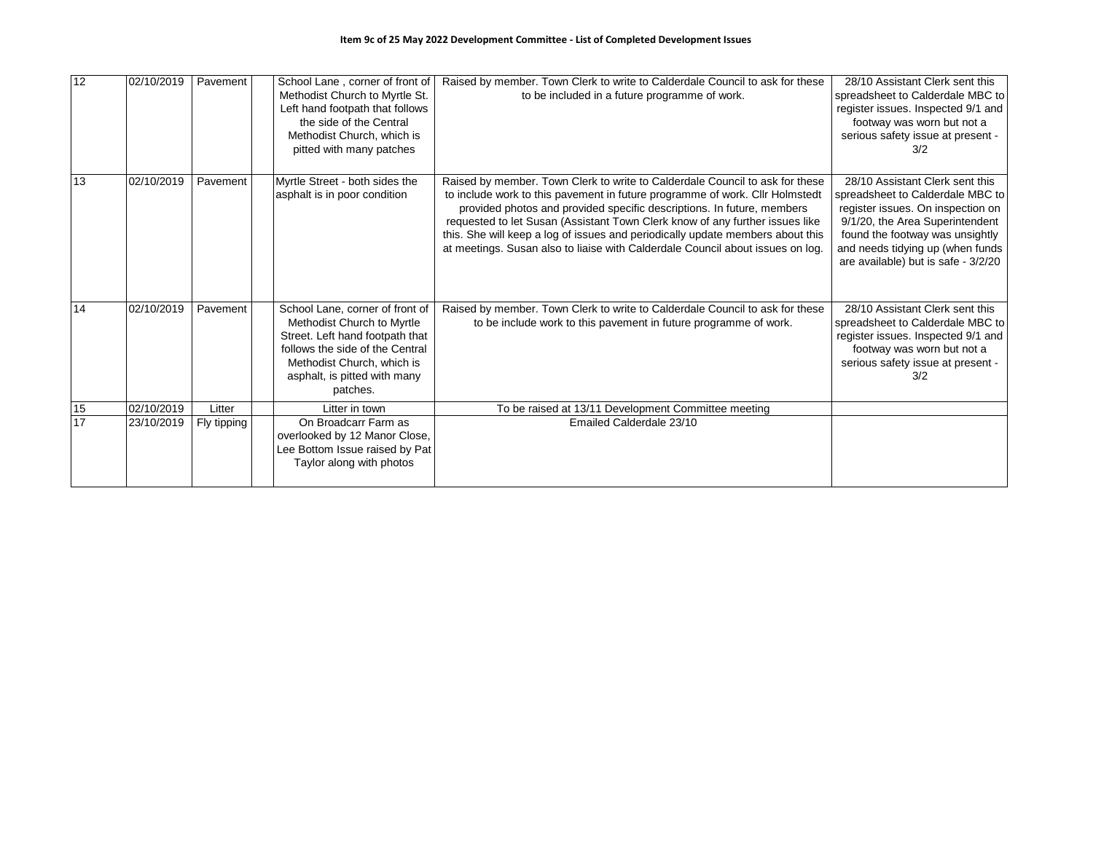| $\overline{12}$ | 02/10/2019 | Pavement    | School Lane, corner of front of<br>Methodist Church to Myrtle St.<br>Left hand footpath that follows<br>the side of the Central<br>Methodist Church, which is<br>pitted with many patches                     | Raised by member. Town Clerk to write to Calderdale Council to ask for these<br>to be included in a future programme of work.                                                                                                                                                                                                                                                                                                                                                              | 28/10 Assistant Clerk sent this<br>spreadsheet to Calderdale MBC to<br>register issues. Inspected 9/1 and<br>footway was worn but not a<br>serious safety issue at present -<br>3/2                                                                       |
|-----------------|------------|-------------|---------------------------------------------------------------------------------------------------------------------------------------------------------------------------------------------------------------|--------------------------------------------------------------------------------------------------------------------------------------------------------------------------------------------------------------------------------------------------------------------------------------------------------------------------------------------------------------------------------------------------------------------------------------------------------------------------------------------|-----------------------------------------------------------------------------------------------------------------------------------------------------------------------------------------------------------------------------------------------------------|
| 13              | 02/10/2019 | Pavement    | Myrtle Street - both sides the<br>asphalt is in poor condition                                                                                                                                                | Raised by member. Town Clerk to write to Calderdale Council to ask for these<br>to include work to this pavement in future programme of work. Cllr Holmstedt<br>provided photos and provided specific descriptions. In future, members<br>requested to let Susan (Assistant Town Clerk know of any further issues like<br>this. She will keep a log of issues and periodically update members about this<br>at meetings. Susan also to liaise with Calderdale Council about issues on log. | 28/10 Assistant Clerk sent this<br>spreadsheet to Calderdale MBC to<br>register issues. On inspection on<br>9/1/20, the Area Superintendent<br>found the footway was unsightly<br>and needs tidying up (when funds<br>are available) but is safe - 3/2/20 |
| 14              | 02/10/2019 | Pavement    | School Lane, corner of front of<br>Methodist Church to Myrtle<br>Street. Left hand footpath that<br>follows the side of the Central<br>Methodist Church, which is<br>asphalt, is pitted with many<br>patches. | Raised by member. Town Clerk to write to Calderdale Council to ask for these<br>to be include work to this payement in future programme of work.                                                                                                                                                                                                                                                                                                                                           | 28/10 Assistant Clerk sent this<br>spreadsheet to Calderdale MBC to<br>register issues. Inspected 9/1 and<br>footway was worn but not a<br>serious safety issue at present -<br>3/2                                                                       |
| 15              | 02/10/2019 | Litter      | Litter in town                                                                                                                                                                                                | To be raised at 13/11 Development Committee meeting                                                                                                                                                                                                                                                                                                                                                                                                                                        |                                                                                                                                                                                                                                                           |
| 17              | 23/10/2019 | Fly tipping | On Broadcarr Farm as<br>overlooked by 12 Manor Close,<br>Lee Bottom Issue raised by Pat<br>Taylor along with photos                                                                                           | Emailed Calderdale 23/10                                                                                                                                                                                                                                                                                                                                                                                                                                                                   |                                                                                                                                                                                                                                                           |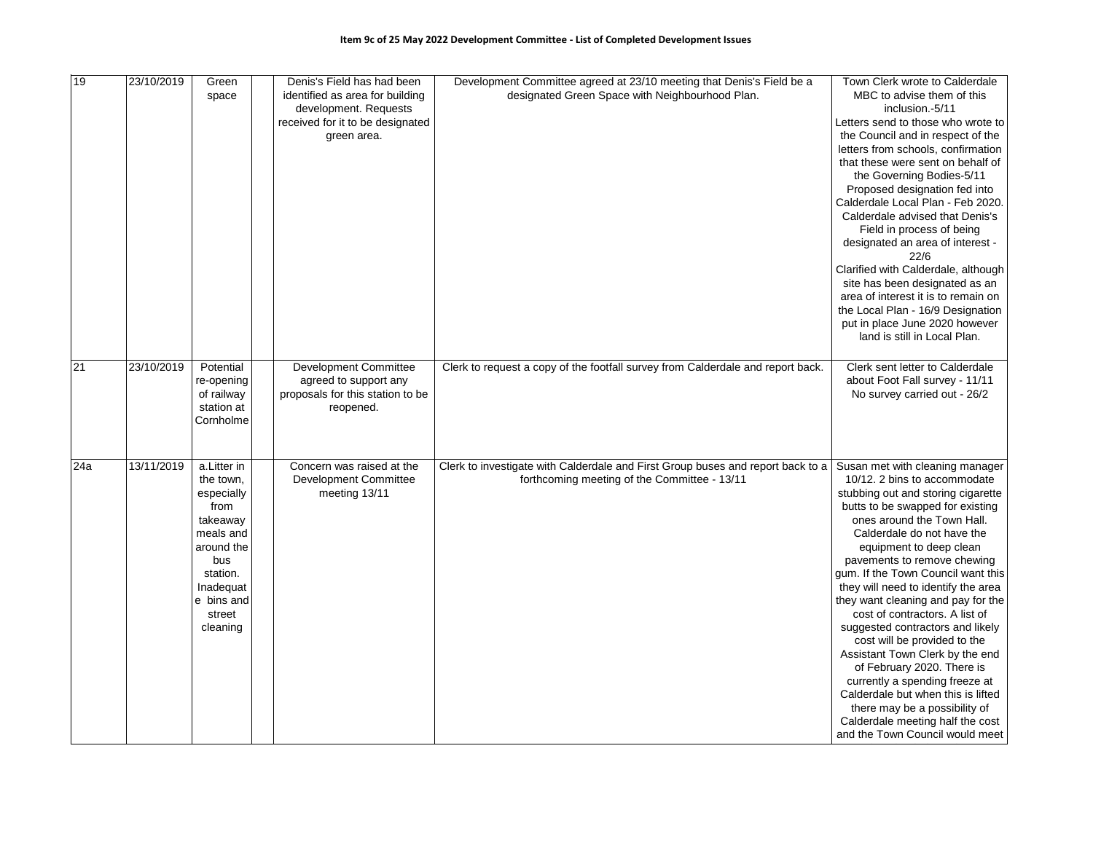| 19  | 23/10/2019 | Green<br>space                                                                                                                                            | Denis's Field has had been<br>identified as area for building<br>development. Requests<br>received for it to be designated<br>green area. | Development Committee agreed at 23/10 meeting that Denis's Field be a<br>designated Green Space with Neighbourhood Plan.        | Town Clerk wrote to Calderdale<br>MBC to advise them of this<br>inclusion. 5/11<br>Letters send to those who wrote to<br>the Council and in respect of the<br>letters from schools, confirmation<br>that these were sent on behalf of<br>the Governing Bodies-5/11<br>Proposed designation fed into<br>Calderdale Local Plan - Feb 2020.<br>Calderdale advised that Denis's<br>Field in process of being<br>designated an area of interest -<br>22/6<br>Clarified with Calderdale, although<br>site has been designated as an<br>area of interest it is to remain on<br>the Local Plan - 16/9 Designation<br>put in place June 2020 however<br>land is still in Local Plan.                                                               |
|-----|------------|-----------------------------------------------------------------------------------------------------------------------------------------------------------|-------------------------------------------------------------------------------------------------------------------------------------------|---------------------------------------------------------------------------------------------------------------------------------|-------------------------------------------------------------------------------------------------------------------------------------------------------------------------------------------------------------------------------------------------------------------------------------------------------------------------------------------------------------------------------------------------------------------------------------------------------------------------------------------------------------------------------------------------------------------------------------------------------------------------------------------------------------------------------------------------------------------------------------------|
| 21  | 23/10/2019 | Potential<br>re-opening<br>of railway<br>station at<br>Cornholme                                                                                          | <b>Development Committee</b><br>agreed to support any<br>proposals for this station to be<br>reopened.                                    | Clerk to request a copy of the footfall survey from Calderdale and report back.                                                 | Clerk sent letter to Calderdale<br>about Foot Fall survey - 11/11<br>No survey carried out - 26/2                                                                                                                                                                                                                                                                                                                                                                                                                                                                                                                                                                                                                                         |
| 24a | 13/11/2019 | a.Litter in<br>the town.<br>especially<br>from<br>takeaway<br>meals and<br>around the<br>bus<br>station.<br>Inadequat<br>e bins and<br>street<br>cleaning | Concern was raised at the<br><b>Development Committee</b><br>meeting 13/11                                                                | Clerk to investigate with Calderdale and First Group buses and report back to a<br>forthcoming meeting of the Committee - 13/11 | Susan met with cleaning manager<br>10/12. 2 bins to accommodate<br>stubbing out and storing cigarette<br>butts to be swapped for existing<br>ones around the Town Hall.<br>Calderdale do not have the<br>equipment to deep clean<br>pavements to remove chewing<br>gum. If the Town Council want this<br>they will need to identify the area<br>they want cleaning and pay for the<br>cost of contractors. A list of<br>suggested contractors and likely<br>cost will be provided to the<br>Assistant Town Clerk by the end<br>of February 2020. There is<br>currently a spending freeze at<br>Calderdale but when this is lifted<br>there may be a possibility of<br>Calderdale meeting half the cost<br>and the Town Council would meet |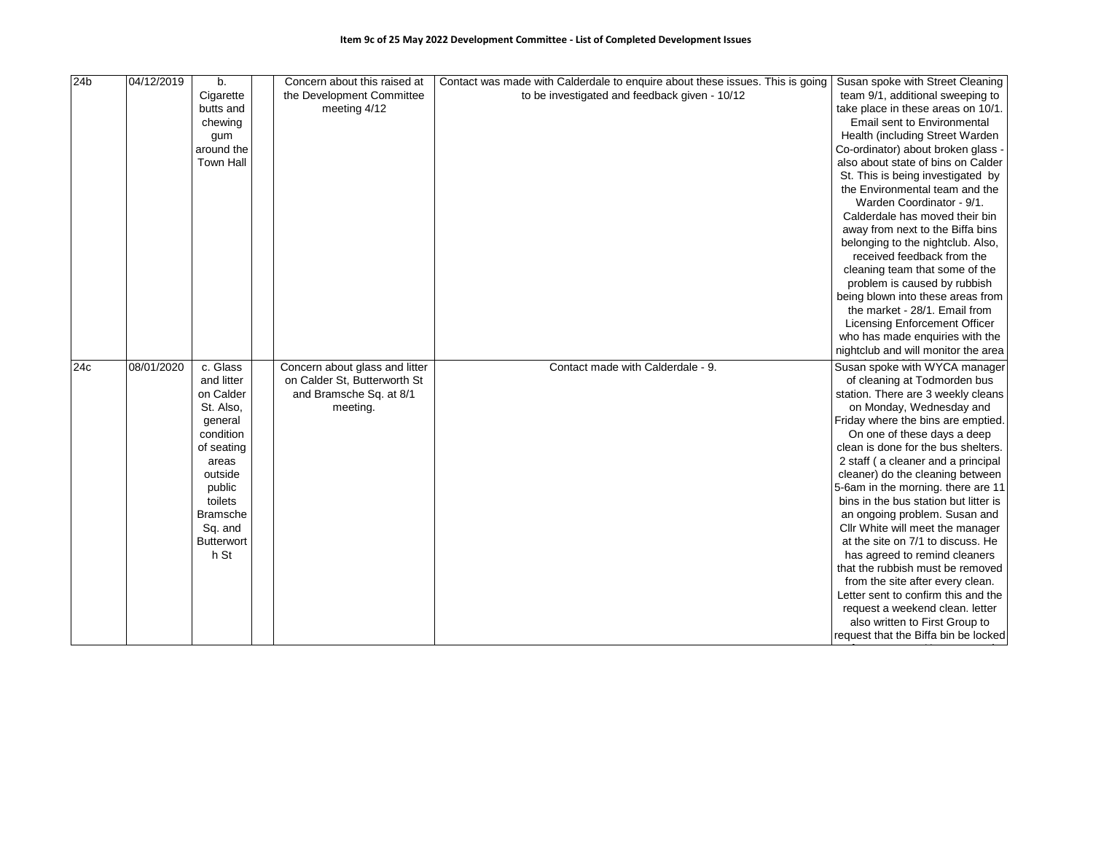| 24 <sub>b</sub> | 04/12/2019 | b.                | Concern about this raised at   | Contact was made with Calderdale to enquire about these issues. This is going Susan spoke with Street Cleaning |                                       |
|-----------------|------------|-------------------|--------------------------------|----------------------------------------------------------------------------------------------------------------|---------------------------------------|
|                 |            | Cigarette         | the Development Committee      | to be investigated and feedback given - 10/12                                                                  | team 9/1, additional sweeping to      |
|                 |            | butts and         | meeting 4/12                   |                                                                                                                | take place in these areas on 10/1.    |
|                 |            | chewing           |                                |                                                                                                                | Email sent to Environmental           |
|                 |            | gum               |                                |                                                                                                                | Health (including Street Warden       |
|                 |            | around the        |                                |                                                                                                                | Co-ordinator) about broken glass -    |
|                 |            | <b>Town Hall</b>  |                                |                                                                                                                | also about state of bins on Calder    |
|                 |            |                   |                                |                                                                                                                | St. This is being investigated by     |
|                 |            |                   |                                |                                                                                                                | the Environmental team and the        |
|                 |            |                   |                                |                                                                                                                | Warden Coordinator - 9/1.             |
|                 |            |                   |                                |                                                                                                                | Calderdale has moved their bin        |
|                 |            |                   |                                |                                                                                                                | away from next to the Biffa bins      |
|                 |            |                   |                                |                                                                                                                | belonging to the nightclub. Also,     |
|                 |            |                   |                                |                                                                                                                | received feedback from the            |
|                 |            |                   |                                |                                                                                                                | cleaning team that some of the        |
|                 |            |                   |                                |                                                                                                                | problem is caused by rubbish          |
|                 |            |                   |                                |                                                                                                                | being blown into these areas from     |
|                 |            |                   |                                |                                                                                                                | the market - 28/1. Email from         |
|                 |            |                   |                                |                                                                                                                | <b>Licensing Enforcement Officer</b>  |
|                 |            |                   |                                |                                                                                                                | who has made enquiries with the       |
|                 |            |                   |                                |                                                                                                                | nightclub and will monitor the area   |
| 24c             | 08/01/2020 | c. Glass          | Concern about glass and litter | Contact made with Calderdale - 9.                                                                              | Susan spoke with WYCA manager         |
|                 |            | and litter        | on Calder St, Butterworth St   |                                                                                                                | of cleaning at Todmorden bus          |
|                 |            | on Calder         | and Bramsche Sq. at 8/1        |                                                                                                                | station. There are 3 weekly cleans    |
|                 |            | St. Also,         | meeting.                       |                                                                                                                | on Monday, Wednesday and              |
|                 |            | general           |                                |                                                                                                                | Friday where the bins are emptied.    |
|                 |            | condition         |                                |                                                                                                                | On one of these days a deep           |
|                 |            | of seating        |                                |                                                                                                                | clean is done for the bus shelters.   |
|                 |            | areas             |                                |                                                                                                                | 2 staff (a cleaner and a principal    |
|                 |            | outside           |                                |                                                                                                                | cleaner) do the cleaning between      |
|                 |            | public            |                                |                                                                                                                | 5-6am in the morning. there are 11    |
|                 |            | toilets           |                                |                                                                                                                | bins in the bus station but litter is |
|                 |            | Bramsche          |                                |                                                                                                                | an ongoing problem. Susan and         |
|                 |            | Sq. and           |                                |                                                                                                                | Cllr White will meet the manager      |
|                 |            | <b>Butterwort</b> |                                |                                                                                                                | at the site on 7/1 to discuss. He     |
|                 |            | h St              |                                |                                                                                                                | has agreed to remind cleaners         |
|                 |            |                   |                                |                                                                                                                | that the rubbish must be removed      |
|                 |            |                   |                                |                                                                                                                | from the site after every clean.      |
|                 |            |                   |                                |                                                                                                                | Letter sent to confirm this and the   |
|                 |            |                   |                                |                                                                                                                | request a weekend clean. letter       |
|                 |            |                   |                                |                                                                                                                | also written to First Group to        |
|                 |            |                   |                                |                                                                                                                | request that the Biffa bin be locked  |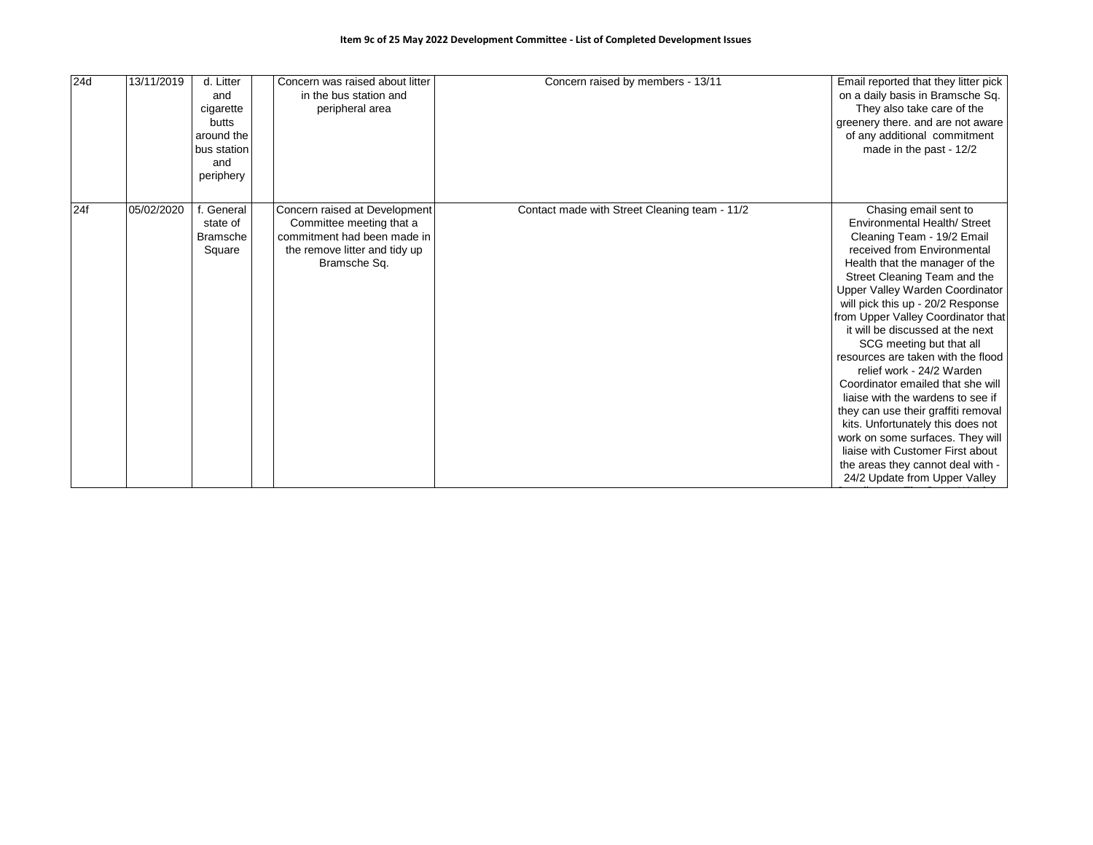| 24d | 13/11/2019 | d. Litter<br>and<br>cigarette<br>butts<br>around the<br>bus station<br>and<br>periphery | Concern was raised about litter<br>in the bus station and<br>peripheral area                                                              | Concern raised by members - 13/11             | Email reported that they litter pick<br>on a daily basis in Bramsche Sq.<br>They also take care of the<br>greenery there. and are not aware<br>of any additional commitment<br>made in the past - 12/2                                                                                                                                                                                                                                                                                                                                                                                                                                                                                                                                    |
|-----|------------|-----------------------------------------------------------------------------------------|-------------------------------------------------------------------------------------------------------------------------------------------|-----------------------------------------------|-------------------------------------------------------------------------------------------------------------------------------------------------------------------------------------------------------------------------------------------------------------------------------------------------------------------------------------------------------------------------------------------------------------------------------------------------------------------------------------------------------------------------------------------------------------------------------------------------------------------------------------------------------------------------------------------------------------------------------------------|
| 24f | 05/02/2020 | General<br>state of<br><b>Bramsche</b><br>Square                                        | Concern raised at Development<br>Committee meeting that a<br>commitment had been made in<br>the remove litter and tidy up<br>Bramsche Sq. | Contact made with Street Cleaning team - 11/2 | Chasing email sent to<br>Environmental Health/ Street<br>Cleaning Team - 19/2 Email<br>received from Environmental<br>Health that the manager of the<br>Street Cleaning Team and the<br>Upper Valley Warden Coordinator<br>will pick this up - 20/2 Response<br>from Upper Valley Coordinator that<br>it will be discussed at the next<br>SCG meeting but that all<br>resources are taken with the flood<br>relief work - 24/2 Warden<br>Coordinator emailed that she will<br>liaise with the wardens to see if<br>they can use their graffiti removal<br>kits. Unfortunately this does not<br>work on some surfaces. They will<br>liaise with Customer First about<br>the areas they cannot deal with -<br>24/2 Update from Upper Valley |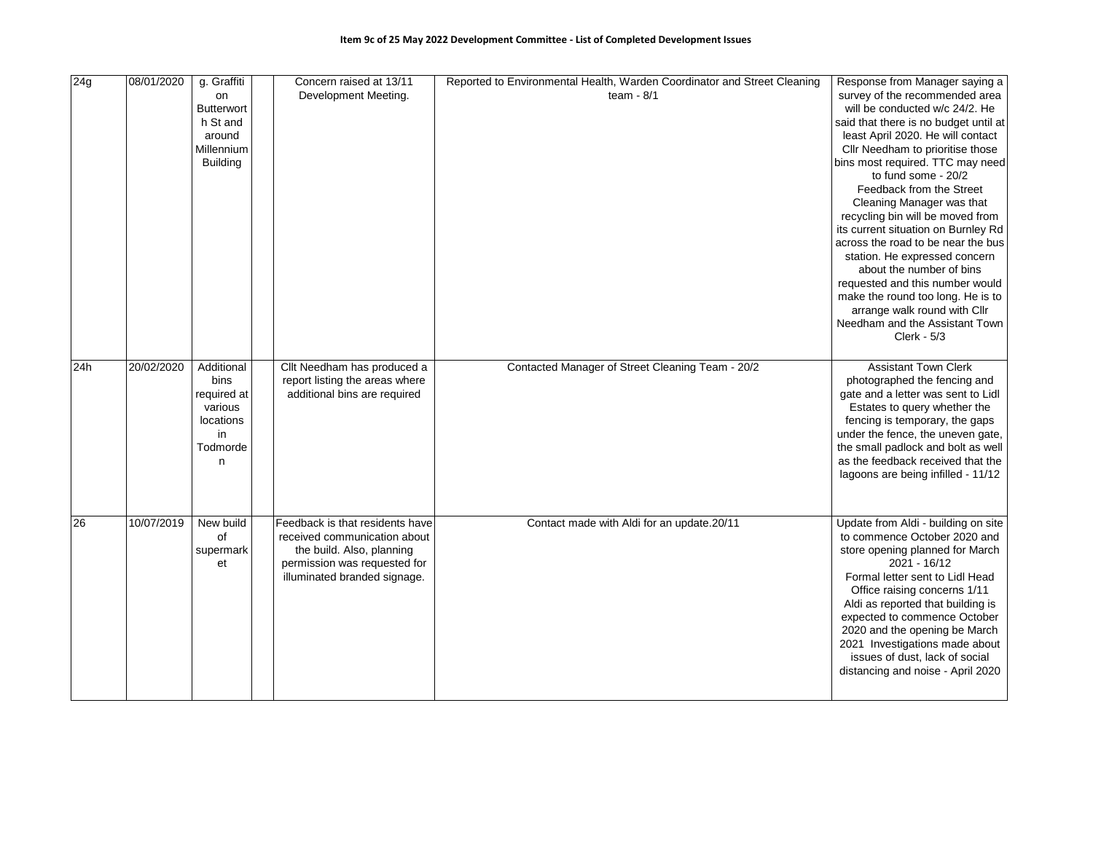| 24g | 08/01/2020 | g. Graffiti<br>on<br><b>Butterwort</b><br>h St and<br>around<br>Millennium<br><b>Building</b> | Concern raised at 13/11<br>Development Meeting.                                                                                                              | Reported to Environmental Health, Warden Coordinator and Street Cleaning<br>team - $8/1$ | Response from Manager saying a<br>survey of the recommended area<br>will be conducted w/c 24/2. He<br>said that there is no budget until at<br>least April 2020. He will contact<br>Cllr Needham to prioritise those<br>bins most required. TTC may need<br>to fund some - 20/2<br>Feedback from the Street<br>Cleaning Manager was that<br>recycling bin will be moved from<br>its current situation on Burnley Rd<br>across the road to be near the bus<br>station. He expressed concern<br>about the number of bins<br>requested and this number would<br>make the round too long. He is to<br>arrange walk round with Cllr<br>Needham and the Assistant Town<br>$Clerk - 5/3$ |
|-----|------------|-----------------------------------------------------------------------------------------------|--------------------------------------------------------------------------------------------------------------------------------------------------------------|------------------------------------------------------------------------------------------|-----------------------------------------------------------------------------------------------------------------------------------------------------------------------------------------------------------------------------------------------------------------------------------------------------------------------------------------------------------------------------------------------------------------------------------------------------------------------------------------------------------------------------------------------------------------------------------------------------------------------------------------------------------------------------------|
| 24h | 20/02/2020 | Additional<br>bins<br>required at<br>various<br>locations<br>in<br>Todmorde<br>n              | Cllt Needham has produced a<br>report listing the areas where<br>additional bins are required                                                                | Contacted Manager of Street Cleaning Team - 20/2                                         | <b>Assistant Town Clerk</b><br>photographed the fencing and<br>gate and a letter was sent to Lidl<br>Estates to query whether the<br>fencing is temporary, the gaps<br>under the fence, the uneven gate,<br>the small padlock and bolt as well<br>as the feedback received that the<br>lagoons are being infilled - 11/12                                                                                                                                                                                                                                                                                                                                                         |
| 26  | 10/07/2019 | New build<br>of<br>supermark<br>et                                                            | Feedback is that residents have<br>received communication about<br>the build. Also, planning<br>permission was requested for<br>illuminated branded signage. | Contact made with Aldi for an update.20/11                                               | Update from Aldi - building on site<br>to commence October 2020 and<br>store opening planned for March<br>$2021 - 16/12$<br>Formal letter sent to Lidl Head<br>Office raising concerns 1/11<br>Aldi as reported that building is<br>expected to commence October<br>2020 and the opening be March<br>2021 Investigations made about<br>issues of dust, lack of social<br>distancing and noise - April 2020                                                                                                                                                                                                                                                                        |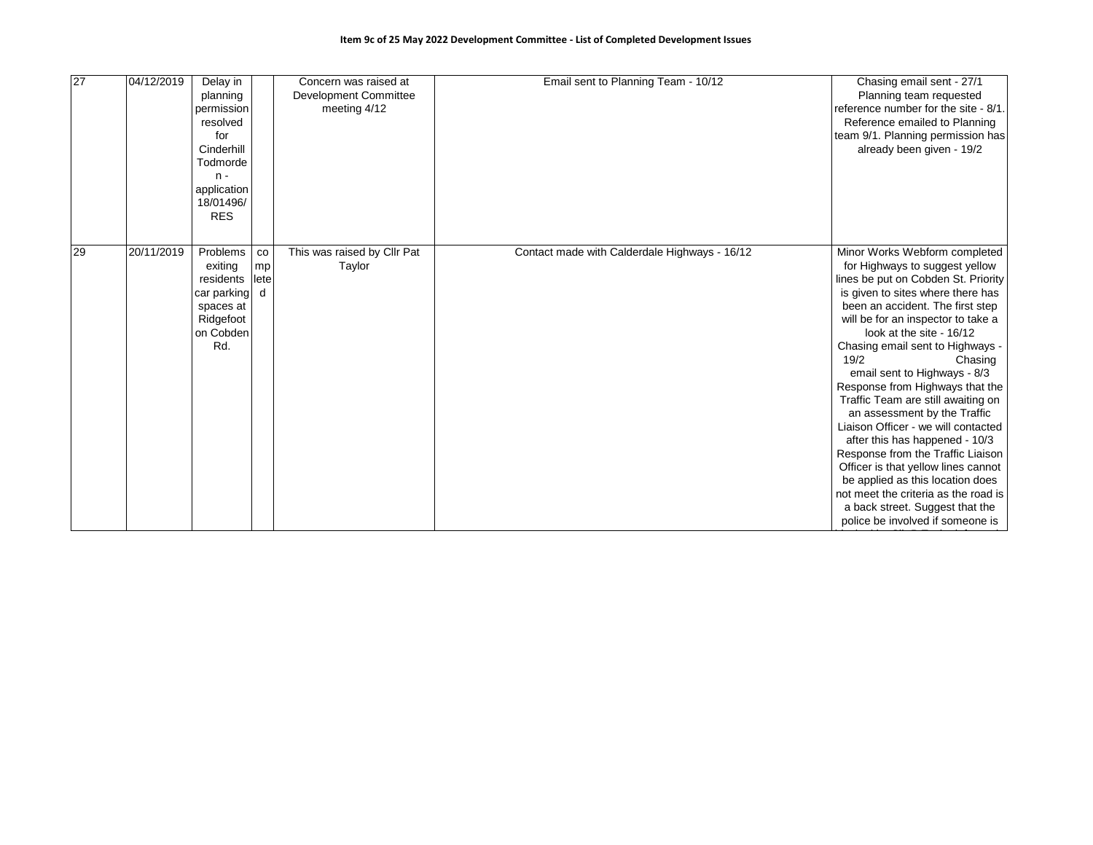| 27 | 04/12/2019 | Delay in<br>planning<br>permission<br>resolved<br>for<br>Cinderhill<br>Todmorde<br>$n -$<br>application<br>18/01496/<br><b>RES</b> |                                | Concern was raised at<br>Development Committee<br>meeting 4/12 | Email sent to Planning Team - 10/12           | Chasing email sent - 27/1<br>Planning team requested<br>reference number for the site - 8/1.<br>Reference emailed to Planning<br>team 9/1. Planning permission has<br>already been given - 19/2                                                                                                                                                                                                                                                                                                                                                                                                                                                                                                                                                           |
|----|------------|------------------------------------------------------------------------------------------------------------------------------------|--------------------------------|----------------------------------------------------------------|-----------------------------------------------|-----------------------------------------------------------------------------------------------------------------------------------------------------------------------------------------------------------------------------------------------------------------------------------------------------------------------------------------------------------------------------------------------------------------------------------------------------------------------------------------------------------------------------------------------------------------------------------------------------------------------------------------------------------------------------------------------------------------------------------------------------------|
| 29 | 20/11/2019 | Problems<br>exiting<br>residents<br>car parking<br>spaces at<br>Ridgefoot<br>on Cobden<br>Rd.                                      | $_{\rm co}$<br>mp<br>lete<br>d | This was raised by Cllr Pat<br>Taylor                          | Contact made with Calderdale Highways - 16/12 | Minor Works Webform completed<br>for Highways to suggest yellow<br>lines be put on Cobden St. Priority<br>is given to sites where there has<br>been an accident. The first step<br>will be for an inspector to take a<br>look at the site - 16/12<br>Chasing email sent to Highways -<br>19/2<br>Chasing<br>email sent to Highways - 8/3<br>Response from Highways that the<br>Traffic Team are still awaiting on<br>an assessment by the Traffic<br>Liaison Officer - we will contacted<br>after this has happened - 10/3<br>Response from the Traffic Liaison<br>Officer is that yellow lines cannot<br>be applied as this location does<br>not meet the criteria as the road is<br>a back street. Suggest that the<br>police be involved if someone is |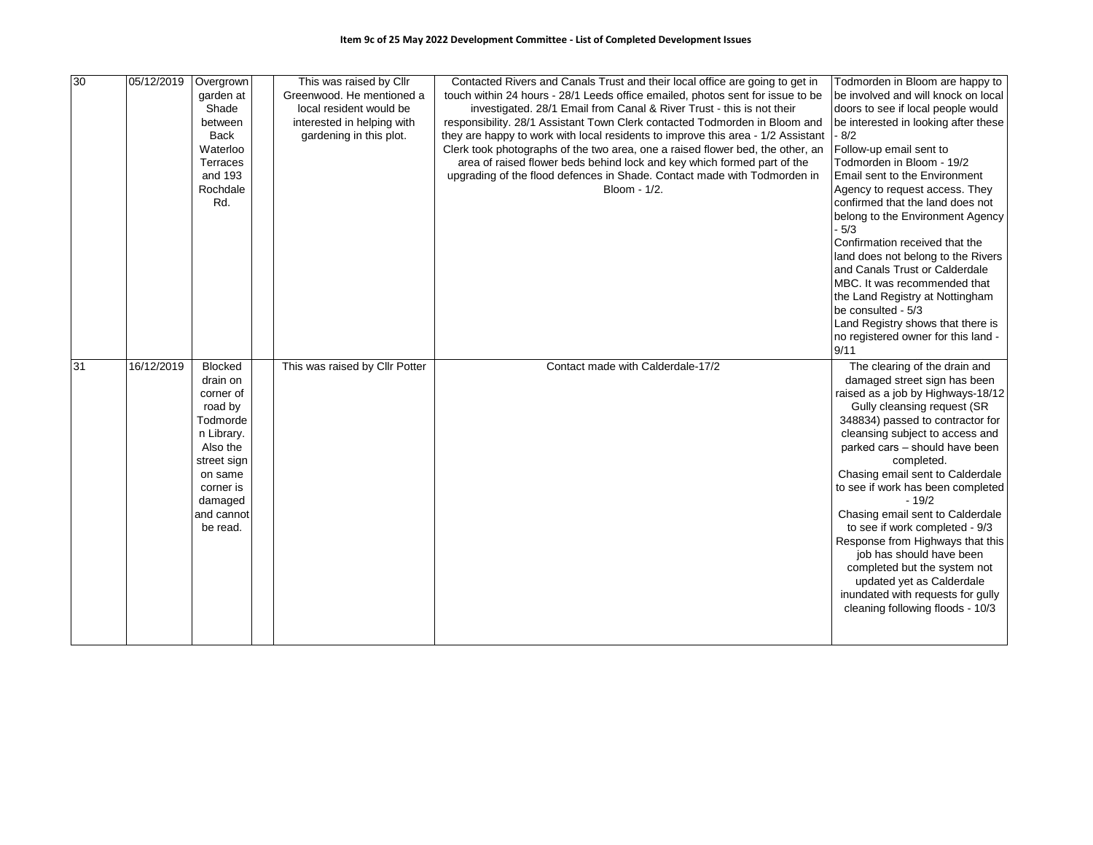| 30 | 05/12/2019 | Overgrown            | This was raised by Cllr        | Contacted Rivers and Canals Trust and their local office are going to get in     | Todmorden in Bloom are happy to              |
|----|------------|----------------------|--------------------------------|----------------------------------------------------------------------------------|----------------------------------------------|
|    |            | garden at            | Greenwood. He mentioned a      | touch within 24 hours - 28/1 Leeds office emailed, photos sent for issue to be   | be involved and will knock on local          |
|    |            | Shade                | local resident would be        | investigated. 28/1 Email from Canal & River Trust - this is not their            | doors to see if local people would           |
|    |            | between              | interested in helping with     | responsibility. 28/1 Assistant Town Clerk contacted Todmorden in Bloom and       | be interested in looking after these         |
|    |            | <b>Back</b>          | gardening in this plot.        | they are happy to work with local residents to improve this area - 1/2 Assistant | $-8/2$                                       |
|    |            | Waterloo             |                                | Clerk took photographs of the two area, one a raised flower bed, the other, an   | Follow-up email sent to                      |
|    |            | Terraces             |                                | area of raised flower beds behind lock and key which formed part of the          | Todmorden in Bloom - 19/2                    |
|    |            | and 193              |                                | upgrading of the flood defences in Shade. Contact made with Todmorden in         | Email sent to the Environment                |
|    |            | Rochdale             |                                | Bloom - 1/2.                                                                     | Agency to request access. They               |
|    |            | Rd.                  |                                |                                                                                  | confirmed that the land does not             |
|    |            |                      |                                |                                                                                  | belong to the Environment Agency             |
|    |            |                      |                                |                                                                                  | $-5/3$                                       |
|    |            |                      |                                |                                                                                  | Confirmation received that the               |
|    |            |                      |                                |                                                                                  | land does not belong to the Rivers           |
|    |            |                      |                                |                                                                                  | and Canals Trust or Calderdale               |
|    |            |                      |                                |                                                                                  | MBC. It was recommended that                 |
|    |            |                      |                                |                                                                                  | the Land Registry at Nottingham              |
|    |            |                      |                                |                                                                                  | be consulted - 5/3                           |
|    |            |                      |                                |                                                                                  | Land Registry shows that there is            |
|    |            |                      |                                |                                                                                  | no registered owner for this land -          |
|    |            |                      |                                |                                                                                  | 9/11                                         |
| 31 | 16/12/2019 | <b>Blocked</b>       | This was raised by Cllr Potter | Contact made with Calderdale-17/2                                                | The clearing of the drain and                |
|    |            | drain on             |                                |                                                                                  | damaged street sign has been                 |
|    |            | corner of            |                                |                                                                                  | raised as a job by Highways-18/12            |
|    |            | road by              |                                |                                                                                  | Gully cleansing request (SR                  |
|    |            | Todmorde             |                                |                                                                                  | 348834) passed to contractor for             |
|    |            | n Library.           |                                |                                                                                  | cleansing subject to access and              |
|    |            | Also the             |                                |                                                                                  | parked cars - should have been               |
|    |            | street sign          |                                |                                                                                  | completed.                                   |
|    |            | on same              |                                |                                                                                  | Chasing email sent to Calderdale             |
|    |            | corner is<br>damaged |                                |                                                                                  | to see if work has been completed<br>$-19/2$ |
|    |            | and cannot           |                                |                                                                                  | Chasing email sent to Calderdale             |
|    |            | be read.             |                                |                                                                                  | to see if work completed - 9/3               |
|    |            |                      |                                |                                                                                  | Response from Highways that this             |
|    |            |                      |                                |                                                                                  | job has should have been                     |
|    |            |                      |                                |                                                                                  | completed but the system not                 |
|    |            |                      |                                |                                                                                  | updated yet as Calderdale                    |
|    |            |                      |                                |                                                                                  | inundated with requests for gully            |
|    |            |                      |                                |                                                                                  | cleaning following floods - 10/3             |
|    |            |                      |                                |                                                                                  |                                              |
|    |            |                      |                                |                                                                                  |                                              |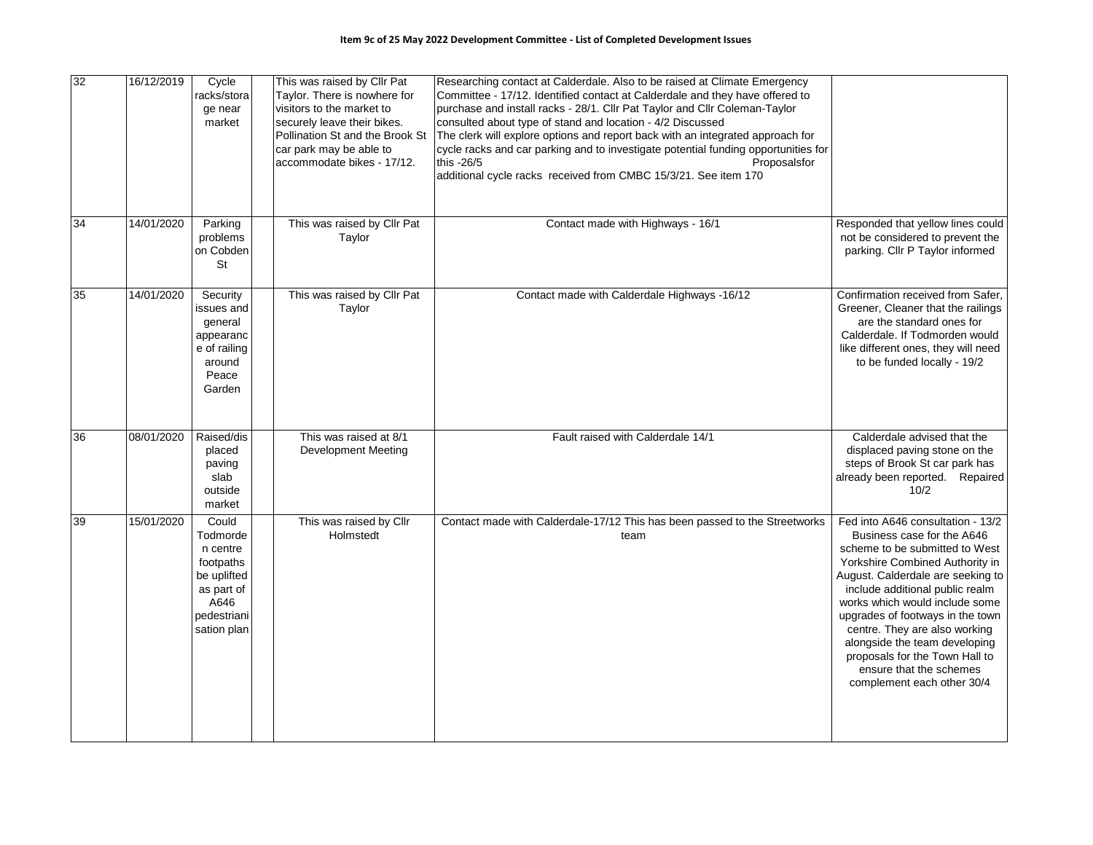| 32 | 16/12/2019 | Cycle<br>racks/stora<br>ge near<br>market                                                                     | This was raised by Cllr Pat<br>Taylor. There is nowhere for<br>visitors to the market to<br>securely leave their bikes.<br>car park may be able to<br>accommodate bikes - 17/12. | Researching contact at Calderdale. Also to be raised at Climate Emergency<br>Committee - 17/12. Identified contact at Calderdale and they have offered to<br>purchase and install racks - 28/1. Cllr Pat Taylor and Cllr Coleman-Taylor<br>consulted about type of stand and location - 4/2 Discussed<br>Pollination St and the Brook St   The clerk will explore options and report back with an integrated approach for<br>cycle racks and car parking and to investigate potential funding opportunities for<br>this -26/5<br>Proposalsfor<br>additional cycle racks received from CMBC 15/3/21. See item 170 |                                                                                                                                                                                                                                                                                                                                                                                                                                                 |
|----|------------|---------------------------------------------------------------------------------------------------------------|----------------------------------------------------------------------------------------------------------------------------------------------------------------------------------|------------------------------------------------------------------------------------------------------------------------------------------------------------------------------------------------------------------------------------------------------------------------------------------------------------------------------------------------------------------------------------------------------------------------------------------------------------------------------------------------------------------------------------------------------------------------------------------------------------------|-------------------------------------------------------------------------------------------------------------------------------------------------------------------------------------------------------------------------------------------------------------------------------------------------------------------------------------------------------------------------------------------------------------------------------------------------|
| 34 | 14/01/2020 | Parking<br>problems<br>on Cobden<br>St                                                                        | This was raised by Cllr Pat<br>Taylor                                                                                                                                            | Contact made with Highways - 16/1                                                                                                                                                                                                                                                                                                                                                                                                                                                                                                                                                                                | Responded that yellow lines could<br>not be considered to prevent the<br>parking. Cllr P Taylor informed                                                                                                                                                                                                                                                                                                                                        |
| 35 | 14/01/2020 | Security<br>ssues and<br>general<br>appearanc<br>e of railing<br>around<br>Peace<br>Garden                    | This was raised by Cllr Pat<br>Taylor                                                                                                                                            | Contact made with Calderdale Highways -16/12                                                                                                                                                                                                                                                                                                                                                                                                                                                                                                                                                                     | Confirmation received from Safer,<br>Greener, Cleaner that the railings<br>are the standard ones for<br>Calderdale. If Todmorden would<br>like different ones, they will need<br>to be funded locally - 19/2                                                                                                                                                                                                                                    |
| 36 | 08/01/2020 | Raised/dis<br>placed<br>paving<br>slab<br>outside<br>market                                                   | This was raised at 8/1<br>Development Meeting                                                                                                                                    | Fault raised with Calderdale 14/1                                                                                                                                                                                                                                                                                                                                                                                                                                                                                                                                                                                | Calderdale advised that the<br>displaced paving stone on the<br>steps of Brook St car park has<br>already been reported. Repaired<br>10/2                                                                                                                                                                                                                                                                                                       |
| 39 | 15/01/2020 | Could<br>Todmorde<br>n centre<br>footpaths<br>be uplifted<br>as part of<br>A646<br>pedestriani<br>sation plan | This was raised by Cllr<br>Holmstedt                                                                                                                                             | Contact made with Calderdale-17/12 This has been passed to the Streetworks<br>team                                                                                                                                                                                                                                                                                                                                                                                                                                                                                                                               | Fed into A646 consultation - 13/2<br>Business case for the A646<br>scheme to be submitted to West<br>Yorkshire Combined Authority in<br>August. Calderdale are seeking to<br>include additional public realm<br>works which would include some<br>upgrades of footways in the town<br>centre. They are also working<br>alongside the team developing<br>proposals for the Town Hall to<br>ensure that the schemes<br>complement each other 30/4 |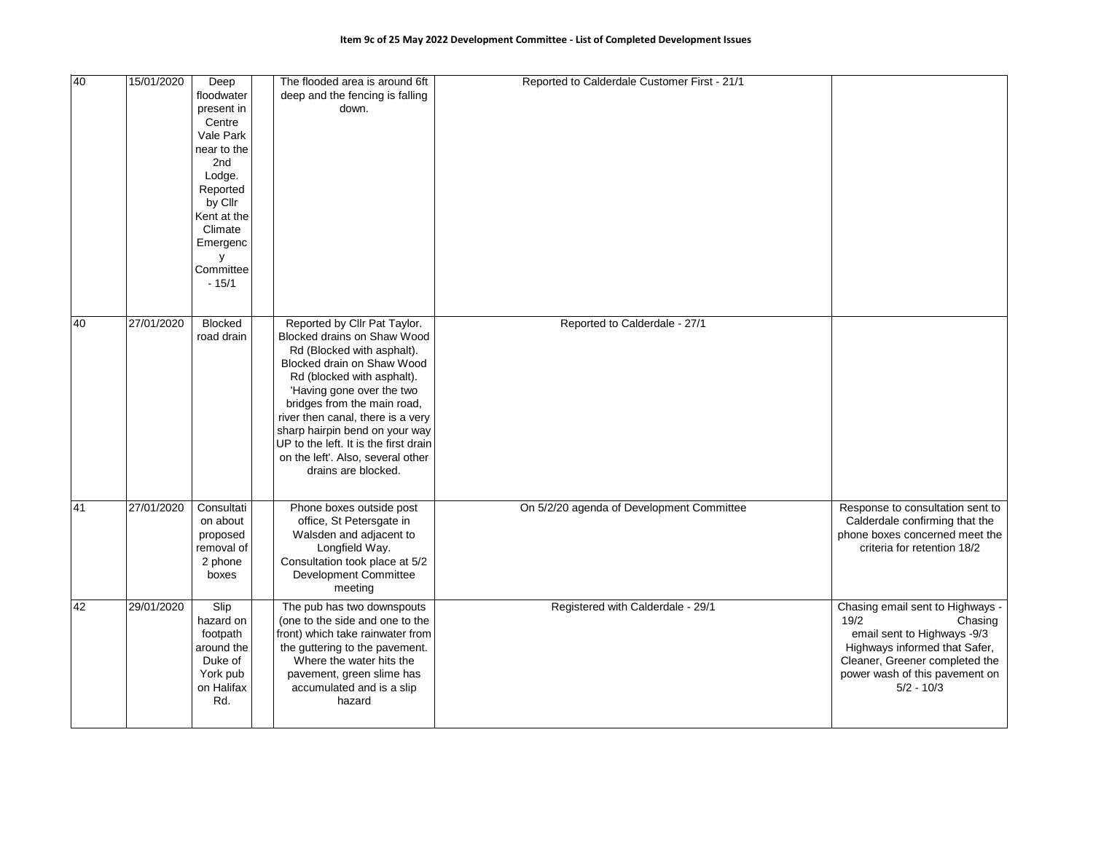| 40 | 15/01/2020 | Deep<br>floodwater<br>present in<br>Centre<br>Vale Park<br>near to the<br>2nd<br>Lodge.<br>Reported<br>by Cllr<br>Kent at the<br>Climate<br>Emergenc<br>у<br>Committee<br>$-15/1$ | The flooded area is around 6ft<br>deep and the fencing is falling<br>down.                                                                                                                                                                                                                                                                                                                    | Reported to Calderdale Customer First - 21/1 |                                                                                                                                                                                                         |
|----|------------|-----------------------------------------------------------------------------------------------------------------------------------------------------------------------------------|-----------------------------------------------------------------------------------------------------------------------------------------------------------------------------------------------------------------------------------------------------------------------------------------------------------------------------------------------------------------------------------------------|----------------------------------------------|---------------------------------------------------------------------------------------------------------------------------------------------------------------------------------------------------------|
| 40 | 27/01/2020 | <b>Blocked</b><br>road drain                                                                                                                                                      | Reported by Cllr Pat Taylor.<br>Blocked drains on Shaw Wood<br>Rd (Blocked with asphalt).<br>Blocked drain on Shaw Wood<br>Rd (blocked with asphalt).<br>'Having gone over the two<br>bridges from the main road,<br>river then canal, there is a very<br>sharp hairpin bend on your way<br>UP to the left. It is the first drain<br>on the left'. Also, several other<br>drains are blocked. | Reported to Calderdale - 27/1                |                                                                                                                                                                                                         |
| 41 | 27/01/2020 | Consultati<br>on about<br>proposed<br>removal of<br>2 phone<br>boxes                                                                                                              | Phone boxes outside post<br>office, St Petersgate in<br>Walsden and adjacent to<br>Longfield Way.<br>Consultation took place at 5/2<br>Development Committee<br>meeting                                                                                                                                                                                                                       | On 5/2/20 agenda of Development Committee    | Response to consultation sent to<br>Calderdale confirming that the<br>phone boxes concerned meet the<br>criteria for retention 18/2                                                                     |
| 42 | 29/01/2020 | Slip<br>hazard on<br>footpath<br>around the<br>Duke of<br>York pub<br>on Halifax<br>Rd.                                                                                           | The pub has two downspouts<br>(one to the side and one to the<br>front) which take rainwater from<br>the guttering to the pavement.<br>Where the water hits the<br>pavement, green slime has<br>accumulated and is a slip<br>hazard                                                                                                                                                           | Registered with Calderdale - 29/1            | Chasing email sent to Highways -<br>19/2<br>Chasing<br>email sent to Highways -9/3<br>Highways informed that Safer,<br>Cleaner, Greener completed the<br>power wash of this pavement on<br>$5/2 - 10/3$ |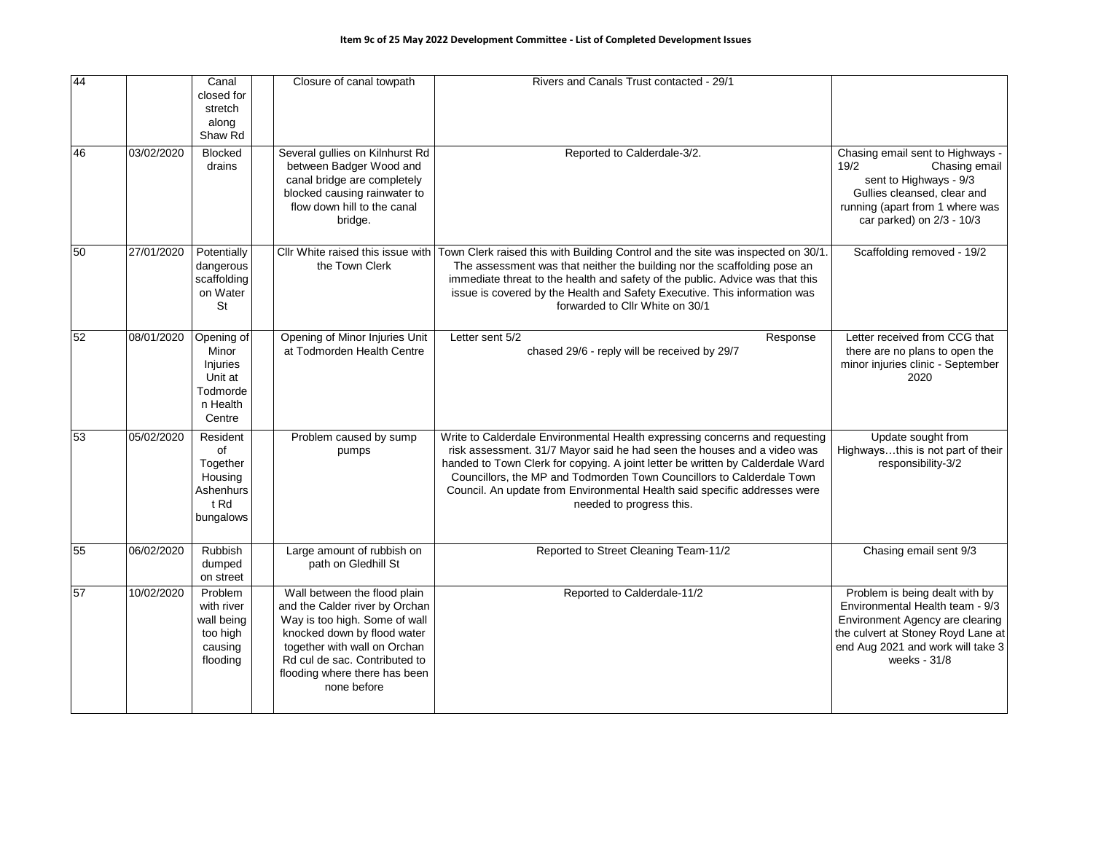| 44 |            | Canal<br>closed for<br>stretch<br>along<br>Shaw Rd                           | Closure of canal towpath                                                                                                                                                                                                                        | Rivers and Canals Trust contacted - 29/1                                                                                                                                                                                                                                                                                                                                                                                   |                                                                                                                                                                                                 |
|----|------------|------------------------------------------------------------------------------|-------------------------------------------------------------------------------------------------------------------------------------------------------------------------------------------------------------------------------------------------|----------------------------------------------------------------------------------------------------------------------------------------------------------------------------------------------------------------------------------------------------------------------------------------------------------------------------------------------------------------------------------------------------------------------------|-------------------------------------------------------------------------------------------------------------------------------------------------------------------------------------------------|
| 46 | 03/02/2020 | <b>Blocked</b><br>drains                                                     | Several gullies on Kilnhurst Rd<br>between Badger Wood and<br>canal bridge are completely<br>blocked causing rainwater to<br>flow down hill to the canal<br>bridge.                                                                             | Reported to Calderdale-3/2.                                                                                                                                                                                                                                                                                                                                                                                                | Chasing email sent to Highways -<br>19/2<br>Chasing email<br>sent to Highways - 9/3<br>Gullies cleansed, clear and<br>running (apart from 1 where was<br>car parked) on 2/3 - 10/3              |
| 50 | 27/01/2020 | Potentially<br>dangerous<br>scaffolding<br>on Water<br>St                    | Cllr White raised this issue with<br>the Town Clerk                                                                                                                                                                                             | Town Clerk raised this with Building Control and the site was inspected on 30/1.<br>The assessment was that neither the building nor the scaffolding pose an<br>immediate threat to the health and safety of the public. Advice was that this<br>issue is covered by the Health and Safety Executive. This information was<br>forwarded to Cllr White on 30/1                                                              | Scaffolding removed - 19/2                                                                                                                                                                      |
| 52 | 08/01/2020 | Opening of<br>Minor<br>Injuries<br>Unit at<br>Todmorde<br>n Health<br>Centre | Opening of Minor Injuries Unit<br>at Todmorden Health Centre                                                                                                                                                                                    | Letter sent 5/2<br>Response<br>chased 29/6 - reply will be received by 29/7                                                                                                                                                                                                                                                                                                                                                | Letter received from CCG that<br>there are no plans to open the<br>minor injuries clinic - September<br>2020                                                                                    |
| 53 | 05/02/2020 | Resident<br>of<br>Together<br>Housing<br>Ashenhurs<br>t Rd<br>bungalows      | Problem caused by sump<br>pumps                                                                                                                                                                                                                 | Write to Calderdale Environmental Health expressing concerns and requesting<br>risk assessment. 31/7 Mayor said he had seen the houses and a video was<br>handed to Town Clerk for copying. A joint letter be written by Calderdale Ward<br>Councillors, the MP and Todmorden Town Councillors to Calderdale Town<br>Council. An update from Environmental Health said specific addresses were<br>needed to progress this. | Update sought from<br>Highwaysthis is not part of their<br>responsibility-3/2                                                                                                                   |
| 55 | 06/02/2020 | Rubbish<br>dumped<br>on street                                               | Large amount of rubbish on<br>path on Gledhill St                                                                                                                                                                                               | Reported to Street Cleaning Team-11/2                                                                                                                                                                                                                                                                                                                                                                                      | Chasing email sent 9/3                                                                                                                                                                          |
| 57 | 10/02/2020 | Problem<br>with river<br>wall being<br>too high<br>causing<br>flooding       | Wall between the flood plain<br>and the Calder river by Orchan<br>Way is too high. Some of wall<br>knocked down by flood water<br>together with wall on Orchan<br>Rd cul de sac. Contributed to<br>flooding where there has been<br>none before | Reported to Calderdale-11/2                                                                                                                                                                                                                                                                                                                                                                                                | Problem is being dealt with by<br>Environmental Health team - 9/3<br>Environment Agency are clearing<br>the culvert at Stoney Royd Lane at<br>end Aug 2021 and work will take 3<br>weeks - 31/8 |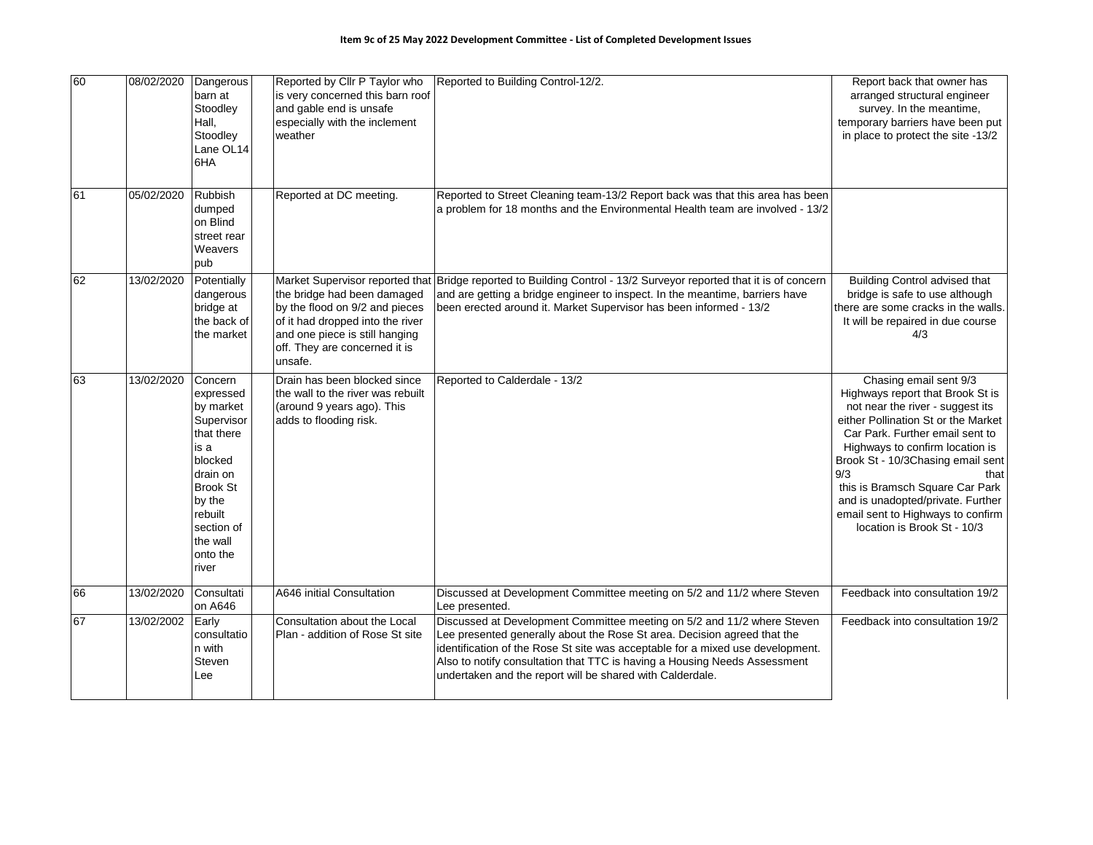| 60 | 08/02/2020 | Dangerous<br>barn at<br>Stoodley<br>Hall,<br>Stoodley<br>Lane OL14<br>6HA                                                                                                           | Reported by Cllr P Taylor who<br>is very concerned this barn roof<br>and gable end is unsafe<br>especially with the inclement<br>weather                                                                           | Reported to Building Control-12/2.                                                                                                                                                                                                                                                                                                                                              | Report back that owner has<br>arranged structural engineer<br>survey. In the meantime,<br>temporary barriers have been put<br>in place to protect the site -13/2                                                                                                                                                                                                                                            |
|----|------------|-------------------------------------------------------------------------------------------------------------------------------------------------------------------------------------|--------------------------------------------------------------------------------------------------------------------------------------------------------------------------------------------------------------------|---------------------------------------------------------------------------------------------------------------------------------------------------------------------------------------------------------------------------------------------------------------------------------------------------------------------------------------------------------------------------------|-------------------------------------------------------------------------------------------------------------------------------------------------------------------------------------------------------------------------------------------------------------------------------------------------------------------------------------------------------------------------------------------------------------|
| 61 | 05/02/2020 | <b>Rubbish</b><br>dumped<br>on Blind<br>street rear<br>Weavers<br>pub                                                                                                               | Reported at DC meeting.                                                                                                                                                                                            | Reported to Street Cleaning team-13/2 Report back was that this area has been<br>a problem for 18 months and the Environmental Health team are involved - 13/2                                                                                                                                                                                                                  |                                                                                                                                                                                                                                                                                                                                                                                                             |
| 62 | 13/02/2020 | Potentially<br>dangerous<br>bridge at<br>the back of<br>the market                                                                                                                  | Market Supervisor reported that<br>the bridge had been damaged<br>by the flood on 9/2 and pieces<br>of it had dropped into the river<br>and one piece is still hanging<br>off. They are concerned it is<br>unsafe. | Bridge reported to Building Control - 13/2 Surveyor reported that it is of concern<br>and are getting a bridge engineer to inspect. In the meantime, barriers have<br>been erected around it. Market Supervisor has been informed - 13/2                                                                                                                                        | <b>Building Control advised that</b><br>bridge is safe to use although<br>there are some cracks in the walls.<br>It will be repaired in due course<br>4/3                                                                                                                                                                                                                                                   |
| 63 | 13/02/2020 | Concern<br>expressed<br>by market<br>Supervisor<br>that there<br>is a<br>blocked<br>drain on<br><b>Brook St</b><br>by the<br>rebuilt<br>section of<br>the wall<br>onto the<br>river | Drain has been blocked since<br>the wall to the river was rebuilt<br>(around 9 years ago). This<br>adds to flooding risk.                                                                                          | Reported to Calderdale - 13/2                                                                                                                                                                                                                                                                                                                                                   | Chasing email sent 9/3<br>Highways report that Brook St is<br>not near the river - suggest its<br>either Pollination St or the Market<br>Car Park. Further email sent to<br>Highways to confirm location is<br>Brook St - 10/3Chasing email sent<br>9/3<br>that<br>this is Bramsch Square Car Park<br>and is unadopted/private. Further<br>email sent to Highways to confirm<br>location is Brook St - 10/3 |
| 66 | 13/02/2020 | Consultati<br>on A646                                                                                                                                                               | A646 initial Consultation                                                                                                                                                                                          | Discussed at Development Committee meeting on 5/2 and 11/2 where Steven<br>Lee presented.                                                                                                                                                                                                                                                                                       | Feedback into consultation 19/2                                                                                                                                                                                                                                                                                                                                                                             |
| 67 | 13/02/2002 | Early<br>consultatio<br>n with<br>Steven<br>Lee                                                                                                                                     | Consultation about the Local<br>Plan - addition of Rose St site                                                                                                                                                    | Discussed at Development Committee meeting on 5/2 and 11/2 where Steven<br>Lee presented generally about the Rose St area. Decision agreed that the<br>identification of the Rose St site was acceptable for a mixed use development.<br>Also to notify consultation that TTC is having a Housing Needs Assessment<br>undertaken and the report will be shared with Calderdale. | Feedback into consultation 19/2                                                                                                                                                                                                                                                                                                                                                                             |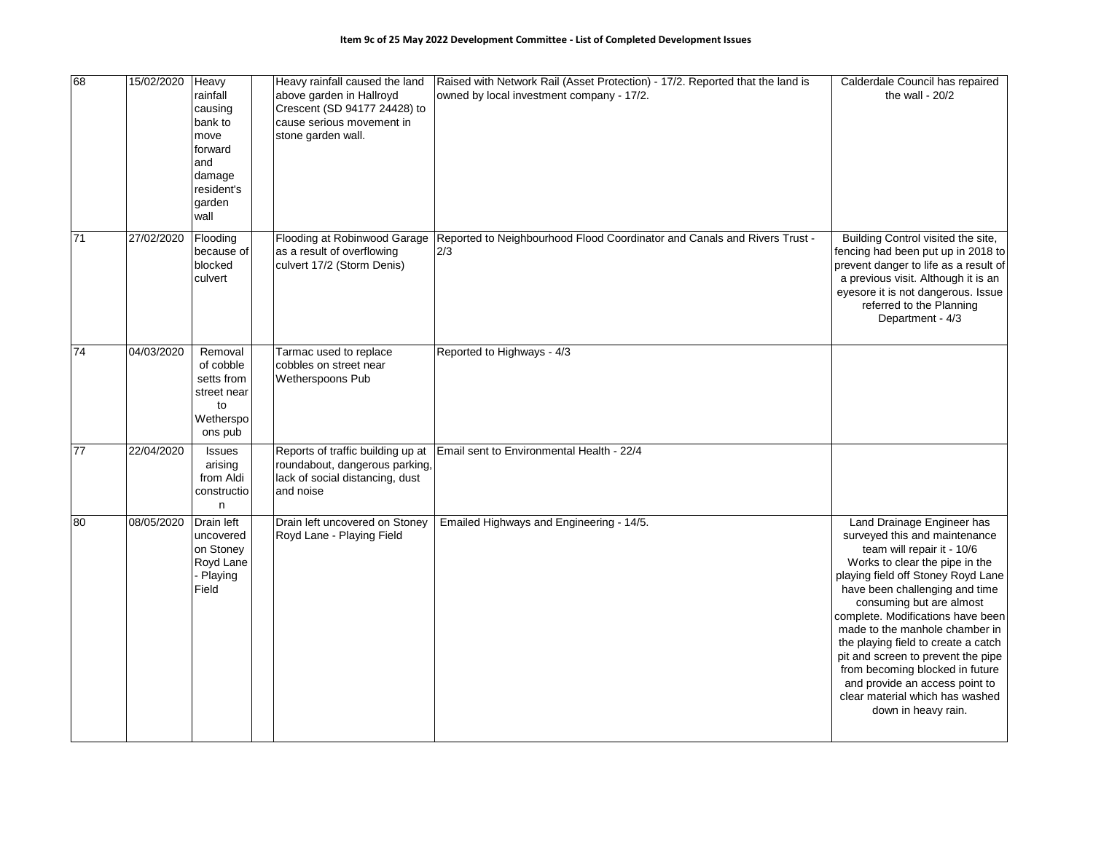| 68              | 15/02/2020 | Heavy<br>rainfall<br>causing<br>bank to<br>move<br>forward<br>and<br>damage<br>resident's<br>garden<br>wall | Heavy rainfall caused the land<br>above garden in Hallroyd<br>Crescent (SD 94177 24428) to<br>cause serious movement in<br>stone garden wall. | Raised with Network Rail (Asset Protection) - 17/2. Reported that the land is<br>owned by local investment company - 17/2. | Calderdale Council has repaired<br>the wall - $20/2$                                                                                                                                                                                                                                                                                                                                                                                                                                                               |
|-----------------|------------|-------------------------------------------------------------------------------------------------------------|-----------------------------------------------------------------------------------------------------------------------------------------------|----------------------------------------------------------------------------------------------------------------------------|--------------------------------------------------------------------------------------------------------------------------------------------------------------------------------------------------------------------------------------------------------------------------------------------------------------------------------------------------------------------------------------------------------------------------------------------------------------------------------------------------------------------|
| 71              | 27/02/2020 | Flooding<br>because of<br>blocked<br>culvert                                                                | Flooding at Robinwood Garage<br>as a result of overflowing<br>culvert 17/2 (Storm Denis)                                                      | Reported to Neighbourhood Flood Coordinator and Canals and Rivers Trust -<br>2/3                                           | Building Control visited the site,<br>fencing had been put up in 2018 to<br>prevent danger to life as a result of<br>a previous visit. Although it is an<br>eyesore it is not dangerous. Issue<br>referred to the Planning<br>Department - 4/3                                                                                                                                                                                                                                                                     |
| 74              | 04/03/2020 | Removal<br>of cobble<br>setts from<br>street near<br>to<br>Wetherspo<br>ons pub                             | Tarmac used to replace<br>cobbles on street near<br><b>Wetherspoons Pub</b>                                                                   | Reported to Highways - 4/3                                                                                                 |                                                                                                                                                                                                                                                                                                                                                                                                                                                                                                                    |
| $\overline{77}$ | 22/04/2020 | Issues<br>arising<br>from Aldi<br>constructio<br>n                                                          | Reports of traffic building up at<br>roundabout, dangerous parking,<br>lack of social distancing, dust<br>and noise                           | Email sent to Environmental Health - 22/4                                                                                  |                                                                                                                                                                                                                                                                                                                                                                                                                                                                                                                    |
| 80              | 08/05/2020 | Drain left<br>uncovered<br>on Stoney<br>Royd Lane<br>- Playing<br>Field                                     | Drain left uncovered on Stoney<br>Royd Lane - Playing Field                                                                                   | Emailed Highways and Engineering - 14/5.                                                                                   | Land Drainage Engineer has<br>surveyed this and maintenance<br>team will repair it - 10/6<br>Works to clear the pipe in the<br>playing field off Stoney Royd Lane<br>have been challenging and time<br>consuming but are almost<br>complete. Modifications have been<br>made to the manhole chamber in<br>the playing field to create a catch<br>pit and screen to prevent the pipe<br>from becoming blocked in future<br>and provide an access point to<br>clear material which has washed<br>down in heavy rain. |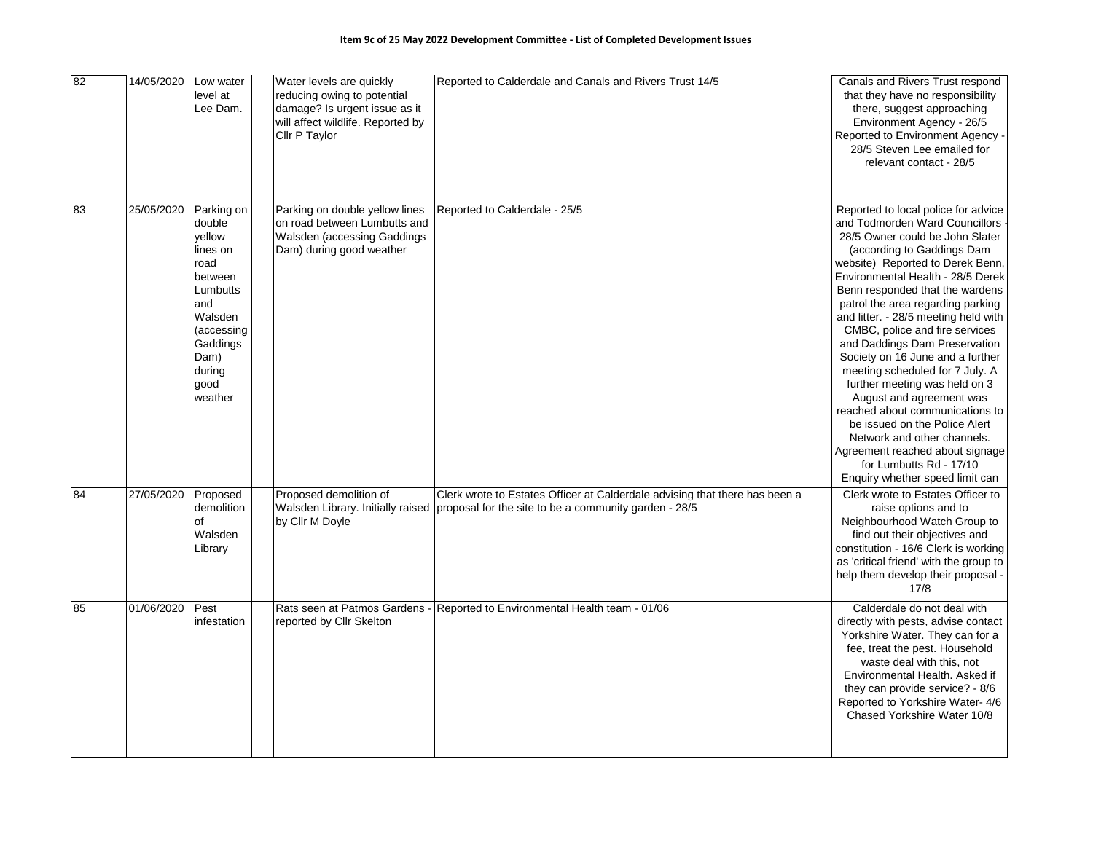| 82 | 14/05/2020 | Low water<br>level at<br>Lee Dam.                                                                                                                          | Water levels are quickly<br>reducing owing to potential<br>damage? Is urgent issue as it<br>will affect wildlife. Reported by<br>Cllr P Taylor | Reported to Calderdale and Canals and Rivers Trust 14/5                                                                                                                | Canals and Rivers Trust respond<br>that they have no responsibility<br>there, suggest approaching<br>Environment Agency - 26/5<br>Reported to Environment Agency -<br>28/5 Steven Lee emailed for<br>relevant contact - 28/5                                                                                                                                                                                                                                                                                                                                                                                                                                                                                                               |
|----|------------|------------------------------------------------------------------------------------------------------------------------------------------------------------|------------------------------------------------------------------------------------------------------------------------------------------------|------------------------------------------------------------------------------------------------------------------------------------------------------------------------|--------------------------------------------------------------------------------------------------------------------------------------------------------------------------------------------------------------------------------------------------------------------------------------------------------------------------------------------------------------------------------------------------------------------------------------------------------------------------------------------------------------------------------------------------------------------------------------------------------------------------------------------------------------------------------------------------------------------------------------------|
| 83 | 25/05/2020 | Parking on<br>double<br>vellow<br>lines on<br>road<br>between<br>Lumbutts<br>and<br>Walsden<br>(accessing<br>Gaddings<br>Dam)<br>during<br>good<br>weather | Parking on double yellow lines<br>on road between Lumbutts and<br>Walsden (accessing Gaddings<br>Dam) during good weather                      | Reported to Calderdale - 25/5                                                                                                                                          | Reported to local police for advice<br>and Todmorden Ward Councillors<br>28/5 Owner could be John Slater<br>(according to Gaddings Dam<br>website) Reported to Derek Benn,<br>Environmental Health - 28/5 Derek<br>Benn responded that the wardens<br>patrol the area regarding parking<br>and litter. - 28/5 meeting held with<br>CMBC, police and fire services<br>and Daddings Dam Preservation<br>Society on 16 June and a further<br>meeting scheduled for 7 July. A<br>further meeting was held on 3<br>August and agreement was<br>reached about communications to<br>be issued on the Police Alert<br>Network and other channels.<br>Agreement reached about signage<br>for Lumbutts Rd - 17/10<br>Enquiry whether speed limit can |
| 84 | 27/05/2020 | Proposed<br>demolition<br>of<br>Walsden<br>Library                                                                                                         | Proposed demolition of<br>by Cllr M Doyle                                                                                                      | Clerk wrote to Estates Officer at Calderdale advising that there has been a<br>Walsden Library. Initially raised proposal for the site to be a community garden - 28/5 | Clerk wrote to Estates Officer to<br>raise options and to<br>Neighbourhood Watch Group to<br>find out their objectives and<br>constitution - 16/6 Clerk is working<br>as 'critical friend' with the group to<br>help them develop their proposal -<br>17/8                                                                                                                                                                                                                                                                                                                                                                                                                                                                                 |
| 85 | 01/06/2020 | Pest<br>infestation                                                                                                                                        | reported by Cllr Skelton                                                                                                                       | Rats seen at Patmos Gardens - Reported to Environmental Health team - 01/06                                                                                            | Calderdale do not deal with<br>directly with pests, advise contact<br>Yorkshire Water. They can for a<br>fee, treat the pest. Household<br>waste deal with this, not<br>Environmental Health. Asked if<br>they can provide service? - 8/6<br>Reported to Yorkshire Water- 4/6<br>Chased Yorkshire Water 10/8                                                                                                                                                                                                                                                                                                                                                                                                                               |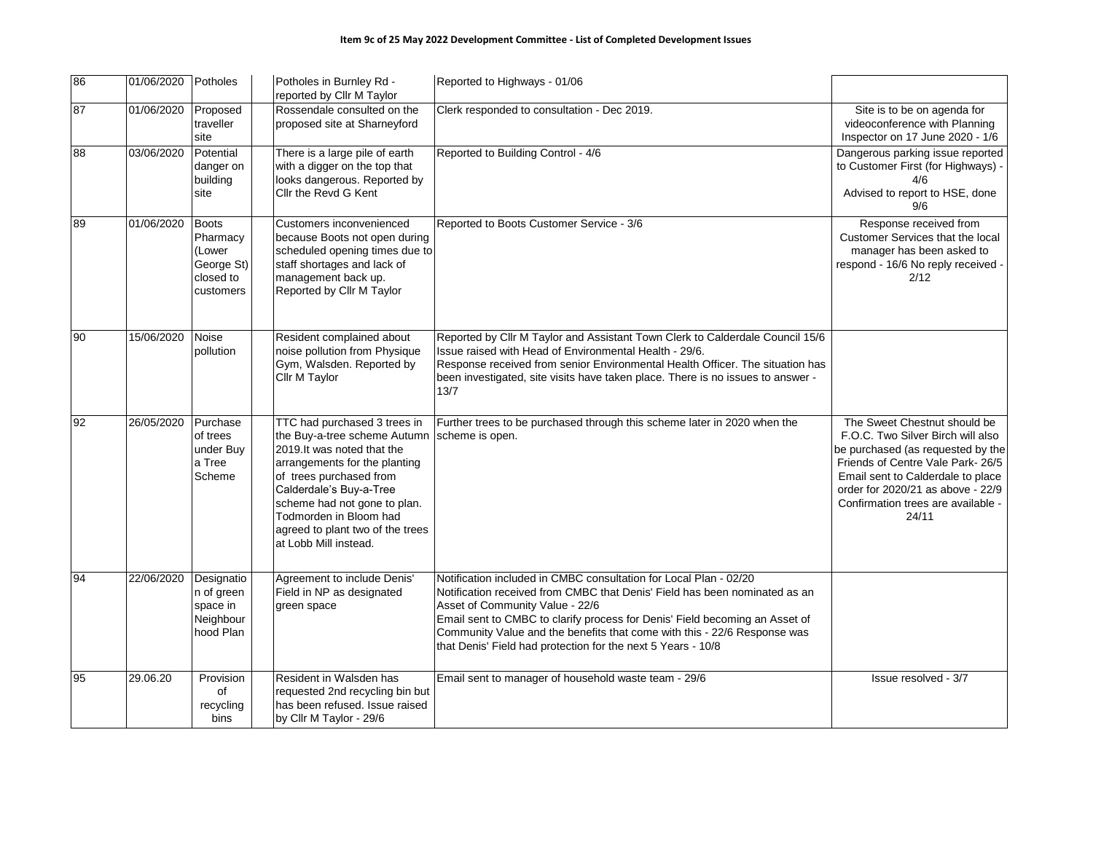| 86 | 01/06/2020 Potholes |                                                                     | Potholes in Burnley Rd -<br>reported by Cllr M Taylor                                                                                                                                                                                                                                                    | Reported to Highways - 01/06                                                                                                                                                                                                                                                                                                                                                                                  |                                                                                                                                                                                                                                                                      |
|----|---------------------|---------------------------------------------------------------------|----------------------------------------------------------------------------------------------------------------------------------------------------------------------------------------------------------------------------------------------------------------------------------------------------------|---------------------------------------------------------------------------------------------------------------------------------------------------------------------------------------------------------------------------------------------------------------------------------------------------------------------------------------------------------------------------------------------------------------|----------------------------------------------------------------------------------------------------------------------------------------------------------------------------------------------------------------------------------------------------------------------|
| 87 | 01/06/2020          | Proposed<br>traveller<br>site                                       | Rossendale consulted on the<br>proposed site at Sharneyford                                                                                                                                                                                                                                              | Clerk responded to consultation - Dec 2019.                                                                                                                                                                                                                                                                                                                                                                   | Site is to be on agenda for<br>videoconference with Planning<br>Inspector on 17 June 2020 - 1/6                                                                                                                                                                      |
| 88 | 03/06/2020          | Potential<br>danger on<br>building<br>site                          | There is a large pile of earth<br>with a digger on the top that<br>looks dangerous. Reported by<br>Cllr the Revd G Kent                                                                                                                                                                                  | Reported to Building Control - 4/6                                                                                                                                                                                                                                                                                                                                                                            | Dangerous parking issue reported<br>to Customer First (for Highways) -<br>4/6<br>Advised to report to HSE, done<br>9/6                                                                                                                                               |
| 89 | 01/06/2020          | Boots<br>Pharmacy<br>(Lower<br>George St)<br>closed to<br>customers | Customers inconvenienced<br>because Boots not open during<br>scheduled opening times due to<br>staff shortages and lack of<br>management back up.<br>Reported by Cllr M Taylor                                                                                                                           | Reported to Boots Customer Service - 3/6                                                                                                                                                                                                                                                                                                                                                                      | Response received from<br>Customer Services that the local<br>manager has been asked to<br>respond - 16/6 No reply received -<br>2/12                                                                                                                                |
| 90 | 15/06/2020          | Noise<br>pollution                                                  | Resident complained about<br>noise pollution from Physique<br>Gym, Walsden. Reported by<br>Cllr M Taylor                                                                                                                                                                                                 | Reported by Cllr M Taylor and Assistant Town Clerk to Calderdale Council 15/6<br>Issue raised with Head of Environmental Health - 29/6.<br>Response received from senior Environmental Health Officer. The situation has<br>been investigated, site visits have taken place. There is no issues to answer -<br>13/7                                                                                           |                                                                                                                                                                                                                                                                      |
| 92 | 26/05/2020          | Purchase<br>of trees<br>under Buy<br>a Tree<br>Scheme               | TTC had purchased 3 trees in<br>the Buy-a-tree scheme Autumn<br>2019.It was noted that the<br>arrangements for the planting<br>of trees purchased from<br>Calderdale's Buy-a-Tree<br>scheme had not gone to plan.<br>Todmorden in Bloom had<br>agreed to plant two of the trees<br>at Lobb Mill instead. | Further trees to be purchased through this scheme later in 2020 when the<br>scheme is open.                                                                                                                                                                                                                                                                                                                   | The Sweet Chestnut should be<br>F.O.C. Two Silver Birch will also<br>be purchased (as requested by the<br>Friends of Centre Vale Park- 26/5<br>Email sent to Calderdale to place<br>order for 2020/21 as above - 22/9<br>Confirmation trees are available -<br>24/11 |
| 94 | 22/06/2020          | Designatio<br>n of green<br>space in<br>Neighbour<br>hood Plan      | Agreement to include Denis'<br>Field in NP as designated<br>green space                                                                                                                                                                                                                                  | Notification included in CMBC consultation for Local Plan - 02/20<br>Notification received from CMBC that Denis' Field has been nominated as an<br>Asset of Community Value - 22/6<br>Email sent to CMBC to clarify process for Denis' Field becoming an Asset of<br>Community Value and the benefits that come with this - 22/6 Response was<br>that Denis' Field had protection for the next 5 Years - 10/8 |                                                                                                                                                                                                                                                                      |
| 95 | 29.06.20            | Provision<br>of<br>recycling<br>bins                                | Resident in Walsden has<br>requested 2nd recycling bin but<br>has been refused. Issue raised<br>by Cllr M Taylor - 29/6                                                                                                                                                                                  | Email sent to manager of household waste team - 29/6                                                                                                                                                                                                                                                                                                                                                          | Issue resolved - 3/7                                                                                                                                                                                                                                                 |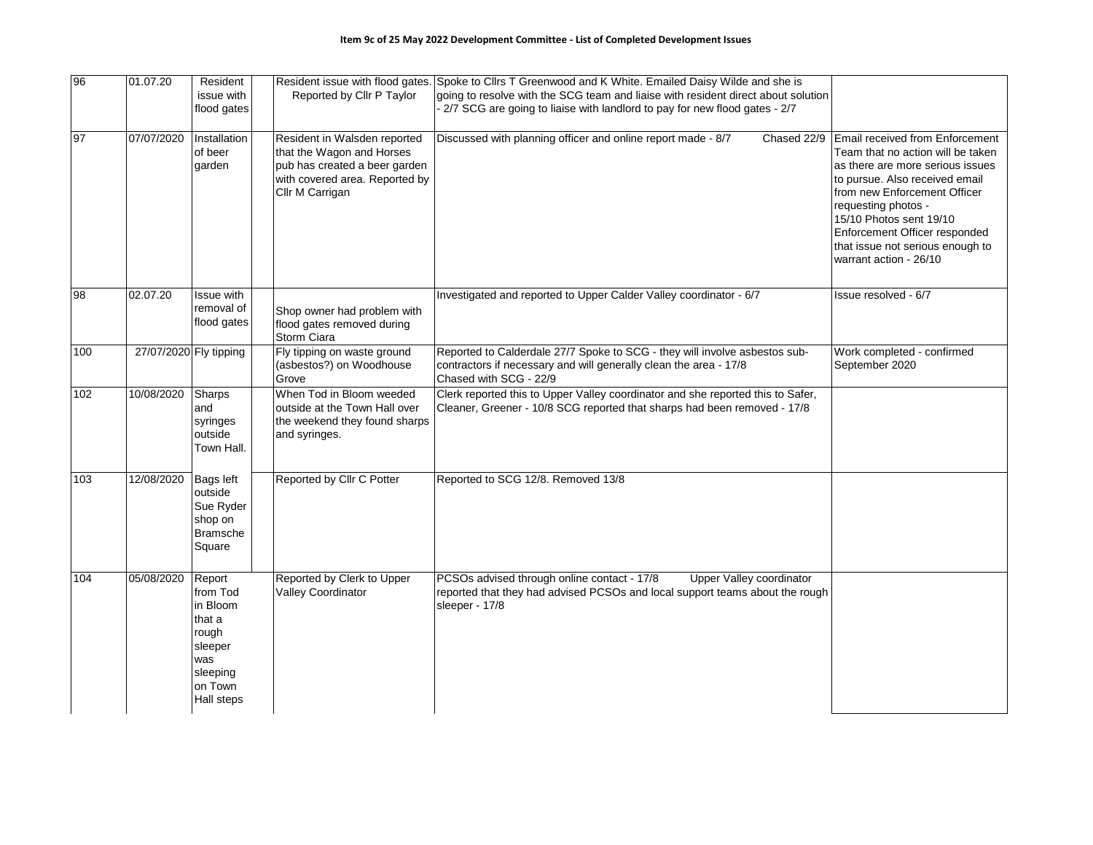| 96  | 01.07.20               | Resident<br>issue with<br>flood gates                                                                    | Reported by Cllr P Taylor                                                                                                                       | Resident issue with flood gates. Spoke to Cllrs T Greenwood and K White. Emailed Daisy Wilde and she is<br>going to resolve with the SCG team and liaise with resident direct about solution<br>- 2/7 SCG are going to liaise with landlord to pay for new flood gates - 2/7 |                                                                                                                                                                                                                                                                                                                             |
|-----|------------------------|----------------------------------------------------------------------------------------------------------|-------------------------------------------------------------------------------------------------------------------------------------------------|------------------------------------------------------------------------------------------------------------------------------------------------------------------------------------------------------------------------------------------------------------------------------|-----------------------------------------------------------------------------------------------------------------------------------------------------------------------------------------------------------------------------------------------------------------------------------------------------------------------------|
| 97  | 07/07/2020             | Installation<br>of beer<br>garden                                                                        | Resident in Walsden reported<br>that the Wagon and Horses<br>pub has created a beer garden<br>with covered area. Reported by<br>Cllr M Carrigan | Discussed with planning officer and online report made - 8/7<br>Chased 22/9                                                                                                                                                                                                  | Email received from Enforcement<br>Team that no action will be taken<br>as there are more serious issues<br>to pursue. Also received email<br>from new Enforcement Officer<br>requesting photos -<br>15/10 Photos sent 19/10<br>Enforcement Officer responded<br>that issue not serious enough to<br>warrant action - 26/10 |
| 98  | 02.07.20               | <b>Issue with</b><br>removal of<br>flood gates                                                           | Shop owner had problem with<br>flood gates removed during<br>Storm Ciara                                                                        | Investigated and reported to Upper Calder Valley coordinator - 6/7                                                                                                                                                                                                           | Issue resolved - 6/7                                                                                                                                                                                                                                                                                                        |
| 100 | 27/07/2020 Fly tipping |                                                                                                          | Fly tipping on waste ground<br>(asbestos?) on Woodhouse<br>Grove                                                                                | Reported to Calderdale 27/7 Spoke to SCG - they will involve asbestos sub-<br>contractors if necessary and will generally clean the area - 17/8<br>Chased with SCG - 22/9                                                                                                    | Work completed - confirmed<br>September 2020                                                                                                                                                                                                                                                                                |
| 102 | 10/08/2020             | Sharps<br>and<br>syringes<br>outside<br>Town Hall.                                                       | When Tod in Bloom weeded<br>outside at the Town Hall over<br>the weekend they found sharps<br>and syringes.                                     | Clerk reported this to Upper Valley coordinator and she reported this to Safer,<br>Cleaner, Greener - 10/8 SCG reported that sharps had been removed - 17/8                                                                                                                  |                                                                                                                                                                                                                                                                                                                             |
| 103 | 12/08/2020             | Bags left<br>outside<br>Sue Ryder<br>shop on<br><b>Bramsche</b><br>Square                                | Reported by Cllr C Potter                                                                                                                       | Reported to SCG 12/8. Removed 13/8                                                                                                                                                                                                                                           |                                                                                                                                                                                                                                                                                                                             |
| 104 | 05/08/2020             | Report<br>from Tod<br>in Bloom<br>that a<br>rough<br>sleeper<br>was<br>sleeping<br>on Town<br>Hall steps | Reported by Clerk to Upper<br>Valley Coordinator                                                                                                | PCSOs advised through online contact - 17/8<br>Upper Valley coordinator<br>reported that they had advised PCSOs and local support teams about the rough<br>sleeper - 17/8                                                                                                    |                                                                                                                                                                                                                                                                                                                             |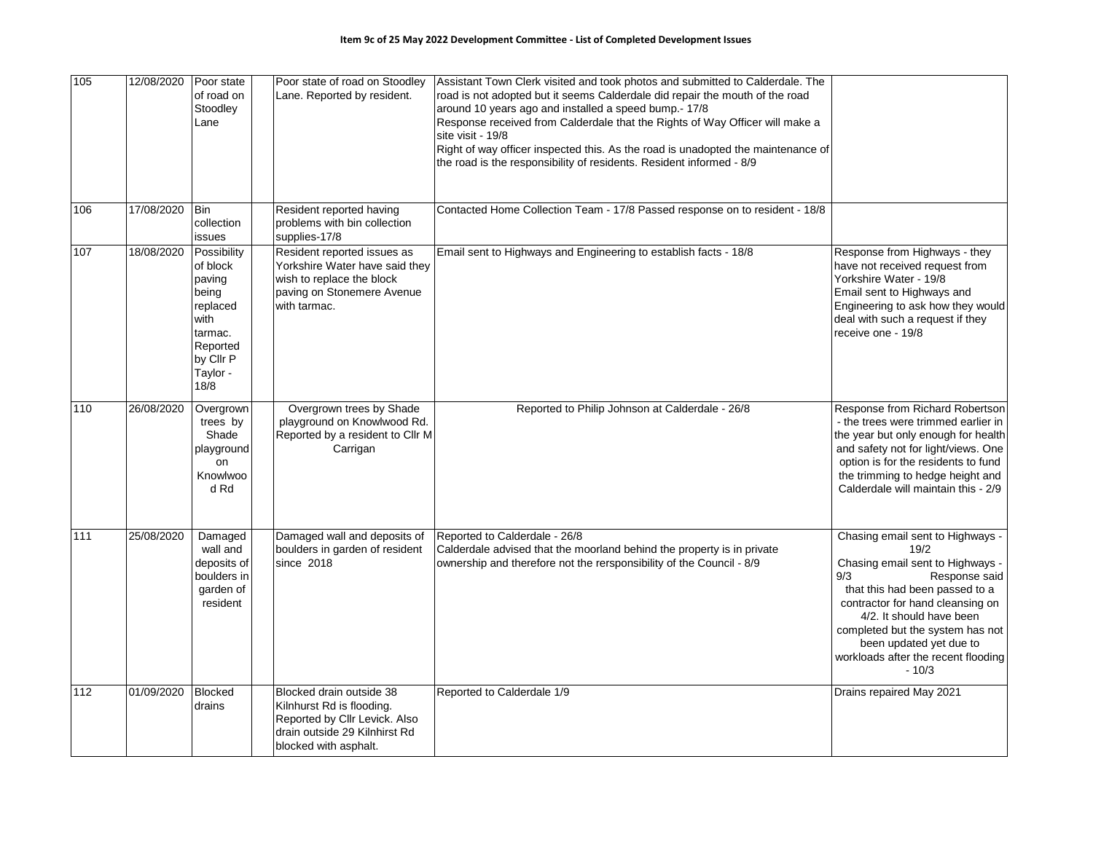| 105 | 12/08/2020 | Poor state<br>of road on<br>Stoodley<br>Lane                                                                           | Poor state of road on Stoodley<br>Lane. Reported by resident.                                                                                    | Assistant Town Clerk visited and took photos and submitted to Calderdale. The<br>road is not adopted but it seems Calderdale did repair the mouth of the road<br>around 10 years ago and installed a speed bump.- 17/8<br>Response received from Calderdale that the Rights of Way Officer will make a<br>site visit - 19/8<br>Right of way officer inspected this. As the road is unadopted the maintenance of<br>the road is the responsibility of residents. Resident informed - 8/9 |                                                                                                                                                                                                                                                                                                                         |
|-----|------------|------------------------------------------------------------------------------------------------------------------------|--------------------------------------------------------------------------------------------------------------------------------------------------|-----------------------------------------------------------------------------------------------------------------------------------------------------------------------------------------------------------------------------------------------------------------------------------------------------------------------------------------------------------------------------------------------------------------------------------------------------------------------------------------|-------------------------------------------------------------------------------------------------------------------------------------------------------------------------------------------------------------------------------------------------------------------------------------------------------------------------|
| 106 | 17/08/2020 | Bin<br>collection<br>issues                                                                                            | Resident reported having<br>problems with bin collection<br>supplies-17/8                                                                        | Contacted Home Collection Team - 17/8 Passed response on to resident - 18/8                                                                                                                                                                                                                                                                                                                                                                                                             |                                                                                                                                                                                                                                                                                                                         |
| 107 | 18/08/2020 | Possibility<br>of block<br>paving<br>being<br>replaced<br>with<br>tarmac.<br>Reported<br>by Cllr P<br>Taylor -<br>18/8 | Resident reported issues as<br>Yorkshire Water have said they<br>wish to replace the block<br>paving on Stonemere Avenue<br>with tarmac.         | Email sent to Highways and Engineering to establish facts - 18/8                                                                                                                                                                                                                                                                                                                                                                                                                        | Response from Highways - they<br>have not received request from<br>Yorkshire Water - 19/8<br>Email sent to Highways and<br>Engineering to ask how they would<br>deal with such a request if they<br>receive one - 19/8                                                                                                  |
| 110 | 26/08/2020 | Overgrown<br>trees by<br>Shade<br>playground<br>on<br>Knowlwoo<br>d Rd                                                 | Overgrown trees by Shade<br>playground on Knowlwood Rd.<br>Reported by a resident to Cllr M<br>Carrigan                                          | Reported to Philip Johnson at Calderdale - 26/8                                                                                                                                                                                                                                                                                                                                                                                                                                         | Response from Richard Robertson<br>- the trees were trimmed earlier in<br>the year but only enough for health<br>and safety not for light/views. One<br>option is for the residents to fund<br>the trimming to hedge height and<br>Calderdale will maintain this - 2/9                                                  |
| 111 | 25/08/2020 | Damaged<br>wall and<br>deposits of<br>boulders in<br>garden of<br>resident                                             | Damaged wall and deposits of<br>boulders in garden of resident<br>since 2018                                                                     | Reported to Calderdale - 26/8<br>Calderdale advised that the moorland behind the property is in private<br>ownership and therefore not the rersponsibility of the Council - 8/9                                                                                                                                                                                                                                                                                                         | Chasing email sent to Highways -<br>19/2<br>Chasing email sent to Highways -<br>9/3<br>Response said<br>that this had been passed to a<br>contractor for hand cleansing on<br>4/2. It should have been<br>completed but the system has not<br>been updated yet due to<br>workloads after the recent flooding<br>$-10/3$ |
| 112 | 01/09/2020 | <b>Blocked</b><br>drains                                                                                               | Blocked drain outside 38<br>Kilnhurst Rd is flooding.<br>Reported by Cllr Levick. Also<br>drain outside 29 Kilnhirst Rd<br>blocked with asphalt. | Reported to Calderdale 1/9                                                                                                                                                                                                                                                                                                                                                                                                                                                              | Drains repaired May 2021                                                                                                                                                                                                                                                                                                |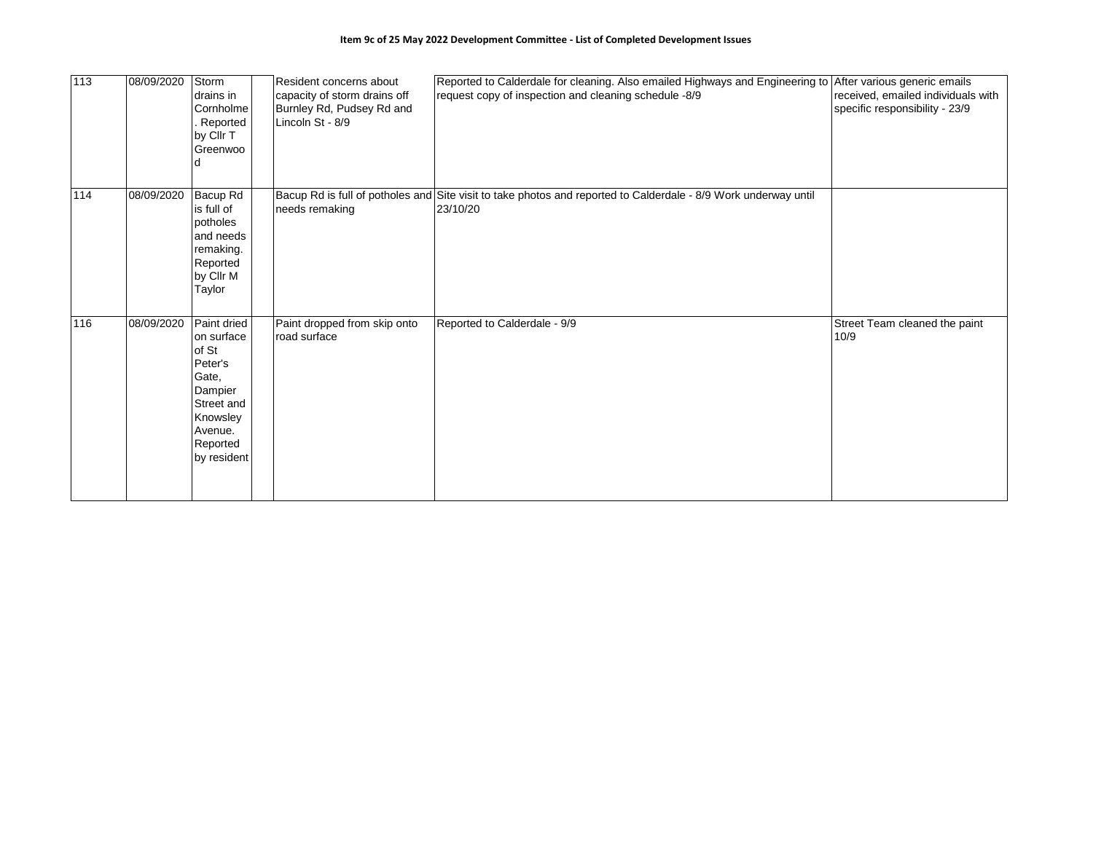| 113 | 08/09/2020 | Storm<br>drains in<br>Cornholme<br>Reported<br>by Cllr T<br>Greenwoo                                                              | Resident concerns about<br>capacity of storm drains off<br>Burnley Rd, Pudsey Rd and<br>Lincoln St - 8/9 | Reported to Calderdale for cleaning. Also emailed Highways and Engineering to After various generic emails<br>request copy of inspection and cleaning schedule -8/9 | received, emailed individuals with<br>specific responsibility - 23/9 |
|-----|------------|-----------------------------------------------------------------------------------------------------------------------------------|----------------------------------------------------------------------------------------------------------|---------------------------------------------------------------------------------------------------------------------------------------------------------------------|----------------------------------------------------------------------|
| 114 | 08/09/2020 | Bacup Rd<br>is full of<br>potholes<br>and needs<br>remaking.<br>Reported<br>by Cllr M<br>Taylor                                   | needs remaking                                                                                           | Bacup Rd is full of potholes and Site visit to take photos and reported to Calderdale - 8/9 Work underway until<br>23/10/20                                         |                                                                      |
| 116 | 08/09/2020 | Paint dried<br>on surface<br>of St<br>Peter's<br>Gate,<br>Dampier<br>Street and<br>Knowsley<br>Avenue.<br>Reported<br>by resident | Paint dropped from skip onto<br>road surface                                                             | Reported to Calderdale - 9/9                                                                                                                                        | Street Team cleaned the paint<br>10/9                                |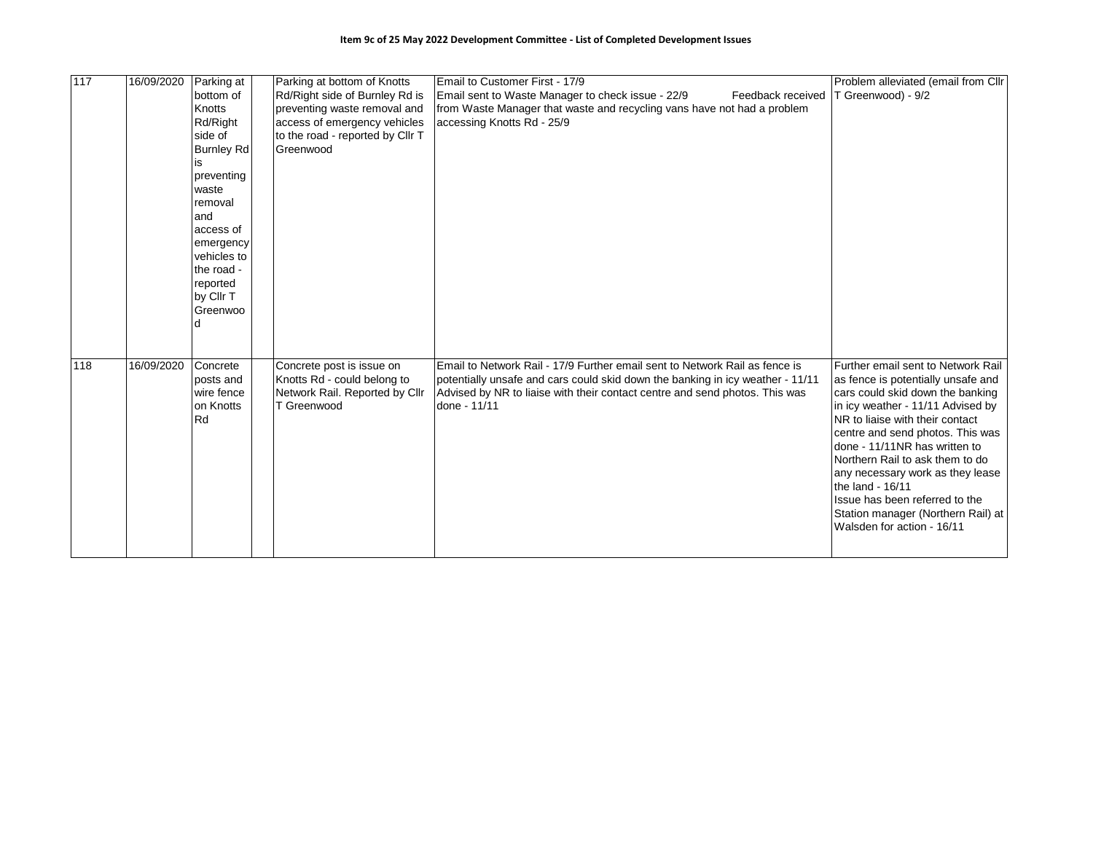| 117 | 16/09/2020 | Parking at<br>bottom of<br>Knotts<br>Rd/Right<br>side of<br><b>Burnley Rd</b><br>ıs<br>preventing<br>waste<br>removal<br>and<br>access of<br>emergency<br>vehicles to<br>the road -<br>reported<br>by Cllr T<br>Greenwoo | Parking at bottom of Knotts<br>Rd/Right side of Burnley Rd is<br>preventing waste removal and<br>access of emergency vehicles<br>to the road - reported by Cllr T<br>Greenwood | Email to Customer First - 17/9<br>Email sent to Waste Manager to check issue - 22/9<br>Feedback received<br>from Waste Manager that waste and recycling vans have not had a problem<br>accessing Knotts Rd - 25/9                                            | Problem alleviated (email from Cllr<br>T Greenwood) - 9/2                                                                                                                                                                                                                                                                                                                                                                                                  |
|-----|------------|--------------------------------------------------------------------------------------------------------------------------------------------------------------------------------------------------------------------------|--------------------------------------------------------------------------------------------------------------------------------------------------------------------------------|--------------------------------------------------------------------------------------------------------------------------------------------------------------------------------------------------------------------------------------------------------------|------------------------------------------------------------------------------------------------------------------------------------------------------------------------------------------------------------------------------------------------------------------------------------------------------------------------------------------------------------------------------------------------------------------------------------------------------------|
| 118 | 16/09/2020 | Concrete<br>posts and<br>wire fence<br>on Knotts<br>Rd                                                                                                                                                                   | Concrete post is issue on<br>Knotts Rd - could belong to<br>Network Rail. Reported by Cllr<br>T Greenwood                                                                      | Email to Network Rail - 17/9 Further email sent to Network Rail as fence is<br>potentially unsafe and cars could skid down the banking in icy weather - 11/11<br>Advised by NR to liaise with their contact centre and send photos. This was<br>done - 11/11 | Further email sent to Network Rail<br>as fence is potentially unsafe and<br>cars could skid down the banking<br>in icy weather - 11/11 Advised by<br>NR to liaise with their contact<br>centre and send photos. This was<br>done - 11/11NR has written to<br>Northern Rail to ask them to do<br>any necessary work as they lease<br>the land - 16/11<br>Issue has been referred to the<br>Station manager (Northern Rail) at<br>Walsden for action - 16/11 |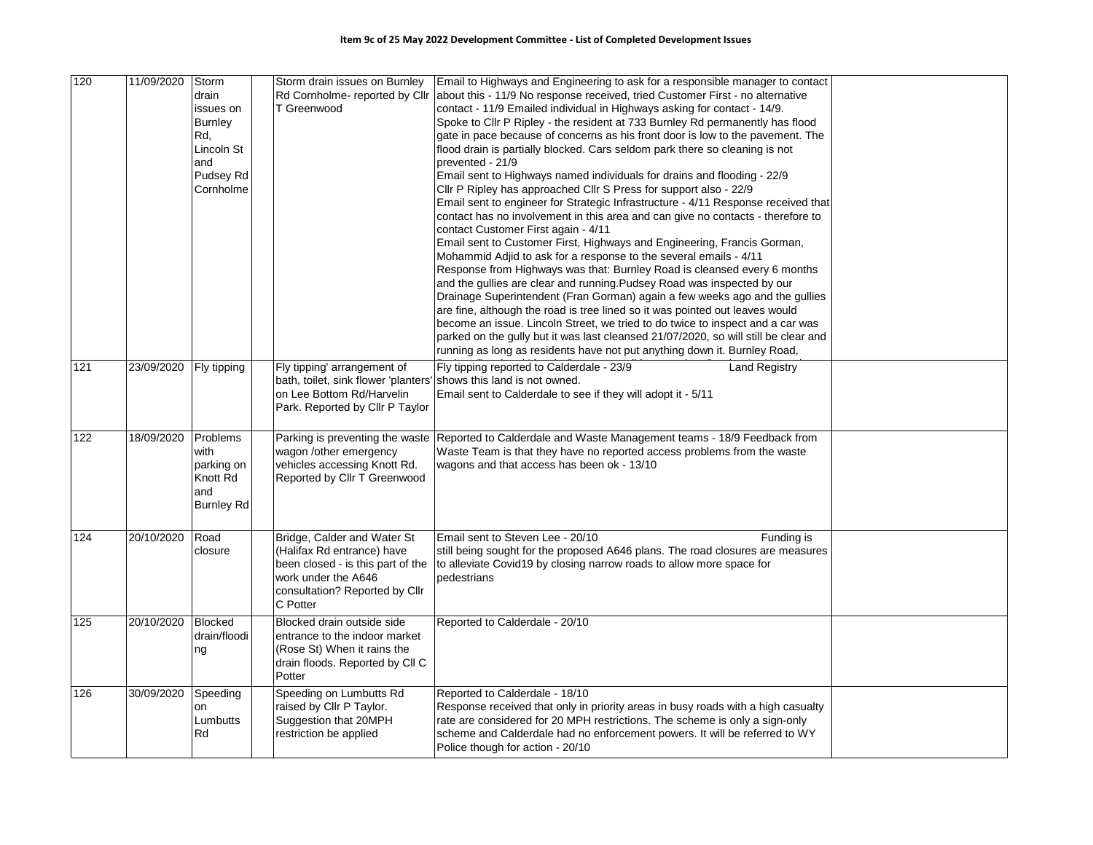| 120   | 11/09/2020 | Storm<br>drain<br>issues on<br><b>Burnley</b><br>Rd,<br>Lincoln St<br>and<br>Pudsey Rd<br>Cornholme | T Greenwood                                                                                                                                                         | Storm drain issues on Burnley   Email to Highways and Engineering to ask for a responsible manager to contact<br>Rd Cornholme- reported by Cllr about this - 11/9 No response received, tried Customer First - no alternative<br>contact - 11/9 Emailed individual in Highways asking for contact - 14/9.<br>Spoke to Cllr P Ripley - the resident at 733 Burnley Rd permanently has flood<br>gate in pace because of concerns as his front door is low to the pavement. The<br>flood drain is partially blocked. Cars seldom park there so cleaning is not<br>prevented - 21/9<br>Email sent to Highways named individuals for drains and flooding - 22/9<br>Cllr P Ripley has approached Cllr S Press for support also - 22/9<br>Email sent to engineer for Strategic Infrastructure - 4/11 Response received that<br>contact has no involvement in this area and can give no contacts - therefore to<br>contact Customer First again - 4/11<br>Email sent to Customer First, Highways and Engineering, Francis Gorman,<br>Mohammid Adjid to ask for a response to the several emails - 4/11<br>Response from Highways was that: Burnley Road is cleansed every 6 months<br>and the gullies are clear and running. Pudsey Road was inspected by our<br>Drainage Superintendent (Fran Gorman) again a few weeks ago and the gullies<br>are fine, although the road is tree lined so it was pointed out leaves would<br>become an issue. Lincoln Street, we tried to do twice to inspect and a car was<br>parked on the gully but it was last cleansed 21/07/2020, so will still be clear and<br>running as long as residents have not put anything down it. Burnley Road, |  |
|-------|------------|-----------------------------------------------------------------------------------------------------|---------------------------------------------------------------------------------------------------------------------------------------------------------------------|----------------------------------------------------------------------------------------------------------------------------------------------------------------------------------------------------------------------------------------------------------------------------------------------------------------------------------------------------------------------------------------------------------------------------------------------------------------------------------------------------------------------------------------------------------------------------------------------------------------------------------------------------------------------------------------------------------------------------------------------------------------------------------------------------------------------------------------------------------------------------------------------------------------------------------------------------------------------------------------------------------------------------------------------------------------------------------------------------------------------------------------------------------------------------------------------------------------------------------------------------------------------------------------------------------------------------------------------------------------------------------------------------------------------------------------------------------------------------------------------------------------------------------------------------------------------------------------------------------------------------------------------------------------------------|--|
| $121$ | 23/09/2020 | Fly tipping                                                                                         | Fly tipping' arrangement of<br>bath, toilet, sink flower 'planters' shows this land is not owned.<br>on Lee Bottom Rd/Harvelin<br>Park. Reported by Cllr P Taylor   | Fly tipping reported to Calderdale - 23/9<br><b>Land Registry</b><br>Email sent to Calderdale to see if they will adopt it - 5/11                                                                                                                                                                                                                                                                                                                                                                                                                                                                                                                                                                                                                                                                                                                                                                                                                                                                                                                                                                                                                                                                                                                                                                                                                                                                                                                                                                                                                                                                                                                                          |  |
| 122   | 18/09/2020 | Problems<br>with<br>parking on<br>Knott Rd<br>and<br><b>Burnley Rd</b>                              | wagon /other emergency<br>vehicles accessing Knott Rd.<br>Reported by Cllr T Greenwood                                                                              | Parking is preventing the waste Reported to Calderdale and Waste Management teams - 18/9 Feedback from<br>Waste Team is that they have no reported access problems from the waste<br>wagons and that access has been ok - 13/10                                                                                                                                                                                                                                                                                                                                                                                                                                                                                                                                                                                                                                                                                                                                                                                                                                                                                                                                                                                                                                                                                                                                                                                                                                                                                                                                                                                                                                            |  |
| 124   | 20/10/2020 | Road<br>closure                                                                                     | Bridge, Calder and Water St<br>(Halifax Rd entrance) have<br>been closed - is this part of the<br>work under the A646<br>consultation? Reported by Cllr<br>C Potter | Email sent to Steven Lee - 20/10<br>Funding is<br>still being sought for the proposed A646 plans. The road closures are measures<br>to alleviate Covid19 by closing narrow roads to allow more space for<br>pedestrians                                                                                                                                                                                                                                                                                                                                                                                                                                                                                                                                                                                                                                                                                                                                                                                                                                                                                                                                                                                                                                                                                                                                                                                                                                                                                                                                                                                                                                                    |  |
| $125$ | 20/10/2020 | <b>Blocked</b><br>drain/floodi<br>ng                                                                | Blocked drain outside side<br>entrance to the indoor market<br>(Rose St) When it rains the<br>drain floods. Reported by CII C<br>Potter                             | Reported to Calderdale - 20/10                                                                                                                                                                                                                                                                                                                                                                                                                                                                                                                                                                                                                                                                                                                                                                                                                                                                                                                                                                                                                                                                                                                                                                                                                                                                                                                                                                                                                                                                                                                                                                                                                                             |  |
| 126   | 30/09/2020 | Speeding<br>on<br>Lumbutts<br>Rd                                                                    | Speeding on Lumbutts Rd<br>raised by Cllr P Taylor.<br>Suggestion that 20MPH<br>restriction be applied                                                              | Reported to Calderdale - 18/10<br>Response received that only in priority areas in busy roads with a high casualty<br>rate are considered for 20 MPH restrictions. The scheme is only a sign-only<br>scheme and Calderdale had no enforcement powers. It will be referred to WY<br>Police though for action - 20/10                                                                                                                                                                                                                                                                                                                                                                                                                                                                                                                                                                                                                                                                                                                                                                                                                                                                                                                                                                                                                                                                                                                                                                                                                                                                                                                                                        |  |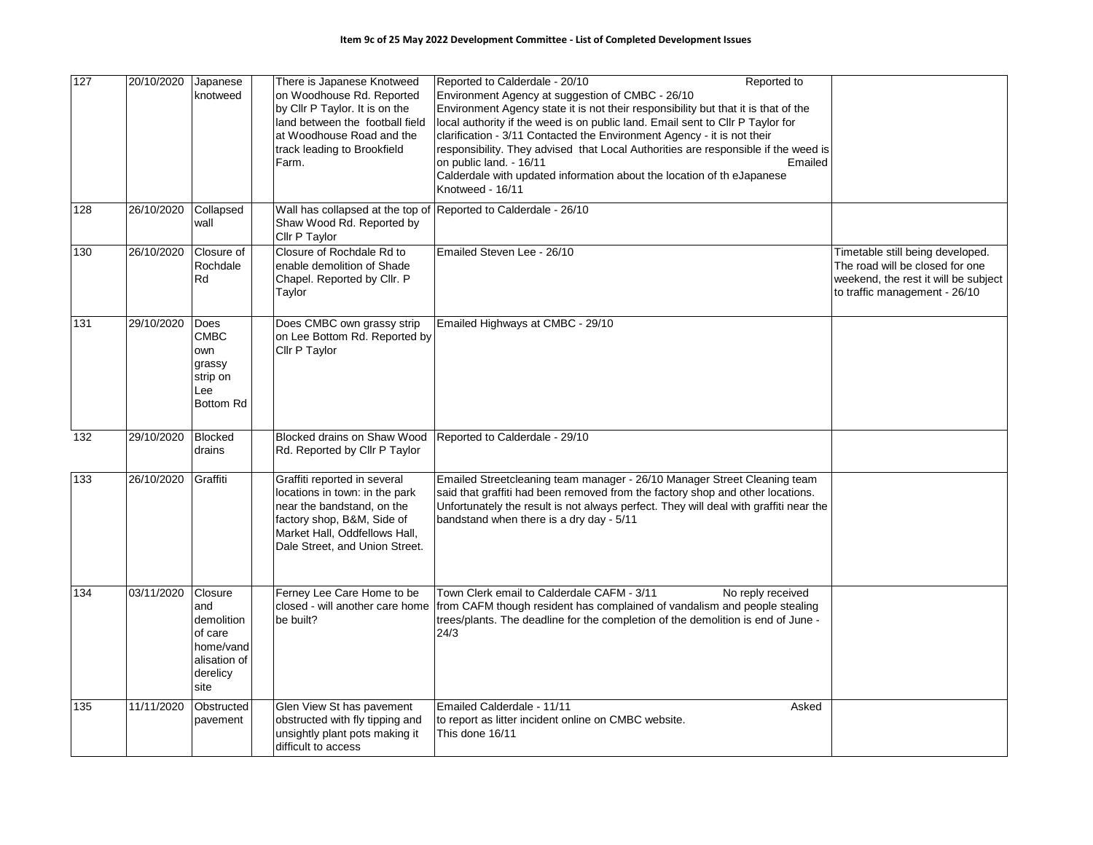| 127 | 20/10/2020 | Japanese<br>knotweed                                                                     | There is Japanese Knotweed<br>on Woodhouse Rd. Reported<br>by Cllr P Taylor. It is on the<br>land between the football field<br>at Woodhouse Road and the<br>track leading to Brookfield<br>Farm. | Reported to Calderdale - 20/10<br>Reported to<br>Environment Agency at suggestion of CMBC - 26/10<br>Environment Agency state it is not their responsibility but that it is that of the<br>local authority if the weed is on public land. Email sent to Cllr P Taylor for<br>clarification - 3/11 Contacted the Environment Agency - it is not their<br>responsibility. They advised that Local Authorities are responsible if the weed is<br>Emailed<br>on public land. - 16/11<br>Calderdale with updated information about the location of the Japanese<br>Knotweed - 16/11 |                                                                                                                                              |
|-----|------------|------------------------------------------------------------------------------------------|---------------------------------------------------------------------------------------------------------------------------------------------------------------------------------------------------|--------------------------------------------------------------------------------------------------------------------------------------------------------------------------------------------------------------------------------------------------------------------------------------------------------------------------------------------------------------------------------------------------------------------------------------------------------------------------------------------------------------------------------------------------------------------------------|----------------------------------------------------------------------------------------------------------------------------------------------|
| 128 | 26/10/2020 | Collapsed<br>wall                                                                        | Shaw Wood Rd. Reported by<br>Cllr P Taylor                                                                                                                                                        | Wall has collapsed at the top of Reported to Calderdale - 26/10                                                                                                                                                                                                                                                                                                                                                                                                                                                                                                                |                                                                                                                                              |
| 130 | 26/10/2020 | Closure of<br>Rochdale<br>Rd                                                             | Closure of Rochdale Rd to<br>enable demolition of Shade<br>Chapel. Reported by Cllr. P<br>Taylor                                                                                                  | Emailed Steven Lee - 26/10                                                                                                                                                                                                                                                                                                                                                                                                                                                                                                                                                     | Timetable still being developed.<br>The road will be closed for one<br>weekend, the rest it will be subject<br>to traffic management - 26/10 |
| 131 | 29/10/2020 | Does<br><b>CMBC</b><br>own<br>grassy<br>strip on<br>Lee<br>Bottom Rd                     | Does CMBC own grassy strip<br>on Lee Bottom Rd. Reported by<br>Cllr P Taylor                                                                                                                      | Emailed Highways at CMBC - 29/10                                                                                                                                                                                                                                                                                                                                                                                                                                                                                                                                               |                                                                                                                                              |
| 132 | 29/10/2020 | <b>Blocked</b><br>drains                                                                 | Blocked drains on Shaw Wood<br>Rd. Reported by Cllr P Taylor                                                                                                                                      | Reported to Calderdale - 29/10                                                                                                                                                                                                                                                                                                                                                                                                                                                                                                                                                 |                                                                                                                                              |
| 133 | 26/10/2020 | Graffiti                                                                                 | Graffiti reported in several<br>locations in town: in the park<br>near the bandstand, on the<br>factory shop, B&M, Side of<br>Market Hall, Oddfellows Hall,<br>Dale Street, and Union Street.     | Emailed Streetcleaning team manager - 26/10 Manager Street Cleaning team<br>said that graffiti had been removed from the factory shop and other locations.<br>Unfortunately the result is not always perfect. They will deal with graffiti near the<br>bandstand when there is a dry day - 5/11                                                                                                                                                                                                                                                                                |                                                                                                                                              |
| 134 | 03/11/2020 | Closure<br>and<br>demolition<br>of care<br>home/vand<br>alisation of<br>derelicy<br>site | Ferney Lee Care Home to be<br>be built?                                                                                                                                                           | Town Clerk email to Calderdale CAFM - 3/11<br>No reply received<br>closed - will another care home from CAFM though resident has complained of vandalism and people stealing<br>trees/plants. The deadline for the completion of the demolition is end of June -<br>24/3                                                                                                                                                                                                                                                                                                       |                                                                                                                                              |
| 135 | 11/11/2020 | Obstructed<br>pavement                                                                   | Glen View St has pavement<br>obstructed with fly tipping and<br>unsightly plant pots making it<br>difficult to access                                                                             | Emailed Calderdale - 11/11<br>Asked<br>to report as litter incident online on CMBC website.<br>This done 16/11                                                                                                                                                                                                                                                                                                                                                                                                                                                                 |                                                                                                                                              |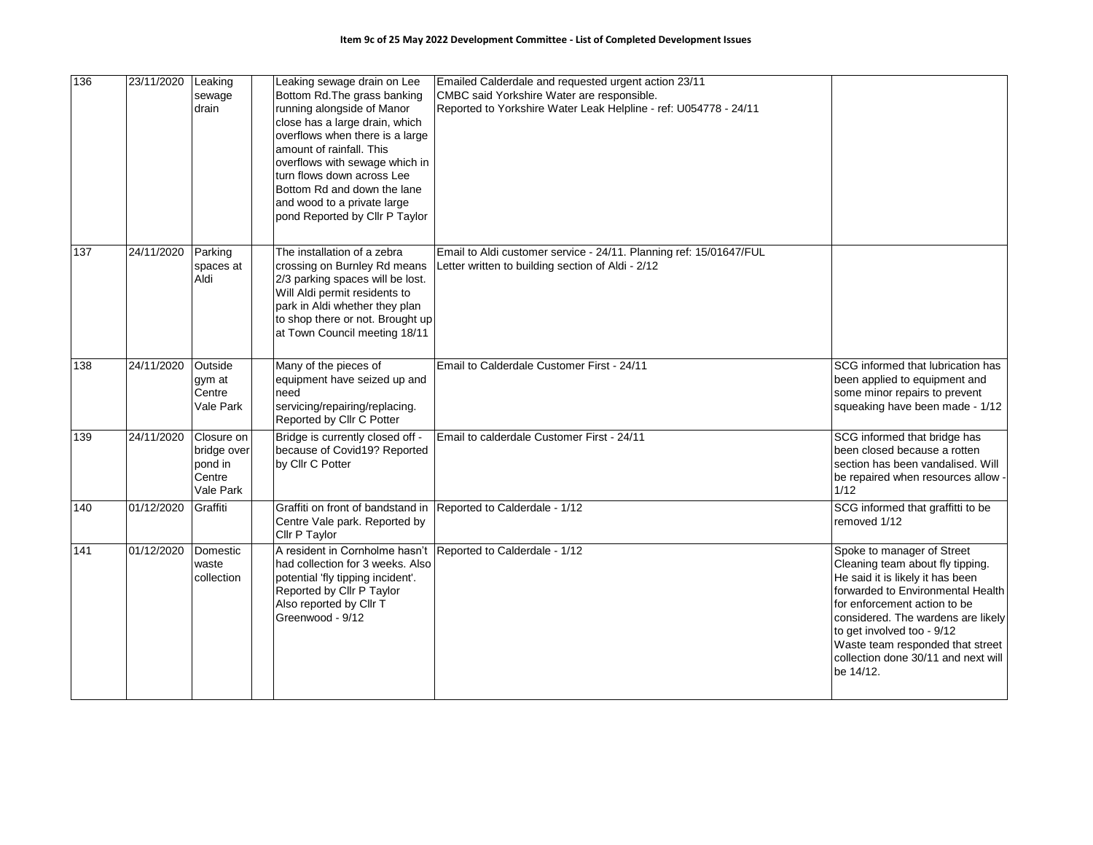| 136 | 23/11/2020 | Leaking<br>sewage<br>drain                                  | Leaking sewage drain on Lee<br>Bottom Rd. The grass banking<br>running alongside of Manor<br>close has a large drain, which<br>overflows when there is a large<br>amount of rainfall. This<br>overflows with sewage which in<br>turn flows down across Lee<br>Bottom Rd and down the lane<br>and wood to a private large<br>pond Reported by Cllr P Taylor | Emailed Calderdale and requested urgent action 23/11<br>CMBC said Yorkshire Water are responsible.<br>Reported to Yorkshire Water Leak Helpline - ref: U054778 - 24/11 |                                                                                                                                                                                                                                                                                                                                     |
|-----|------------|-------------------------------------------------------------|------------------------------------------------------------------------------------------------------------------------------------------------------------------------------------------------------------------------------------------------------------------------------------------------------------------------------------------------------------|------------------------------------------------------------------------------------------------------------------------------------------------------------------------|-------------------------------------------------------------------------------------------------------------------------------------------------------------------------------------------------------------------------------------------------------------------------------------------------------------------------------------|
| 137 | 24/11/2020 | Parking<br>spaces at<br>Aldi                                | The installation of a zebra<br>crossing on Burnley Rd means<br>2/3 parking spaces will be lost.<br>Will Aldi permit residents to<br>park in Aldi whether they plan<br>to shop there or not. Brought up<br>at Town Council meeting 18/11                                                                                                                    | Email to Aldi customer service - 24/11. Planning ref: 15/01647/FUL<br>Letter written to building section of Aldi - 2/12                                                |                                                                                                                                                                                                                                                                                                                                     |
| 138 | 24/11/2020 | Outside<br>gym at<br>Centre<br>Vale Park                    | Many of the pieces of<br>equipment have seized up and<br>need<br>servicing/repairing/replacing.<br>Reported by Cllr C Potter                                                                                                                                                                                                                               | Email to Calderdale Customer First - 24/11                                                                                                                             | SCG informed that lubrication has<br>been applied to equipment and<br>some minor repairs to prevent<br>squeaking have been made - 1/12                                                                                                                                                                                              |
| 139 | 24/11/2020 | Closure on<br>bridge over<br>pond in<br>Centre<br>Vale Park | Bridge is currently closed off -<br>because of Covid19? Reported<br>by Cllr C Potter                                                                                                                                                                                                                                                                       | Email to calderdale Customer First - 24/11                                                                                                                             | SCG informed that bridge has<br>been closed because a rotten<br>section has been vandalised. Will<br>be repaired when resources allow -<br>1/12                                                                                                                                                                                     |
| 140 | 01/12/2020 | Graffiti                                                    | Graffiti on front of bandstand in<br>Centre Vale park. Reported by<br>Cllr P Taylor                                                                                                                                                                                                                                                                        | Reported to Calderdale - 1/12                                                                                                                                          | SCG informed that graffitti to be<br>removed 1/12                                                                                                                                                                                                                                                                                   |
| 141 | 01/12/2020 | Domestic<br>waste<br>collection                             | A resident in Cornholme hasn't<br>had collection for 3 weeks. Also<br>potential 'fly tipping incident'.<br>Reported by Cllr P Taylor<br>Also reported by Cllr T<br>Greenwood - 9/12                                                                                                                                                                        | Reported to Calderdale - 1/12                                                                                                                                          | Spoke to manager of Street<br>Cleaning team about fly tipping.<br>He said it is likely it has been<br>forwarded to Environmental Health<br>for enforcement action to be<br>considered. The wardens are likely<br>to get involved too - 9/12<br>Waste team responded that street<br>collection done 30/11 and next will<br>be 14/12. |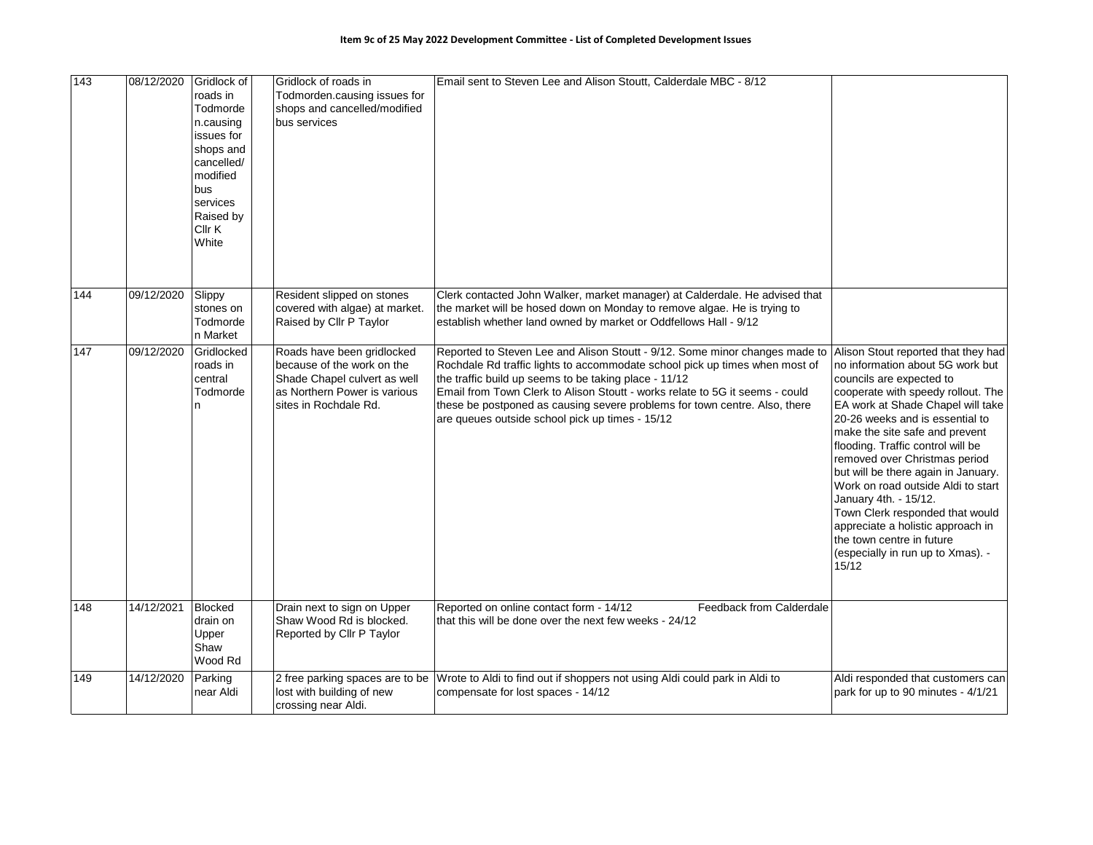| 143 | 08/12/2020 | Gridlock of<br>roads in<br>Todmorde<br>n.causing<br>issues for<br>shops and<br>cancelled/<br>modified<br>bus<br>services<br>Raised by<br>Cllr K<br>White | Gridlock of roads in<br>Todmorden.causing issues for<br>shops and cancelled/modified<br>bus services                                              | Email sent to Steven Lee and Alison Stoutt, Calderdale MBC - 8/12                                                                                                                                                                                                                                                                                                                                                                    |                                                                                                                                                                                                                                                                                                                                                                                                                                                                                                                                                                                    |
|-----|------------|----------------------------------------------------------------------------------------------------------------------------------------------------------|---------------------------------------------------------------------------------------------------------------------------------------------------|--------------------------------------------------------------------------------------------------------------------------------------------------------------------------------------------------------------------------------------------------------------------------------------------------------------------------------------------------------------------------------------------------------------------------------------|------------------------------------------------------------------------------------------------------------------------------------------------------------------------------------------------------------------------------------------------------------------------------------------------------------------------------------------------------------------------------------------------------------------------------------------------------------------------------------------------------------------------------------------------------------------------------------|
| 144 | 09/12/2020 | Slippy<br>stones on<br>Todmorde<br>n Market                                                                                                              | Resident slipped on stones<br>covered with algae) at market.<br>Raised by Cllr P Taylor                                                           | Clerk contacted John Walker, market manager) at Calderdale. He advised that<br>the market will be hosed down on Monday to remove algae. He is trying to<br>establish whether land owned by market or Oddfellows Hall - 9/12                                                                                                                                                                                                          |                                                                                                                                                                                                                                                                                                                                                                                                                                                                                                                                                                                    |
| 147 | 09/12/2020 | Gridlocked<br>roads in<br>central<br>Todmorde<br>n                                                                                                       | Roads have been gridlocked<br>because of the work on the<br>Shade Chapel culvert as well<br>as Northern Power is various<br>sites in Rochdale Rd. | Reported to Steven Lee and Alison Stoutt - 9/12. Some minor changes made to<br>Rochdale Rd traffic lights to accommodate school pick up times when most of<br>the traffic build up seems to be taking place - 11/12<br>Email from Town Clerk to Alison Stoutt - works relate to 5G it seems - could<br>these be postponed as causing severe problems for town centre. Also, there<br>are queues outside school pick up times - 15/12 | Alison Stout reported that they had<br>no information about 5G work but<br>councils are expected to<br>cooperate with speedy rollout. The<br>EA work at Shade Chapel will take<br>20-26 weeks and is essential to<br>make the site safe and prevent<br>flooding. Traffic control will be<br>removed over Christmas period<br>but will be there again in January.<br>Work on road outside Aldi to start<br>January 4th. - 15/12.<br>Town Clerk responded that would<br>appreciate a holistic approach in<br>the town centre in future<br>(especially in run up to Xmas). -<br>15/12 |
| 148 | 14/12/2021 | <b>Blocked</b><br>drain on<br>Upper<br>Shaw<br>Wood Rd                                                                                                   | Drain next to sign on Upper<br>Shaw Wood Rd is blocked.<br>Reported by Cllr P Taylor                                                              | Reported on online contact form - 14/12<br>Feedback from Calderdale<br>that this will be done over the next few weeks - 24/12                                                                                                                                                                                                                                                                                                        |                                                                                                                                                                                                                                                                                                                                                                                                                                                                                                                                                                                    |
| 149 | 14/12/2020 | Parking<br>near Aldi                                                                                                                                     | 2 free parking spaces are to be<br>lost with building of new<br>crossing near Aldi.                                                               | Wrote to Aldi to find out if shoppers not using Aldi could park in Aldi to<br>compensate for lost spaces - 14/12                                                                                                                                                                                                                                                                                                                     | Aldi responded that customers can<br>park for up to 90 minutes - 4/1/21                                                                                                                                                                                                                                                                                                                                                                                                                                                                                                            |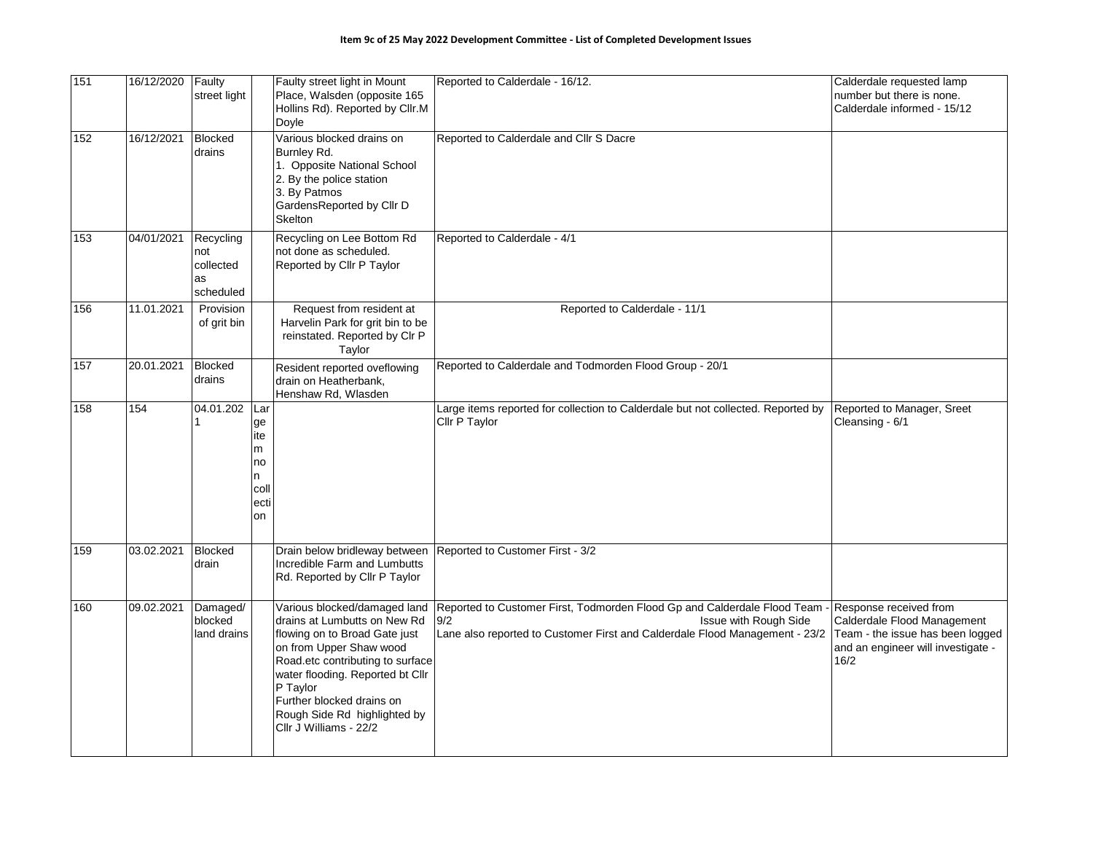| 151 | 16/12/2020 | Faulty<br>street light                           |                                                        | Faulty street light in Mount<br>Place, Walsden (opposite 165<br>Hollins Rd). Reported by Cllr.M<br>Doyle                                                                                                                                                                                            | Reported to Calderdale - 16/12.                                                                                                                                                         | Calderdale requested lamp<br>number but there is none.<br>Calderdale informed - 15/12                                                   |
|-----|------------|--------------------------------------------------|--------------------------------------------------------|-----------------------------------------------------------------------------------------------------------------------------------------------------------------------------------------------------------------------------------------------------------------------------------------------------|-----------------------------------------------------------------------------------------------------------------------------------------------------------------------------------------|-----------------------------------------------------------------------------------------------------------------------------------------|
| 152 | 16/12/2021 | <b>Blocked</b><br>drains                         |                                                        | Various blocked drains on<br>Burnley Rd.<br>1. Opposite National School<br>2. By the police station<br>3. By Patmos<br>GardensReported by Cllr D<br>Skelton                                                                                                                                         | Reported to Calderdale and Cllr S Dacre                                                                                                                                                 |                                                                                                                                         |
| 153 | 04/01/2021 | Recycling<br>not<br>collected<br>as<br>scheduled |                                                        | Recycling on Lee Bottom Rd<br>not done as scheduled.<br>Reported by Cllr P Taylor                                                                                                                                                                                                                   | Reported to Calderdale - 4/1                                                                                                                                                            |                                                                                                                                         |
| 156 | 11.01.2021 | Provision<br>of grit bin                         |                                                        | Request from resident at<br>Harvelin Park for grit bin to be<br>reinstated. Reported by Clr P<br>Taylor                                                                                                                                                                                             | Reported to Calderdale - 11/1                                                                                                                                                           |                                                                                                                                         |
| 157 | 20.01.2021 | <b>Blocked</b><br>drains                         |                                                        | Resident reported oveflowing<br>drain on Heatherbank.<br>Henshaw Rd, Wlasden                                                                                                                                                                                                                        | Reported to Calderdale and Todmorden Flood Group - 20/1                                                                                                                                 |                                                                                                                                         |
| 158 | 154        | 04.01.202<br>1                                   | Lar<br>ge<br>ite<br>m<br>no<br>n<br>coll<br>ecti<br>on |                                                                                                                                                                                                                                                                                                     | Large items reported for collection to Calderdale but not collected. Reported by<br>Cllr P Taylor                                                                                       | Reported to Manager, Sreet<br>Cleansing - 6/1                                                                                           |
| 159 | 03.02.2021 | <b>Blocked</b><br>drain                          |                                                        | Drain below bridleway between<br>Incredible Farm and Lumbutts<br>Rd. Reported by Cllr P Taylor                                                                                                                                                                                                      | Reported to Customer First - 3/2                                                                                                                                                        |                                                                                                                                         |
| 160 | 09.02.2021 | Damaged/<br>blocked<br>land drains               |                                                        | Various blocked/damaged land<br>drains at Lumbutts on New Rd<br>flowing on to Broad Gate just<br>on from Upper Shaw wood<br>Road.etc contributing to surface<br>water flooding. Reported bt Cllr<br>P Taylor<br>Further blocked drains on<br>Rough Side Rd highlighted by<br>Cllr J Williams - 22/2 | Reported to Customer First, Todmorden Flood Gp and Calderdale Flood Team<br>9/2<br>Issue with Rough Side<br>Lane also reported to Customer First and Calderdale Flood Management - 23/2 | Response received from<br>Calderdale Flood Management<br>Team - the issue has been logged<br>and an engineer will investigate -<br>16/2 |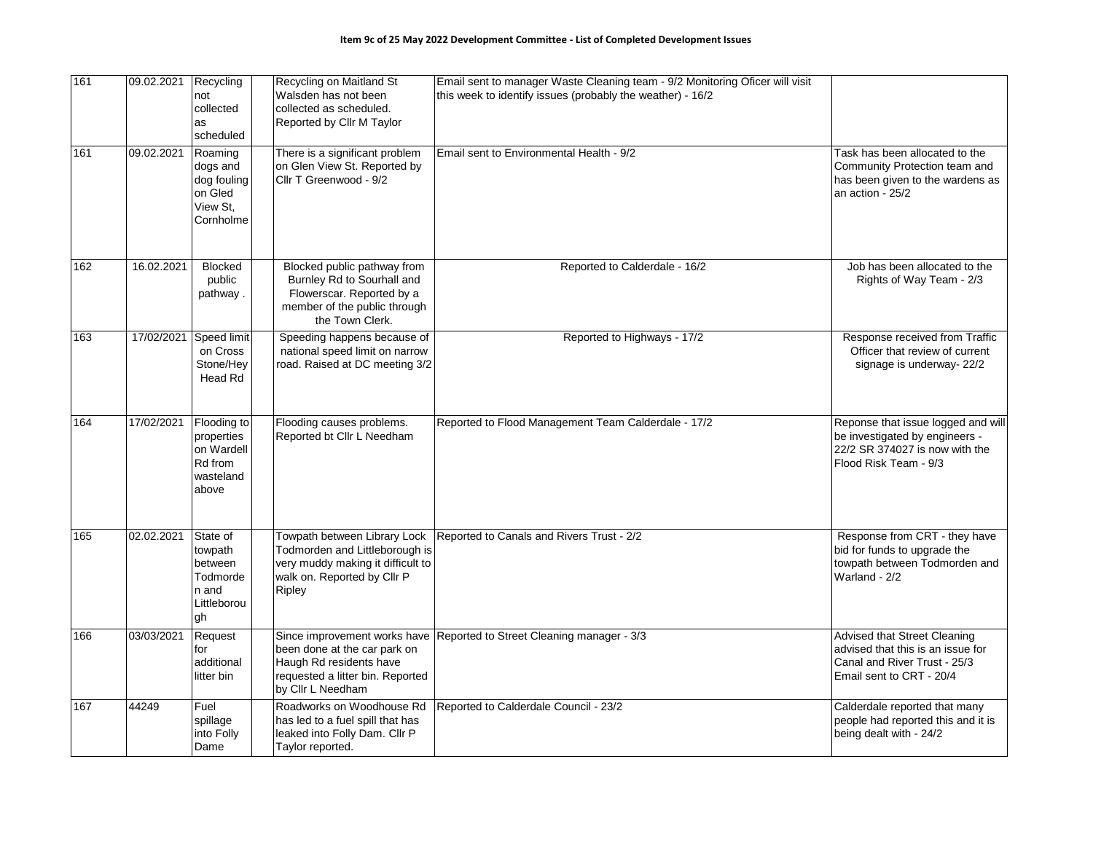| 161 | 09.02.2021 | Recycling<br>not<br>collected<br>as<br>scheduled                         | Recycling on Maitland St<br>Walsden has not been<br>collected as scheduled.<br>Reported by Cllr M Taylor                                     | Email sent to manager Waste Cleaning team - 9/2 Monitoring Oficer will visit<br>this week to identify issues (probably the weather) - 16/2 |                                                                                                                                 |
|-----|------------|--------------------------------------------------------------------------|----------------------------------------------------------------------------------------------------------------------------------------------|--------------------------------------------------------------------------------------------------------------------------------------------|---------------------------------------------------------------------------------------------------------------------------------|
| 161 | 09.02.2021 | Roaming<br>dogs and<br>dog fouling<br>on Gled<br>View St.<br>Cornholme   | There is a significant problem<br>on Glen View St. Reported by<br>Cllr T Greenwood - 9/2                                                     | Email sent to Environmental Health - 9/2                                                                                                   | Task has been allocated to the<br>Community Protection team and<br>has been given to the wardens as<br>an action - 25/2         |
| 162 | 16.02.2021 | <b>Blocked</b><br>public<br>pathway.                                     | Blocked public pathway from<br>Burnley Rd to Sourhall and<br>Flowerscar. Reported by a<br>member of the public through<br>the Town Clerk.    | Reported to Calderdale - 16/2                                                                                                              | Job has been allocated to the<br>Rights of Way Team - 2/3                                                                       |
| 163 | 17/02/2021 | Speed limit<br>on Cross<br>Stone/Hey<br>Head Rd                          | Speeding happens because of<br>national speed limit on narrow<br>road. Raised at DC meeting 3/2                                              | Reported to Highways - 17/2                                                                                                                | Response received from Traffic<br>Officer that review of current<br>signage is underway-22/2                                    |
| 164 | 17/02/2021 | Flooding to<br>properties<br>on Wardell<br>Rd from<br>wasteland<br>above | Flooding causes problems.<br>Reported bt Cllr L Needham                                                                                      | Reported to Flood Management Team Calderdale - 17/2                                                                                        | Reponse that issue logged and will<br>be investigated by engineers -<br>22/2 SR 374027 is now with the<br>Flood Risk Team - 9/3 |
| 165 | 02.02.2021 | State of<br>towpath<br>between<br>Todmorde<br>n and<br>Littleborou<br>gh | Towpath between Library Lock<br>Todmorden and Littleborough is<br>very muddy making it difficult to<br>walk on. Reported by Cllr P<br>Ripley | Reported to Canals and Rivers Trust - 2/2                                                                                                  | Response from CRT - they have<br>bid for funds to upgrade the<br>towpath between Todmorden and<br>Warland - 2/2                 |
| 166 | 03/03/2021 | Request<br>for<br>additional<br>litter bin                               | been done at the car park on<br>Haugh Rd residents have<br>requested a litter bin. Reported<br>by Cllr L Needham                             | Since improvement works have Reported to Street Cleaning manager - 3/3                                                                     | Advised that Street Cleaning<br>advised that this is an issue for<br>Canal and River Trust - 25/3<br>Email sent to CRT - 20/4   |
| 167 | 44249      | Fuel<br>spillage<br>into Folly<br>Dame                                   | Roadworks on Woodhouse Rd<br>has led to a fuel spill that has<br>leaked into Folly Dam. Cllr P<br>Taylor reported.                           | Reported to Calderdale Council - 23/2                                                                                                      | Calderdale reported that many<br>people had reported this and it is<br>being dealt with - 24/2                                  |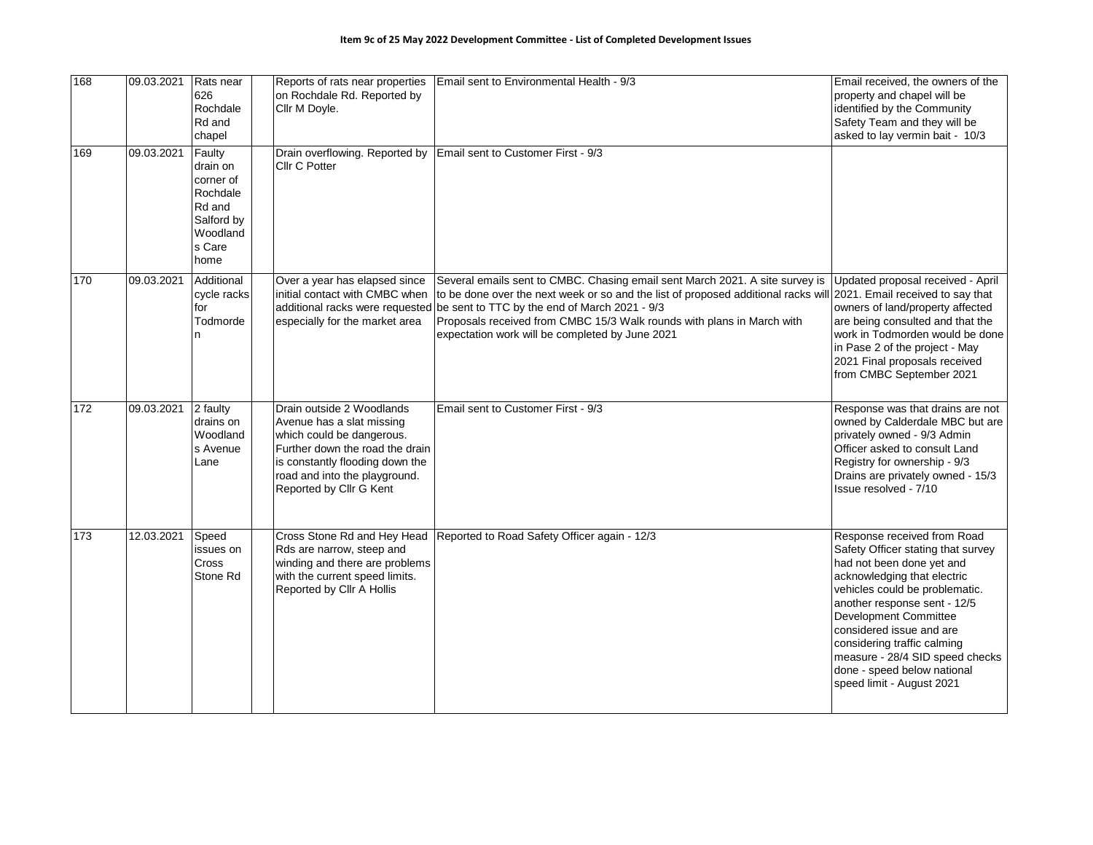| 168             | 09.03.2021 | Rats near<br>626<br>Rochdale<br>Rd and<br>chapel                                                  | Reports of rats near properties<br>on Rochdale Rd. Reported by<br>Cllr M Doyle.                                                                                                                                       | Email sent to Environmental Health - 9/3                                                                                                                                                                                                                                                                                                                                                                          | Email received, the owners of the<br>property and chapel will be<br>identified by the Community<br>Safety Team and they will be<br>asked to lay vermin bait - 10/3                                                                                                                                                                                                                 |
|-----------------|------------|---------------------------------------------------------------------------------------------------|-----------------------------------------------------------------------------------------------------------------------------------------------------------------------------------------------------------------------|-------------------------------------------------------------------------------------------------------------------------------------------------------------------------------------------------------------------------------------------------------------------------------------------------------------------------------------------------------------------------------------------------------------------|------------------------------------------------------------------------------------------------------------------------------------------------------------------------------------------------------------------------------------------------------------------------------------------------------------------------------------------------------------------------------------|
| 169             | 09.03.2021 | Faulty<br>drain on<br>corner of<br>Rochdale<br>Rd and<br>Salford by<br>Woodland<br>s Care<br>home | Drain overflowing. Reported by<br>Cllr C Potter                                                                                                                                                                       | Email sent to Customer First - 9/3                                                                                                                                                                                                                                                                                                                                                                                |                                                                                                                                                                                                                                                                                                                                                                                    |
| 170             | 09.03.2021 | Additional<br>cycle racks<br>for<br>Todmorde                                                      | Over a year has elapsed since<br>initial contact with CMBC when<br>especially for the market area                                                                                                                     | Several emails sent to CMBC. Chasing email sent March 2021. A site survey is<br>to be done over the next week or so and the list of proposed additional racks will 2021. Email received to say that<br>additional racks were requested be sent to TTC by the end of March 2021 - 9/3<br>Proposals received from CMBC 15/3 Walk rounds with plans in March with<br>expectation work will be completed by June 2021 | Updated proposal received - April<br>owners of land/property affected<br>are being consulted and that the<br>work in Todmorden would be done<br>in Pase 2 of the project - May<br>2021 Final proposals received<br>from CMBC September 2021                                                                                                                                        |
| $\frac{1}{172}$ | 09.03.2021 | 2 faulty<br>drains on<br>Woodland<br>s Avenue<br>Lane                                             | Drain outside 2 Woodlands<br>Avenue has a slat missing<br>which could be dangerous.<br>Further down the road the drain<br>is constantly flooding down the<br>road and into the playground.<br>Reported by Cllr G Kent | Email sent to Customer First - 9/3                                                                                                                                                                                                                                                                                                                                                                                | Response was that drains are not<br>owned by Calderdale MBC but are<br>privately owned - 9/3 Admin<br>Officer asked to consult Land<br>Registry for ownership - 9/3<br>Drains are privately owned - 15/3<br>Issue resolved - 7/10                                                                                                                                                  |
| 173             | 12.03.2021 | Speed<br>issues on<br><b>Cross</b><br>Stone Rd                                                    | Cross Stone Rd and Hey Head<br>Rds are narrow, steep and<br>winding and there are problems<br>with the current speed limits.<br>Reported by Cllr A Hollis                                                             | Reported to Road Safety Officer again - 12/3                                                                                                                                                                                                                                                                                                                                                                      | Response received from Road<br>Safety Officer stating that survey<br>had not been done yet and<br>acknowledging that electric<br>vehicles could be problematic.<br>another response sent - 12/5<br>Development Committee<br>considered issue and are<br>considering traffic calming<br>measure - 28/4 SID speed checks<br>done - speed below national<br>speed limit - August 2021 |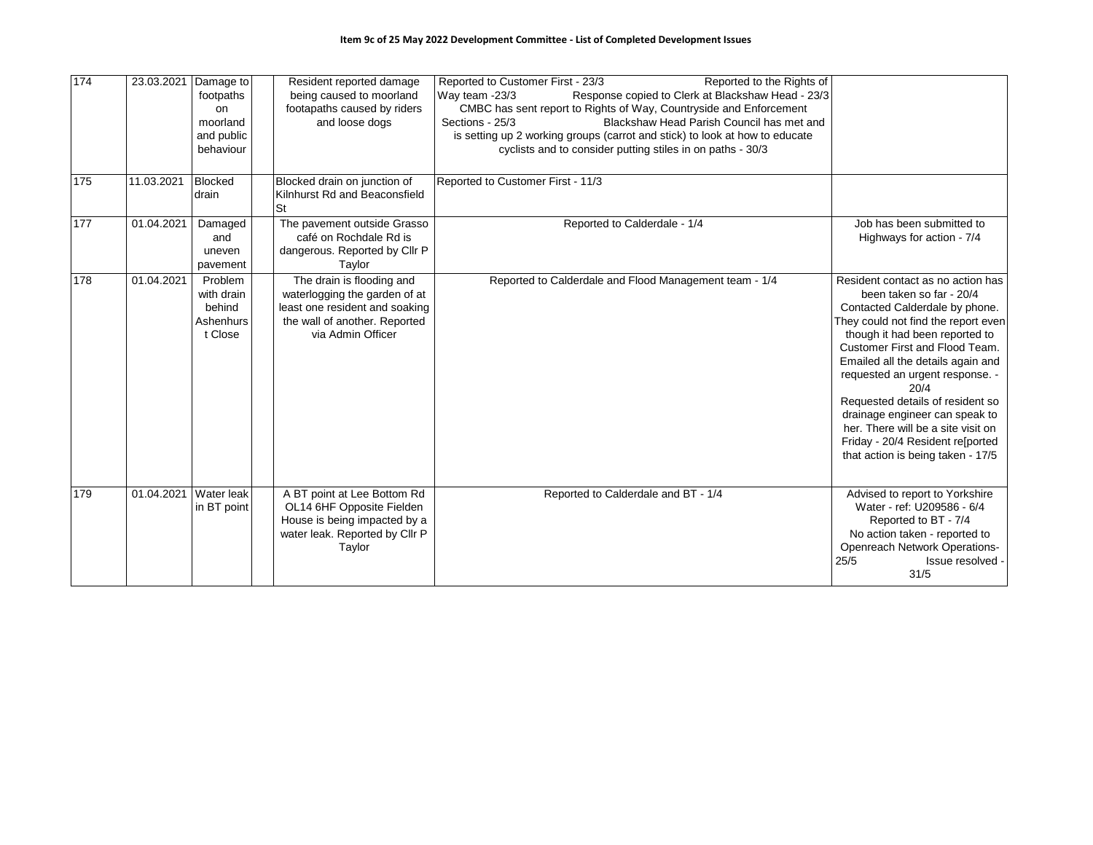| 174 |            | 23.03.2021 Damage to<br>footpaths<br>on<br>moorland<br>and public<br>behaviour | Resident reported damage<br>being caused to moorland<br>footapaths caused by riders<br>and loose dogs                                              | Reported to Customer First - 23/3<br>Reported to the Rights of<br>Response copied to Clerk at Blackshaw Head - 23/3<br>Way team -23/3<br>CMBC has sent report to Rights of Way, Countryside and Enforcement<br>Blackshaw Head Parish Council has met and<br>Sections - 25/3<br>is setting up 2 working groups (carrot and stick) to look at how to educate<br>cyclists and to consider putting stiles in on paths - 30/3 |                                                                                                                                                                                                                                                                                                                                                                                                                                                                                 |
|-----|------------|--------------------------------------------------------------------------------|----------------------------------------------------------------------------------------------------------------------------------------------------|--------------------------------------------------------------------------------------------------------------------------------------------------------------------------------------------------------------------------------------------------------------------------------------------------------------------------------------------------------------------------------------------------------------------------|---------------------------------------------------------------------------------------------------------------------------------------------------------------------------------------------------------------------------------------------------------------------------------------------------------------------------------------------------------------------------------------------------------------------------------------------------------------------------------|
| 175 | 11.03.2021 | <b>Blocked</b><br>drain                                                        | Blocked drain on junction of<br>Kilnhurst Rd and Beaconsfield<br>St                                                                                | Reported to Customer First - 11/3                                                                                                                                                                                                                                                                                                                                                                                        |                                                                                                                                                                                                                                                                                                                                                                                                                                                                                 |
| 177 | 01.04.2021 | Damaged<br>and<br>uneven<br>pavement                                           | The pavement outside Grasso<br>café on Rochdale Rd is<br>dangerous. Reported by Cllr P<br>Taylor                                                   | Reported to Calderdale - 1/4                                                                                                                                                                                                                                                                                                                                                                                             | Job has been submitted to<br>Highways for action - 7/4                                                                                                                                                                                                                                                                                                                                                                                                                          |
| 178 | 01.04.2021 | Problem<br>with drain<br>behind<br>Ashenhurs<br>t Close                        | The drain is flooding and<br>waterlogging the garden of at<br>least one resident and soaking<br>the wall of another. Reported<br>via Admin Officer | Reported to Calderdale and Flood Management team - 1/4                                                                                                                                                                                                                                                                                                                                                                   | Resident contact as no action has<br>been taken so far - 20/4<br>Contacted Calderdale by phone.<br>They could not find the report even<br>though it had been reported to<br>Customer First and Flood Team.<br>Emailed all the details again and<br>requested an urgent response. -<br>20/4<br>Requested details of resident so<br>drainage engineer can speak to<br>her. There will be a site visit on<br>Friday - 20/4 Resident re[ported<br>that action is being taken - 17/5 |
| 179 |            | 01.04.2021 Water leak<br>in BT point                                           | A BT point at Lee Bottom Rd<br>OL14 6HF Opposite Fielden<br>House is being impacted by a<br>water leak. Reported by Cllr P<br>Taylor               | Reported to Calderdale and BT - 1/4                                                                                                                                                                                                                                                                                                                                                                                      | Advised to report to Yorkshire<br>Water - ref: U209586 - 6/4<br>Reported to BT - 7/4<br>No action taken - reported to<br><b>Openreach Network Operations-</b><br>25/5<br>Issue resolved -<br>31/5                                                                                                                                                                                                                                                                               |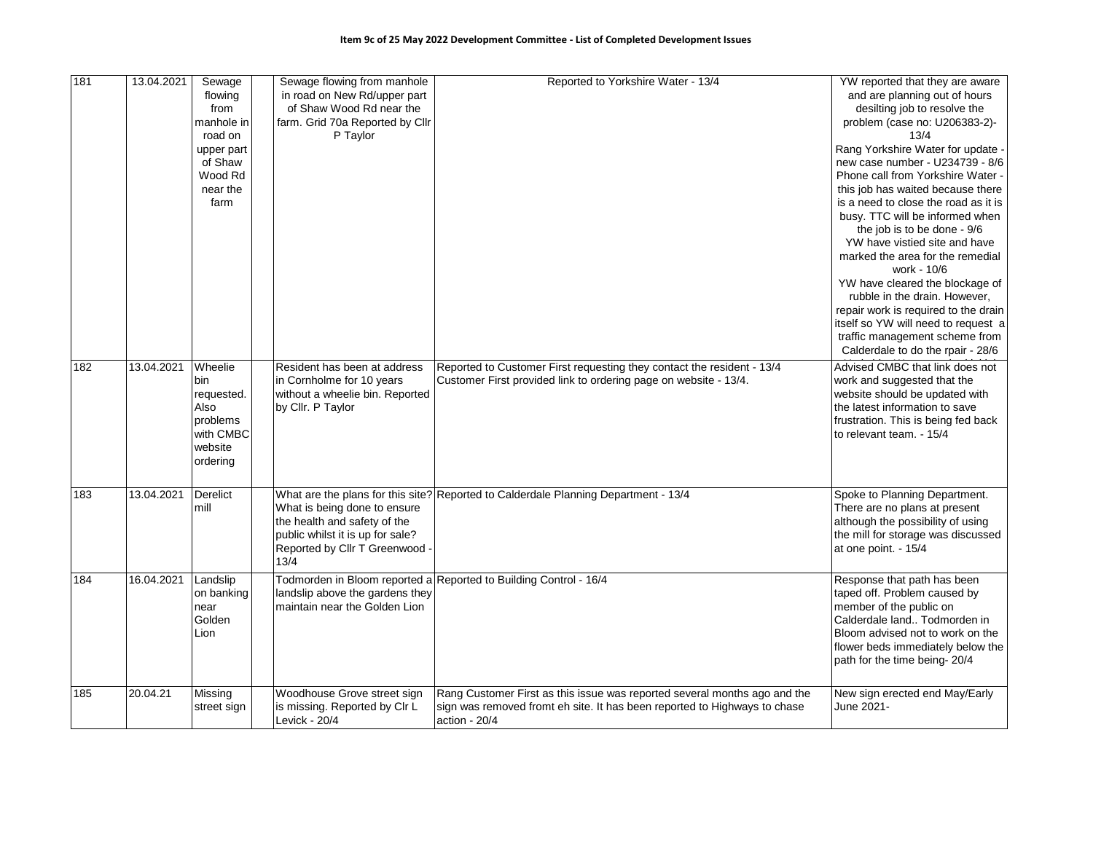| 181 | 13.04.2021 | Sewage      | Sewage flowing from manhole      | Reported to Yorkshire Water - 13/4                                                  | YW reported that they are aware                 |
|-----|------------|-------------|----------------------------------|-------------------------------------------------------------------------------------|-------------------------------------------------|
|     |            | flowing     | in road on New Rd/upper part     |                                                                                     | and are planning out of hours                   |
|     |            | from        | of Shaw Wood Rd near the         |                                                                                     | desilting job to resolve the                    |
|     |            | manhole in  | farm. Grid 70a Reported by Cllr  |                                                                                     | problem (case no: U206383-2)-                   |
|     |            | road on     | P Taylor                         |                                                                                     | 13/4                                            |
|     |            | upper part  |                                  |                                                                                     | Rang Yorkshire Water for update -               |
|     |            | of Shaw     |                                  |                                                                                     | new case number - U234739 - 8/6                 |
|     |            | Wood Rd     |                                  |                                                                                     | Phone call from Yorkshire Water -               |
|     |            | near the    |                                  |                                                                                     | this job has waited because there               |
|     |            | farm        |                                  |                                                                                     | is a need to close the road as it is            |
|     |            |             |                                  |                                                                                     | busy. TTC will be informed when                 |
|     |            |             |                                  |                                                                                     | the job is to be done - 9/6                     |
|     |            |             |                                  |                                                                                     | YW have vistied site and have                   |
|     |            |             |                                  |                                                                                     | marked the area for the remedial<br>work - 10/6 |
|     |            |             |                                  |                                                                                     | YW have cleared the blockage of                 |
|     |            |             |                                  |                                                                                     | rubble in the drain. However,                   |
|     |            |             |                                  |                                                                                     | repair work is required to the drain            |
|     |            |             |                                  |                                                                                     | itself so YW will need to request a             |
|     |            |             |                                  |                                                                                     | traffic management scheme from                  |
|     |            |             |                                  |                                                                                     | Calderdale to do the rpair - 28/6               |
| 182 | 13.04.2021 | Wheelie     | Resident has been at address     | Reported to Customer First requesting they contact the resident - 13/4              | Advised CMBC that link does not                 |
|     |            | bin         | in Cornholme for 10 years        | Customer First provided link to ordering page on website - 13/4.                    | work and suggested that the                     |
|     |            | requested.  | without a wheelie bin. Reported  |                                                                                     | website should be updated with                  |
|     |            | Also        | by Cllr. P Taylor                |                                                                                     | the latest information to save                  |
|     |            | problems    |                                  |                                                                                     | frustration. This is being fed back             |
|     |            | with CMBC   |                                  |                                                                                     | to relevant team. - 15/4                        |
|     |            | website     |                                  |                                                                                     |                                                 |
|     |            | ordering    |                                  |                                                                                     |                                                 |
|     |            |             |                                  |                                                                                     |                                                 |
| 183 | 13.04.2021 | Derelict    |                                  | What are the plans for this site? Reported to Calderdale Planning Department - 13/4 | Spoke to Planning Department.                   |
|     |            | mill        | What is being done to ensure     |                                                                                     | There are no plans at present                   |
|     |            |             | the health and safety of the     |                                                                                     | although the possibility of using               |
|     |            |             | public whilst it is up for sale? |                                                                                     | the mill for storage was discussed              |
|     |            |             | Reported by Cllr T Greenwood     |                                                                                     | at one point. - 15/4                            |
|     |            |             | 13/4                             |                                                                                     |                                                 |
| 184 | 16.04.2021 | Landslip    |                                  | Todmorden in Bloom reported a Reported to Building Control - 16/4                   | Response that path has been                     |
|     |            | on banking  | landslip above the gardens they  |                                                                                     | taped off. Problem caused by                    |
|     |            | near        | maintain near the Golden Lion    |                                                                                     | member of the public on                         |
|     |            | Golden      |                                  |                                                                                     | Calderdale land Todmorden in                    |
|     |            | Lion        |                                  |                                                                                     | Bloom advised not to work on the                |
|     |            |             |                                  |                                                                                     | flower beds immediately below the               |
|     |            |             |                                  |                                                                                     | path for the time being-20/4                    |
|     |            |             |                                  |                                                                                     |                                                 |
| 185 | 20.04.21   | Missing     | Woodhouse Grove street sign      | Rang Customer First as this issue was reported several months ago and the           | New sign erected end May/Early                  |
|     |            | street sign | is missing. Reported by CIr L    | sign was removed fromt eh site. It has been reported to Highways to chase           | June 2021-                                      |
|     |            |             | Levick - 20/4                    | action - $20/4$                                                                     |                                                 |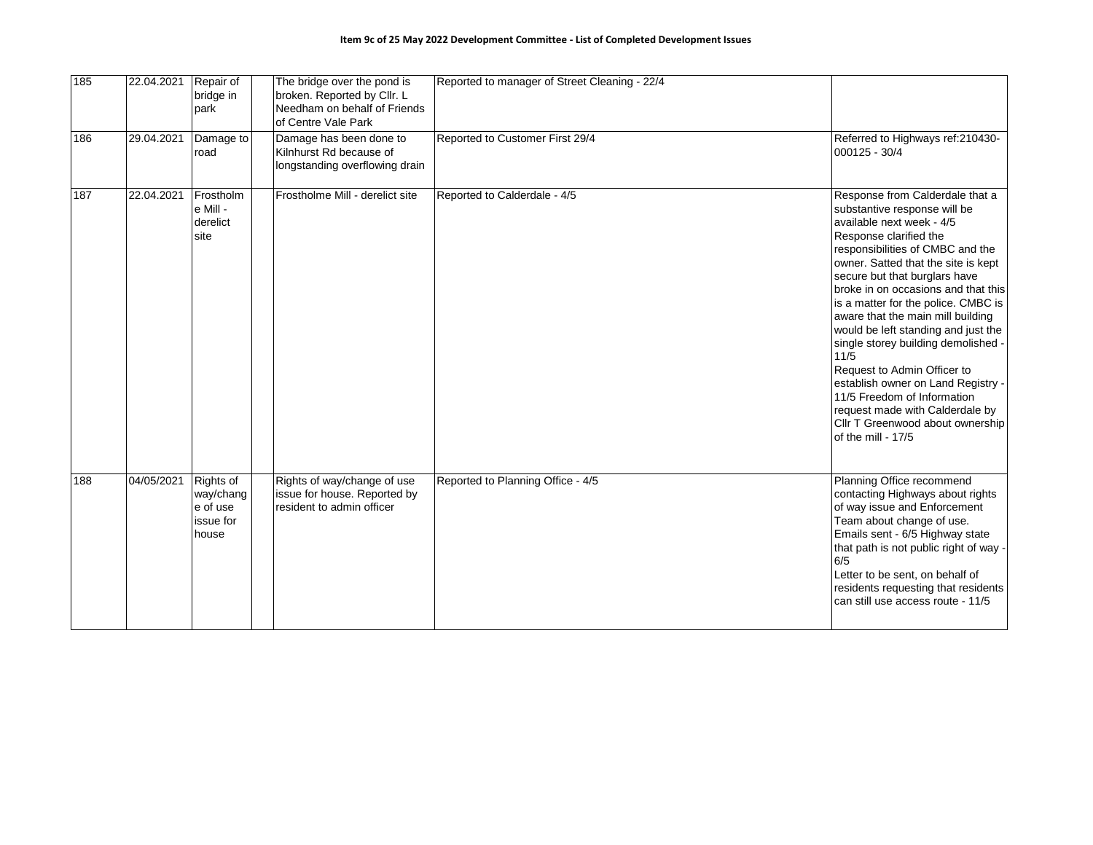| 185 | 22.04.2021 | Repair of<br>bridge in<br>park                           | The bridge over the pond is<br>broken. Reported by Cllr. L<br>Needham on behalf of Friends<br>of Centre Vale Park | Reported to manager of Street Cleaning - 22/4 |                                                                                                                                                                                                                                                                                                                                                                                                                                                                                                                                                                                                                                              |
|-----|------------|----------------------------------------------------------|-------------------------------------------------------------------------------------------------------------------|-----------------------------------------------|----------------------------------------------------------------------------------------------------------------------------------------------------------------------------------------------------------------------------------------------------------------------------------------------------------------------------------------------------------------------------------------------------------------------------------------------------------------------------------------------------------------------------------------------------------------------------------------------------------------------------------------------|
| 186 | 29.04.2021 | Damage to<br>road                                        | Damage has been done to<br>Kilnhurst Rd because of<br>longstanding overflowing drain                              | Reported to Customer First 29/4               | Referred to Highways ref: 210430-<br>000125 - 30/4                                                                                                                                                                                                                                                                                                                                                                                                                                                                                                                                                                                           |
| 187 | 22.04.2021 | Frostholm<br>e Mill -<br>derelict<br>site                | Frostholme Mill - derelict site                                                                                   | Reported to Calderdale - 4/5                  | Response from Calderdale that a<br>substantive response will be<br>available next week - 4/5<br>Response clarified the<br>responsibilities of CMBC and the<br>owner. Satted that the site is kept<br>secure but that burglars have<br>broke in on occasions and that this<br>is a matter for the police. CMBC is<br>aware that the main mill building<br>would be left standing and just the<br>single storey building demolished -<br>11/5<br>Request to Admin Officer to<br>establish owner on Land Registry -<br>11/5 Freedom of Information<br>request made with Calderdale by<br>Cllr T Greenwood about ownership<br>of the mill - 17/5 |
| 188 | 04/05/2021 | Rights of<br>way/chang<br>e of use<br>issue for<br>house | Rights of way/change of use<br>issue for house. Reported by<br>resident to admin officer                          | Reported to Planning Office - 4/5             | Planning Office recommend<br>contacting Highways about rights<br>of way issue and Enforcement<br>Team about change of use.<br>Emails sent - 6/5 Highway state<br>that path is not public right of way -<br>6/5<br>Letter to be sent, on behalf of<br>residents requesting that residents<br>Ican still use access route - 11/5                                                                                                                                                                                                                                                                                                               |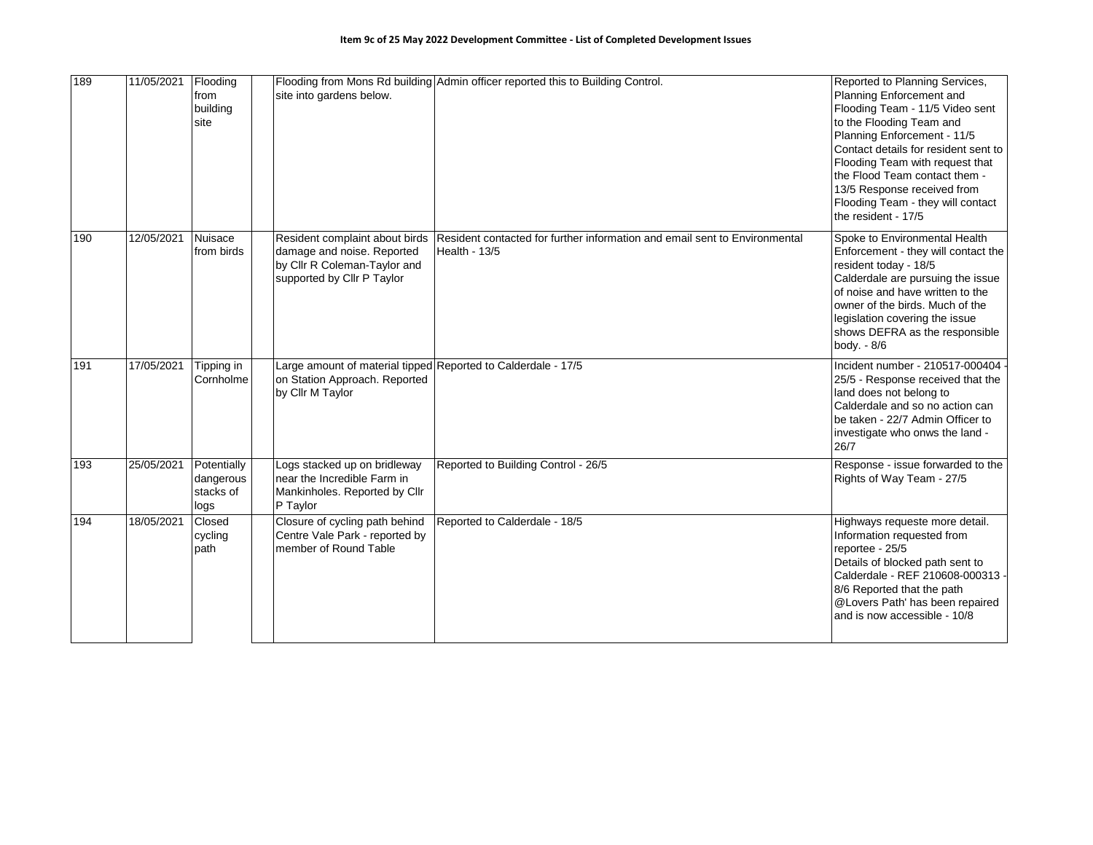| 189 | 11/05/2021 | Flooding<br>from<br>building<br>site          | site into gardens below.                                                                                                   | Flooding from Mons Rd building Admin officer reported this to Building Control.             | Reported to Planning Services,<br>Planning Enforcement and<br>Flooding Team - 11/5 Video sent<br>to the Flooding Team and<br>Planning Enforcement - 11/5<br>Contact details for resident sent to<br>Flooding Team with request that<br>the Flood Team contact them -<br>13/5 Response received from<br>Flooding Team - they will contact<br>the resident - 17/5 |
|-----|------------|-----------------------------------------------|----------------------------------------------------------------------------------------------------------------------------|---------------------------------------------------------------------------------------------|-----------------------------------------------------------------------------------------------------------------------------------------------------------------------------------------------------------------------------------------------------------------------------------------------------------------------------------------------------------------|
| 190 | 12/05/2021 | Nuisace<br>from birds                         | Resident complaint about birds<br>damage and noise. Reported<br>by Cllr R Coleman-Taylor and<br>supported by Cllr P Taylor | Resident contacted for further information and email sent to Environmental<br>Health - 13/5 | Spoke to Environmental Health<br>Enforcement - they will contact the<br>resident today - 18/5<br>Calderdale are pursuing the issue<br>of noise and have written to the<br>owner of the birds. Much of the<br>legislation covering the issue<br>shows DEFRA as the responsible<br>body. - 8/6                                                                    |
| 191 | 17/05/2021 | Tipping in<br>Cornholme                       | Large amount of material tipped Reported to Calderdale - 17/5<br>on Station Approach. Reported<br>by Cllr M Taylor         |                                                                                             | Incident number - 210517-000404<br>25/5 - Response received that the<br>land does not belong to<br>Calderdale and so no action can<br>be taken - 22/7 Admin Officer to<br>investigate who onws the land -<br>26/7                                                                                                                                               |
| 193 | 25/05/2021 | Potentially<br>dangerous<br>stacks of<br>logs | Logs stacked up on bridleway<br>near the Incredible Farm in<br>Mankinholes. Reported by Cllr<br>P Taylor                   | Reported to Building Control - 26/5                                                         | Response - issue forwarded to the<br>Rights of Way Team - 27/5                                                                                                                                                                                                                                                                                                  |
| 194 | 18/05/2021 | Closed<br>cycling<br>path                     | Closure of cycling path behind<br>Centre Vale Park - reported by<br>member of Round Table                                  | Reported to Calderdale - 18/5                                                               | Highways requeste more detail.<br>Information requested from<br>reportee - 25/5<br>Details of blocked path sent to<br>Calderdale - REF 210608-000313<br>8/6 Reported that the path<br>@Lovers Path' has been repaired<br>and is now accessible - 10/8                                                                                                           |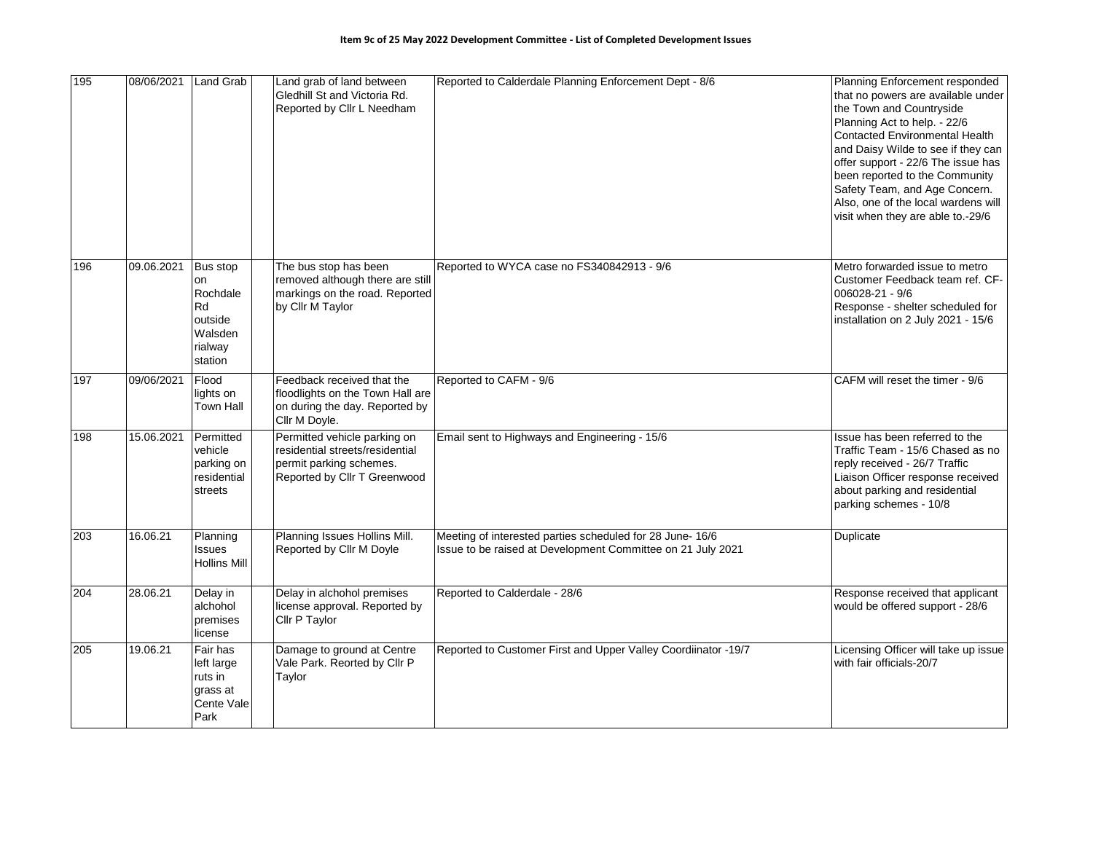| 195 | 08/06/2021 | Land Grab                                                                    | Land grab of land between<br>Gledhill St and Victoria Rd.<br>Reported by Cllr L Needham                                    | Reported to Calderdale Planning Enforcement Dept - 8/6                                                                   | Planning Enforcement responded<br>that no powers are available under<br>the Town and Countryside<br>Planning Act to help. - 22/6<br><b>Contacted Environmental Health</b><br>and Daisy Wilde to see if they can<br>offer support - 22/6 The issue has<br>been reported to the Community<br>Safety Team, and Age Concern.<br>Also, one of the local wardens will<br>visit when they are able to.-29/6 |
|-----|------------|------------------------------------------------------------------------------|----------------------------------------------------------------------------------------------------------------------------|--------------------------------------------------------------------------------------------------------------------------|------------------------------------------------------------------------------------------------------------------------------------------------------------------------------------------------------------------------------------------------------------------------------------------------------------------------------------------------------------------------------------------------------|
| 196 | 09.06.2021 | Bus stop<br>on<br>Rochdale<br>Rd<br>outside<br>Walsden<br>rialway<br>station | The bus stop has been<br>removed although there are still<br>markings on the road. Reported<br>by Cllr M Taylor            | Reported to WYCA case no FS340842913 - 9/6                                                                               | Metro forwarded issue to metro<br>Customer Feedback team ref. CF-<br>006028-21 - 9/6<br>Response - shelter scheduled for<br>installation on 2 July 2021 - 15/6                                                                                                                                                                                                                                       |
| 197 | 09/06/2021 | Flood<br>lights on<br>Town Hall                                              | Feedback received that the<br>floodlights on the Town Hall are<br>on during the day. Reported by<br>Cllr M Doyle.          | Reported to CAFM - 9/6                                                                                                   | CAFM will reset the timer - 9/6                                                                                                                                                                                                                                                                                                                                                                      |
| 198 | 15.06.2021 | Permitted<br>vehicle<br>parking on<br>residential<br>streets                 | Permitted vehicle parking on<br>residential streets/residential<br>permit parking schemes.<br>Reported by Cllr T Greenwood | Email sent to Highways and Engineering - 15/6                                                                            | Issue has been referred to the<br>Traffic Team - 15/6 Chased as no<br>reply received - 26/7 Traffic<br>Liaison Officer response received<br>about parking and residential<br>parking schemes - 10/8                                                                                                                                                                                                  |
| 203 | 16.06.21   | Planning<br>Issues<br><b>Hollins Mill</b>                                    | Planning Issues Hollins Mill.<br>Reported by Cllr M Doyle                                                                  | Meeting of interested parties scheduled for 28 June- 16/6<br>Issue to be raised at Development Committee on 21 July 2021 | Duplicate                                                                                                                                                                                                                                                                                                                                                                                            |
| 204 | 28.06.21   | Delay in<br>alchohol<br>premises<br>license                                  | Delay in alchohol premises<br>license approval. Reported by<br>Cllr P Taylor                                               | Reported to Calderdale - 28/6                                                                                            | Response received that applicant<br>would be offered support - 28/6                                                                                                                                                                                                                                                                                                                                  |
| 205 | 19.06.21   | Fair has<br>left large<br>ruts in<br>grass at<br>Cente Vale<br>Park          | Damage to ground at Centre<br>Vale Park. Reorted by Cllr P<br>Taylor                                                       | Reported to Customer First and Upper Valley Coordiinator -19/7                                                           | Licensing Officer will take up issue<br>with fair officials-20/7                                                                                                                                                                                                                                                                                                                                     |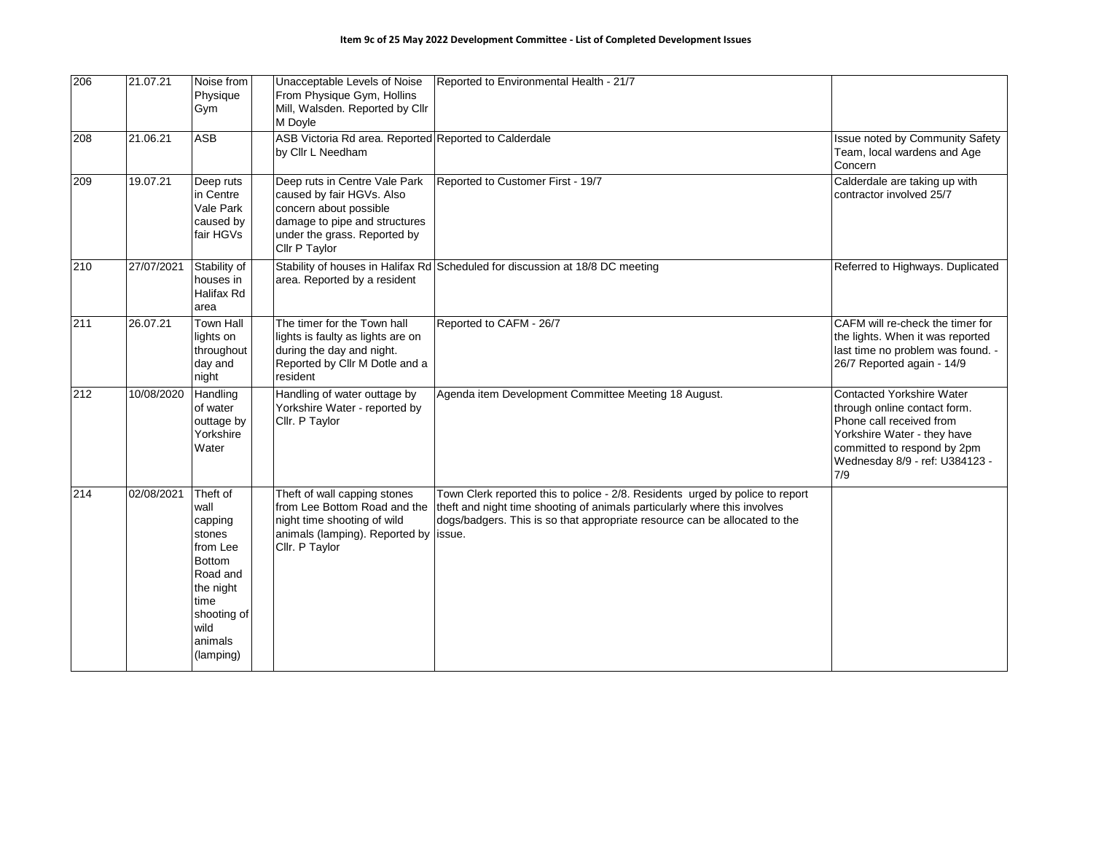| 206 | 21.07.21   | Noise from<br>Physique<br>Gym                                                                                                                      | Unacceptable Levels of Noise<br>From Physique Gym, Hollins<br>Mill, Walsden. Reported by Cllr<br>M Doyle                                                               | Reported to Environmental Health - 21/7                                                                                                                                                                                                  |                                                                                                                                                                                                     |
|-----|------------|----------------------------------------------------------------------------------------------------------------------------------------------------|------------------------------------------------------------------------------------------------------------------------------------------------------------------------|------------------------------------------------------------------------------------------------------------------------------------------------------------------------------------------------------------------------------------------|-----------------------------------------------------------------------------------------------------------------------------------------------------------------------------------------------------|
| 208 | 21.06.21   | <b>ASB</b>                                                                                                                                         | ASB Victoria Rd area. Reported Reported to Calderdale<br>by Cllr L Needham                                                                                             |                                                                                                                                                                                                                                          | Issue noted by Community Safety<br>Team, local wardens and Age<br>Concern                                                                                                                           |
| 209 | 19.07.21   | Deep ruts<br>in Centre<br>Vale Park<br>caused by<br>fair HGVs                                                                                      | Deep ruts in Centre Vale Park<br>caused by fair HGVs. Also<br>concern about possible<br>damage to pipe and structures<br>under the grass. Reported by<br>Cllr P Taylor | Reported to Customer First - 19/7                                                                                                                                                                                                        | Calderdale are taking up with<br>contractor involved 25/7                                                                                                                                           |
| 210 | 27/07/2021 | Stability of<br>houses in<br>Halifax Rd<br>area                                                                                                    | area. Reported by a resident                                                                                                                                           | Stability of houses in Halifax Rd Scheduled for discussion at 18/8 DC meeting                                                                                                                                                            | Referred to Highways. Duplicated                                                                                                                                                                    |
| 211 | 26.07.21   | <b>Town Hall</b><br>lights on<br>throughout<br>day and<br>night                                                                                    | The timer for the Town hall<br>lights is faulty as lights are on<br>during the day and night.<br>Reported by Cllr M Dotle and a<br>resident                            | Reported to CAFM - 26/7                                                                                                                                                                                                                  | CAFM will re-check the timer for<br>the lights. When it was reported<br>last time no problem was found. -<br>26/7 Reported again - 14/9                                                             |
| 212 | 10/08/2020 | Handling<br>of water<br>outtage by<br>Yorkshire<br>Water                                                                                           | Handling of water outtage by<br>Yorkshire Water - reported by<br>Cllr. P Taylor                                                                                        | Agenda item Development Committee Meeting 18 August.                                                                                                                                                                                     | <b>Contacted Yorkshire Water</b><br>through online contact form.<br>Phone call received from<br>Yorkshire Water - they have<br>committed to respond by 2pm<br>Wednesday 8/9 - ref: U384123 -<br>7/9 |
| 214 | 02/08/2021 | Theft of<br>wall<br>capping<br>stones<br>from Lee<br><b>Bottom</b><br>Road and<br>the night<br>time<br>shooting of<br>wild<br>animals<br>(lamping) | Theft of wall capping stones<br>from Lee Bottom Road and the<br>night time shooting of wild<br>animals (lamping). Reported by   issue.<br>Cllr. P Taylor               | Town Clerk reported this to police - 2/8. Residents urged by police to report<br>theft and night time shooting of animals particularly where this involves<br>dogs/badgers. This is so that appropriate resource can be allocated to the |                                                                                                                                                                                                     |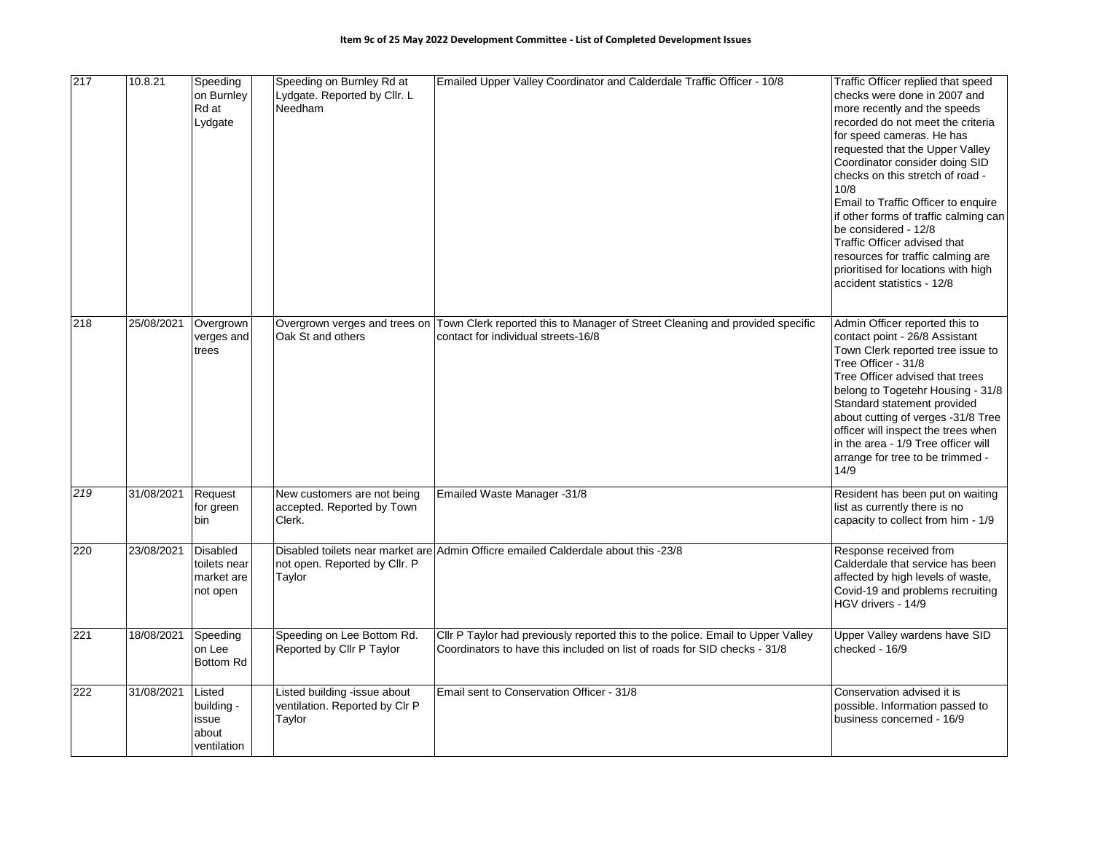| 217 | 10.8.21    | Speeding<br>on Burnley<br>Rd at<br>Lydgate                | Speeding on Burnley Rd at<br>Lydgate. Reported by Cllr. L<br>Needham     | Emailed Upper Valley Coordinator and Calderdale Traffic Officer - 10/8                                                                                       | Traffic Officer replied that speed<br>checks were done in 2007 and<br>more recently and the speeds<br>recorded do not meet the criteria<br>for speed cameras. He has<br>requested that the Upper Valley<br>Coordinator consider doing SID<br>checks on this stretch of road -<br>10/8<br>Email to Traffic Officer to enquire<br>if other forms of traffic calming can<br>be considered - 12/8<br>Traffic Officer advised that<br>resources for traffic calming are<br>prioritised for locations with high<br>accident statistics - 12/8 |
|-----|------------|-----------------------------------------------------------|--------------------------------------------------------------------------|--------------------------------------------------------------------------------------------------------------------------------------------------------------|-----------------------------------------------------------------------------------------------------------------------------------------------------------------------------------------------------------------------------------------------------------------------------------------------------------------------------------------------------------------------------------------------------------------------------------------------------------------------------------------------------------------------------------------|
| 218 | 25/08/2021 | Overgrown<br>verges and<br>trees                          | Overgrown verges and trees on<br>Oak St and others                       | Town Clerk reported this to Manager of Street Cleaning and provided specific<br>contact for individual streets-16/8                                          | Admin Officer reported this to<br>contact point - 26/8 Assistant<br>Town Clerk reported tree issue to<br>Tree Officer - 31/8<br>Tree Officer advised that trees<br>belong to Togetehr Housing - 31/8<br>Standard statement provided<br>about cutting of verges -31/8 Tree<br>officer will inspect the trees when<br>in the area - 1/9 Tree officer will<br>arrange for tree to be trimmed -<br>14/9                                                                                                                                     |
| 219 | 31/08/2021 | Request<br>for green<br>bin                               | New customers are not being<br>accepted. Reported by Town<br>Clerk.      | Emailed Waste Manager -31/8                                                                                                                                  | Resident has been put on waiting<br>list as currently there is no<br>capacity to collect from him - 1/9                                                                                                                                                                                                                                                                                                                                                                                                                                 |
| 220 | 23/08/2021 | <b>Disabled</b><br>toilets near<br>market are<br>not open | not open. Reported by Cllr. P<br>Taylor                                  | Disabled toilets near market are Admin Officre emailed Calderdale about this -23/8                                                                           | Response received from<br>Calderdale that service has been<br>affected by high levels of waste,<br>Covid-19 and problems recruiting<br>HGV drivers - 14/9                                                                                                                                                                                                                                                                                                                                                                               |
| 221 | 18/08/2021 | Speeding<br>on Lee<br>Bottom Rd                           | Speeding on Lee Bottom Rd.<br>Reported by Cllr P Taylor                  | Cllr P Taylor had previously reported this to the police. Email to Upper Valley<br>Coordinators to have this included on list of roads for SID checks - 31/8 | Upper Valley wardens have SID<br>checked - 16/9                                                                                                                                                                                                                                                                                                                                                                                                                                                                                         |
| 222 | 31/08/2021 | Listed<br>building -<br>issue<br>about<br>ventilation     | Listed building -issue about<br>ventilation. Reported by Clr P<br>Taylor | Email sent to Conservation Officer - 31/8                                                                                                                    | Conservation advised it is<br>possible. Information passed to<br>business concerned - 16/9                                                                                                                                                                                                                                                                                                                                                                                                                                              |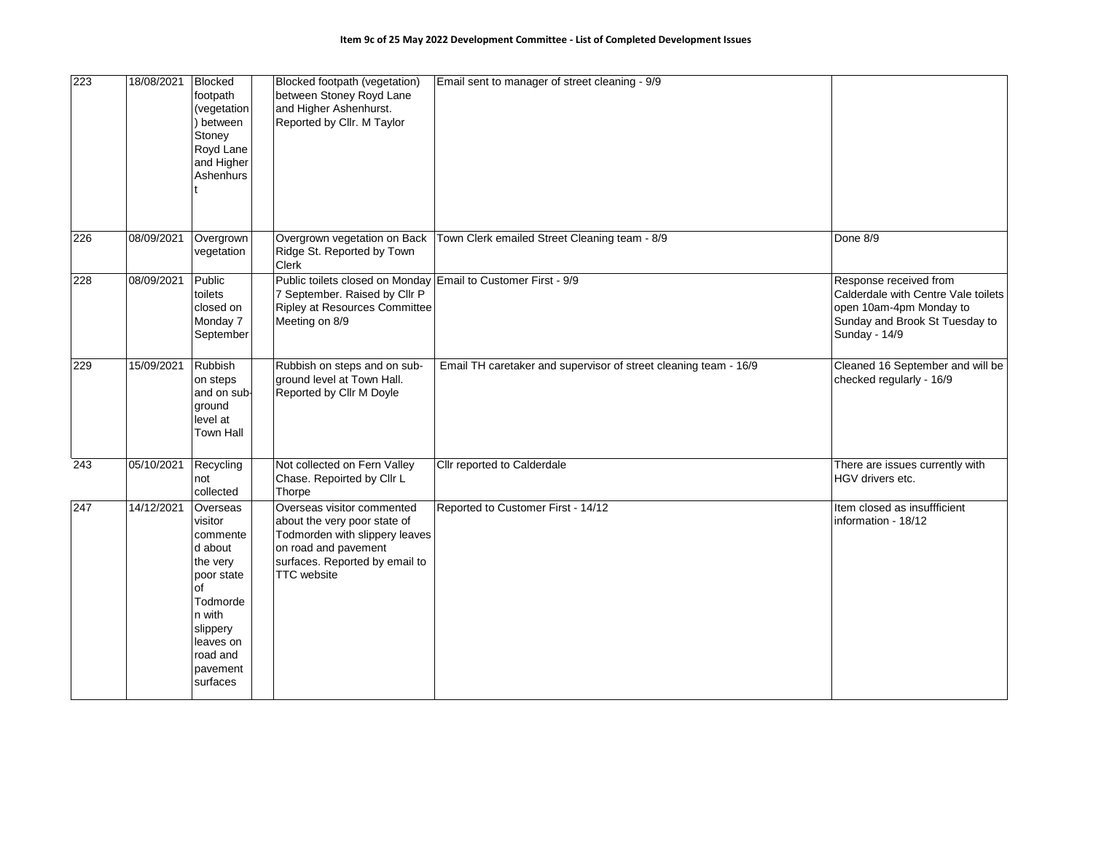| 223 | 18/08/2021 | <b>Blocked</b><br>footpath<br>(vegetation<br>between<br>Stoney<br>Royd Lane<br>and Higher<br>Ashenhurs                                                        | Blocked footpath (vegetation)<br>between Stoney Royd Lane<br>and Higher Ashenhurst.<br>Reported by Cllr. M Taylor                                                     | Email sent to manager of street cleaning - 9/9                   |                                                                                                                                             |
|-----|------------|---------------------------------------------------------------------------------------------------------------------------------------------------------------|-----------------------------------------------------------------------------------------------------------------------------------------------------------------------|------------------------------------------------------------------|---------------------------------------------------------------------------------------------------------------------------------------------|
| 226 | 08/09/2021 | Overgrown<br>vegetation                                                                                                                                       | Overgrown vegetation on Back<br>Ridge St. Reported by Town<br><b>Clerk</b>                                                                                            | Town Clerk emailed Street Cleaning team - 8/9                    | Done 8/9                                                                                                                                    |
| 228 | 08/09/2021 | Public<br>toilets<br>closed on<br>Monday 7<br>September                                                                                                       | Public toilets closed on Monday Email to Customer First - 9/9<br>7 September. Raised by Cllr P<br><b>Ripley at Resources Committee</b><br>Meeting on 8/9              |                                                                  | Response received from<br>Calderdale with Centre Vale toilets<br>open 10am-4pm Monday to<br>Sunday and Brook St Tuesday to<br>Sunday - 14/9 |
| 229 | 15/09/2021 | Rubbish<br>on steps<br>and on sub-<br>ground<br>level at<br><b>Town Hall</b>                                                                                  | Rubbish on steps and on sub-<br>ground level at Town Hall.<br>Reported by Cllr M Doyle                                                                                | Email TH caretaker and supervisor of street cleaning team - 16/9 | Cleaned 16 September and will be<br>checked regularly - 16/9                                                                                |
| 243 | 05/10/2021 | Recycling<br>not<br>collected                                                                                                                                 | Not collected on Fern Valley<br>Chase. Repoirted by Cllr L<br>Thorpe                                                                                                  | Cllr reported to Calderdale                                      | There are issues currently with<br>HGV drivers etc.                                                                                         |
| 247 | 14/12/2021 | Overseas<br>visitor<br>commente<br>d about<br>the very<br>poor state<br>of<br>Todmorde<br>n with<br>slippery<br>leaves on<br>road and<br>pavement<br>surfaces | Overseas visitor commented<br>about the very poor state of<br>Todmorden with slippery leaves<br>on road and pavement<br>surfaces. Reported by email to<br>TTC website | Reported to Customer First - 14/12                               | Item closed as insuffficient<br>information - 18/12                                                                                         |